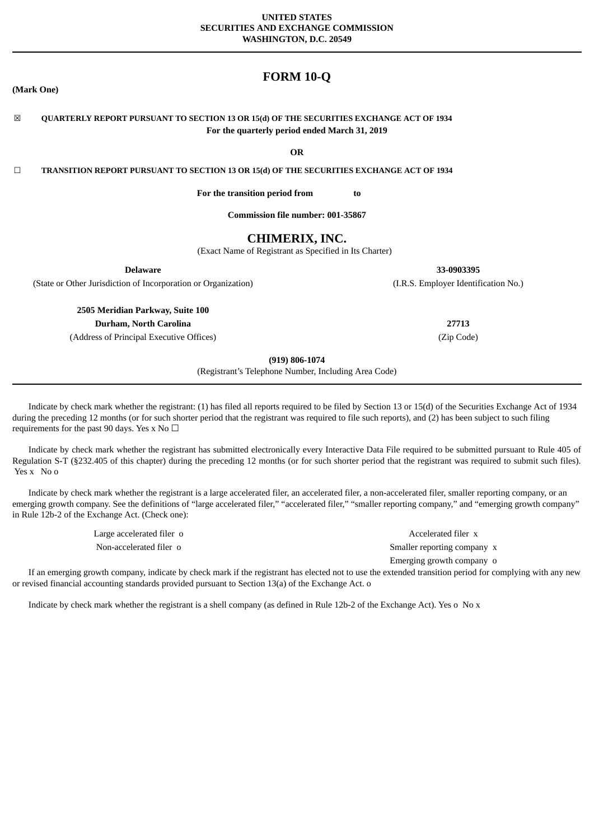# **FORM 10-Q**

☒ **QUARTERLY REPORT PURSUANT TO SECTION 13 OR 15(d) OF THE SECURITIES EXCHANGE ACT OF 1934 For the quarterly period ended March 31, 2019**

**OR**

☐ **TRANSITION REPORT PURSUANT TO SECTION 13 OR 15(d) OF THE SECURITIES EXCHANGE ACT OF 1934**

**For the transition period from to**

**Commission file number: 001-35867**

# **CHIMERIX, INC.**

(Exact Name of Registrant as Specified in Its Charter)

(State or Other Jurisdiction of Incorporation or Organization) (I.R.S. Employer Identification No.)

**2505 Meridian Parkway, Suite 100**

**Durham, North Carolina 27713**

(Address of Principal Executive Offices) (Zip Code)

**(919) 806-1074**

(Registrant's Telephone Number, Including Area Code)

Indicate by check mark whether the registrant: (1) has filed all reports required to be filed by Section 13 or 15(d) of the Securities Exchange Act of 1934 during the preceding 12 months (or for such shorter period that the registrant was required to file such reports), and (2) has been subject to such filing requirements for the past 90 days. Yes x No  $\Box$ 

Indicate by check mark whether the registrant has submitted electronically every Interactive Data File required to be submitted pursuant to Rule 405 of Regulation S-T (§232.405 of this chapter) during the preceding 12 months (or for such shorter period that the registrant was required to submit such files). Yes x No o

Indicate by check mark whether the registrant is a large accelerated filer, an accelerated filer, a non-accelerated filer, smaller reporting company, or an emerging growth company. See the definitions of "large accelerated filer," "accelerated filer," "smaller reporting company," and "emerging growth company" in Rule 12b-2 of the Exchange Act. (Check one):

Large accelerated filer o and a set of  $\alpha$  Accelerated filer x

Non-accelerated filer o Smaller reporting company x Emerging growth company o

If an emerging growth company, indicate by check mark if the registrant has elected not to use the extended transition period for complying with any new or revised financial accounting standards provided pursuant to Section 13(a) of the Exchange Act. o

Indicate by check mark whether the registrant is a shell company (as defined in Rule 12b-2 of the Exchange Act). Yes o No x

**Delaware 33-0903395**

**(Mark One)**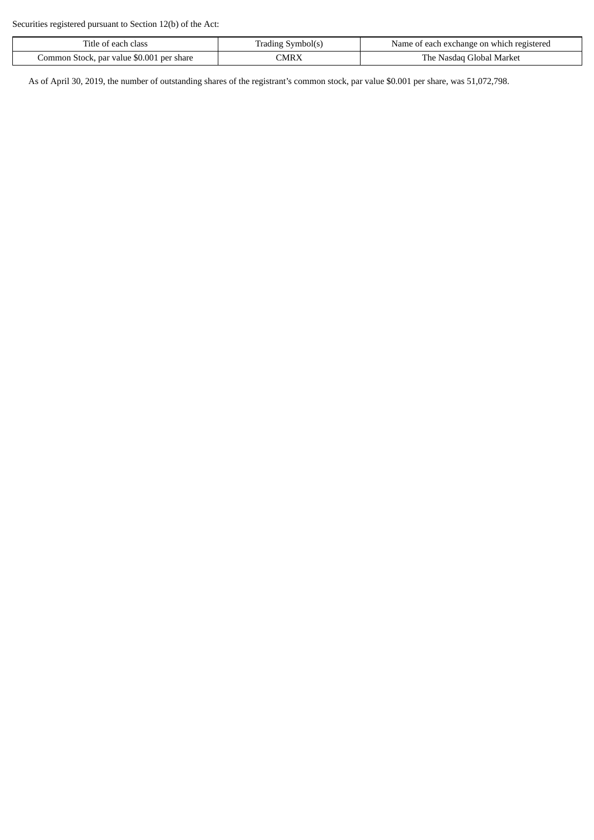Securities registered pursuant to Section 12(b) of the Act:

| class                                              | radıng r<br>Symbol(s) | t each exchange on which registered<br>Name of |
|----------------------------------------------------|-----------------------|------------------------------------------------|
| ., par value \$0.001 per share<br>.ommon<br>Stock. | MRX                   | . Global Market<br>r ne<br><b>Nasdad</b>       |

As of April 30, 2019, the number of outstanding shares of the registrant's common stock, par value \$0.001 per share, was 51,072,798.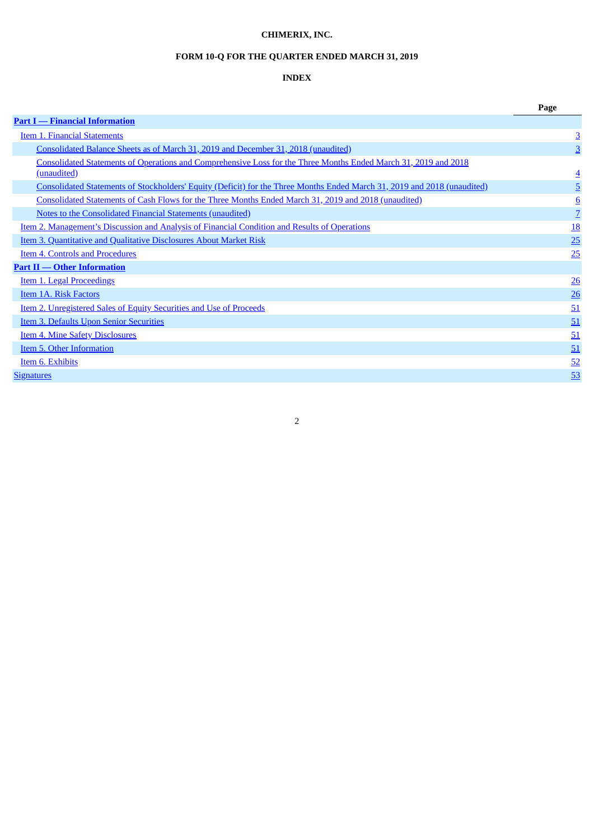# **CHIMERIX, INC.**

# **FORM 10-Q FOR THE QUARTER ENDED MARCH 31, 2019**

# **INDEX**

|                                                                                                                          | Page            |
|--------------------------------------------------------------------------------------------------------------------------|-----------------|
| <b>Part I</b> - Financial Information                                                                                    |                 |
| <b>Item 1. Financial Statements</b>                                                                                      | $\overline{3}$  |
| Consolidated Balance Sheets as of March 31, 2019 and December 31, 2018 (unaudited)                                       | $\overline{3}$  |
| Consolidated Statements of Operations and Comprehensive Loss for the Three Months Ended March 31, 2019 and 2018          |                 |
| (unaudited)                                                                                                              | $\overline{4}$  |
| Consolidated Statements of Stockholders' Equity (Deficit) for the Three Months Ended March 31, 2019 and 2018 (unaudited) | $\overline{5}$  |
| Consolidated Statements of Cash Flows for the Three Months Ended March 31, 2019 and 2018 (unaudited)                     | $\underline{6}$ |
| <b>Notes to the Consolidated Financial Statements (unaudited)</b>                                                        |                 |
| Item 2. Management's Discussion and Analysis of Financial Condition and Results of Operations                            | <u>18</u>       |
| <b>Item 3. Quantitative and Qualitative Disclosures About Market Risk</b>                                                | 25              |
| <b>Item 4. Controls and Procedures</b>                                                                                   | 25              |
| <b>Part II - Other Information</b>                                                                                       |                 |
| Item 1. Legal Proceedings                                                                                                | 26              |
| Item 1A. Risk Factors                                                                                                    | 26              |
| <b>Item 2. Unregistered Sales of Equity Securities and Use of Proceeds</b>                                               | 51              |
| <b>Item 3. Defaults Upon Senior Securities</b>                                                                           | 51              |
| <b>Item 4. Mine Safety Disclosures</b>                                                                                   | 51              |
| Item 5. Other Information                                                                                                | 51              |
| Item 6. Exhibits                                                                                                         | 52              |
| <b>Signatures</b>                                                                                                        | 53              |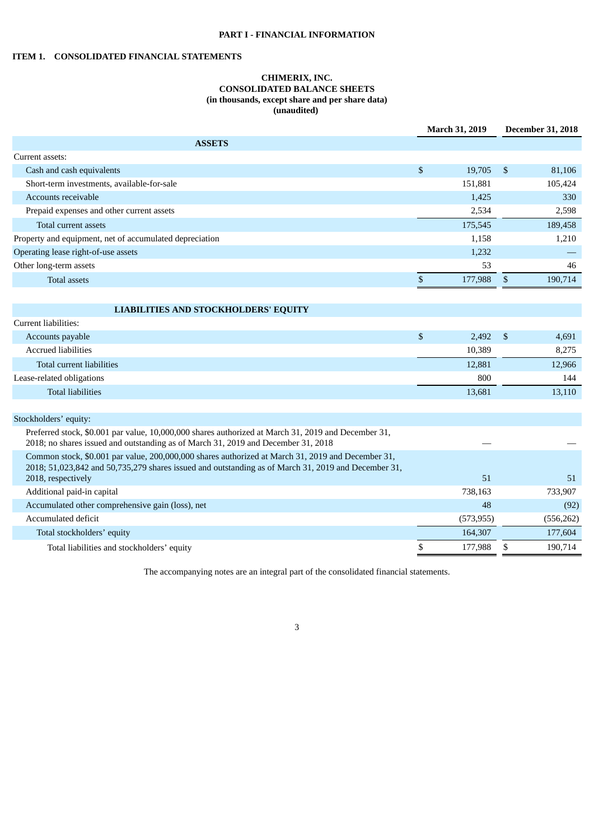# **PART I - FINANCIAL INFORMATION**

# <span id="page-3-1"></span><span id="page-3-0"></span>**ITEM 1. CONSOLIDATED FINANCIAL STATEMENTS**

# **CHIMERIX, INC. CONSOLIDATED BALANCE SHEETS (in thousands, except share and per share data) (unaudited)**

|                                                                                                                                                                                                          |                | March 31, 2019 | <b>December 31, 2018</b> |
|----------------------------------------------------------------------------------------------------------------------------------------------------------------------------------------------------------|----------------|----------------|--------------------------|
| <b>ASSETS</b>                                                                                                                                                                                            |                |                |                          |
| Current assets:                                                                                                                                                                                          |                |                |                          |
| Cash and cash equivalents                                                                                                                                                                                | \$             | 19,705         | \$<br>81,106             |
| Short-term investments, available-for-sale                                                                                                                                                               |                | 151,881        | 105,424                  |
| Accounts receivable                                                                                                                                                                                      |                | 1,425          | 330                      |
| Prepaid expenses and other current assets                                                                                                                                                                |                | 2,534          | 2,598                    |
| Total current assets                                                                                                                                                                                     |                | 175,545        | 189,458                  |
| Property and equipment, net of accumulated depreciation                                                                                                                                                  |                | 1,158          | 1,210                    |
| Operating lease right-of-use assets                                                                                                                                                                      |                | 1,232          |                          |
| Other long-term assets                                                                                                                                                                                   |                | 53             | 46                       |
| <b>Total assets</b>                                                                                                                                                                                      | $\$$           | 177,988        | \$<br>190,714            |
|                                                                                                                                                                                                          |                |                |                          |
| <b>LIABILITIES AND STOCKHOLDERS' EQUITY</b>                                                                                                                                                              |                |                |                          |
| Current liabilities:                                                                                                                                                                                     |                |                |                          |
| Accounts payable                                                                                                                                                                                         | $\mathfrak{S}$ | 2,492          | \$<br>4,691              |
| <b>Accrued liabilities</b>                                                                                                                                                                               |                | 10,389         | 8,275                    |
| Total current liabilities                                                                                                                                                                                |                | 12,881         | 12,966                   |
| Lease-related obligations                                                                                                                                                                                |                | 800            | 144                      |
| <b>Total liabilities</b>                                                                                                                                                                                 |                | 13,681         | 13,110                   |
|                                                                                                                                                                                                          |                |                |                          |
| Stockholders' equity:                                                                                                                                                                                    |                |                |                          |
| Preferred stock, \$0.001 par value, 10,000,000 shares authorized at March 31, 2019 and December 31,<br>2018; no shares issued and outstanding as of March 31, 2019 and December 31, 2018                 |                |                |                          |
| Common stock, \$0.001 par value, 200,000,000 shares authorized at March 31, 2019 and December 31,<br>2018; 51,023,842 and 50,735,279 shares issued and outstanding as of March 31, 2019 and December 31, |                |                |                          |
| 2018, respectively                                                                                                                                                                                       |                | 51             | 51                       |
| Additional paid-in capital                                                                                                                                                                               |                | 738,163        | 733,907                  |
| Accumulated other comprehensive gain (loss), net                                                                                                                                                         |                | 48             | (92)                     |
| Accumulated deficit                                                                                                                                                                                      |                | (573, 955)     | (556, 262)               |
| Total stockholders' equity                                                                                                                                                                               |                | 164,307        | 177,604                  |
| Total liabilities and stockholders' equity                                                                                                                                                               | \$             | 177,988        | \$<br>190,714            |

The accompanying notes are an integral part of the consolidated financial statements.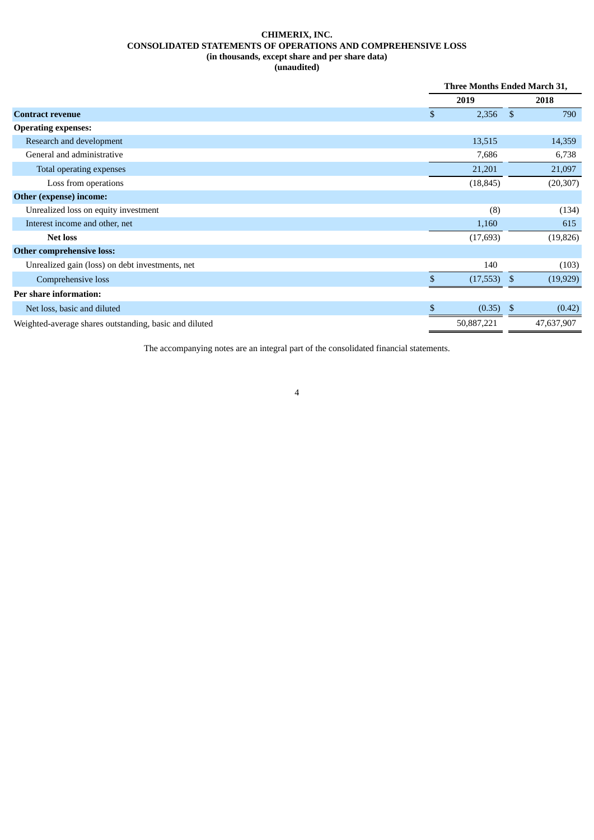# **CHIMERIX, INC. CONSOLIDATED STATEMENTS OF OPERATIONS AND COMPREHENSIVE LOSS (in thousands, except share and per share data) (unaudited)**

<span id="page-4-0"></span>

|                                                        |                             | Three Months Ended March 31, |            |  |  |  |
|--------------------------------------------------------|-----------------------------|------------------------------|------------|--|--|--|
|                                                        | 2019                        |                              | 2018       |  |  |  |
| <b>Contract revenue</b>                                | \$<br>2,356                 | $\mathbf{\hat{S}}$           | 790        |  |  |  |
| <b>Operating expenses:</b>                             |                             |                              |            |  |  |  |
| Research and development                               | 13,515                      |                              | 14,359     |  |  |  |
| General and administrative                             | 7,686                       |                              | 6,738      |  |  |  |
| Total operating expenses                               | 21,201                      |                              | 21,097     |  |  |  |
| Loss from operations                                   | (18, 845)                   |                              | (20, 307)  |  |  |  |
| Other (expense) income:                                |                             |                              |            |  |  |  |
| Unrealized loss on equity investment                   | (8)                         |                              | (134)      |  |  |  |
| Interest income and other, net                         | 1,160                       |                              | 615        |  |  |  |
| <b>Net loss</b>                                        | (17,693)                    |                              | (19, 826)  |  |  |  |
| Other comprehensive loss:                              |                             |                              |            |  |  |  |
| Unrealized gain (loss) on debt investments, net        | 140                         |                              | (103)      |  |  |  |
| Comprehensive loss                                     | \$<br>(17, 553)             | - \$                         | (19, 929)  |  |  |  |
| <b>Per share information:</b>                          |                             |                              |            |  |  |  |
| Net loss, basic and diluted                            | $\mathbb{S}$<br>$(0.35)$ \$ |                              | (0.42)     |  |  |  |
| Weighted-average shares outstanding, basic and diluted | 50,887,221                  |                              | 47,637,907 |  |  |  |

The accompanying notes are an integral part of the consolidated financial statements.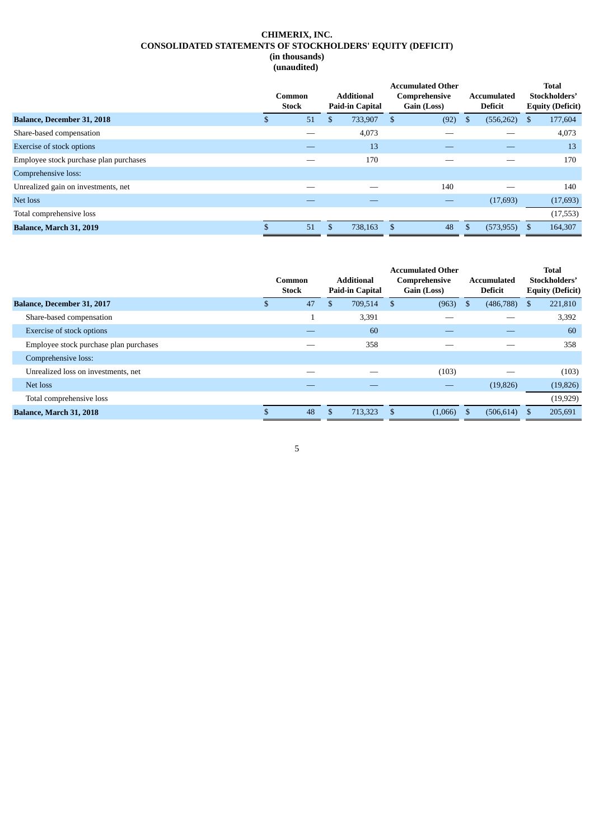# **CHIMERIX, INC. CONSOLIDATED STATEMENTS OF STOCKHOLDERS' EQUITY (DEFICIT) (in thousands) (unaudited)**

<span id="page-5-0"></span>

|                                        |   | Common<br><b>Stock</b> | <b>Additional</b><br><b>Paid-in Capital</b> |      | <b>Accumulated Other</b><br>Comprehensive<br>Gain (Loss) |      | Accumulated<br><b>Deficit</b> |            | <b>Total</b><br>Stockholders'<br><b>Equity (Deficit)</b> |
|----------------------------------------|---|------------------------|---------------------------------------------|------|----------------------------------------------------------|------|-------------------------------|------------|----------------------------------------------------------|
| <b>Balance, December 31, 2018</b>      | S | 51                     | \$<br>733,907                               | \$   | (92)                                                     | - \$ | (556, 262)                    | \$.        | 177,604                                                  |
| Share-based compensation               |   |                        | 4,073                                       |      |                                                          |      |                               |            | 4,073                                                    |
| Exercise of stock options              |   |                        | 13                                          |      |                                                          |      |                               |            | 13                                                       |
| Employee stock purchase plan purchases |   |                        | 170                                         |      |                                                          |      |                               |            | 170                                                      |
| Comprehensive loss:                    |   |                        |                                             |      |                                                          |      |                               |            |                                                          |
| Unrealized gain on investments, net    |   |                        |                                             |      | 140                                                      |      |                               |            | 140                                                      |
| Net loss                               |   |                        |                                             |      |                                                          |      | (17, 693)                     |            | (17, 693)                                                |
| Total comprehensive loss               |   |                        |                                             |      |                                                          |      |                               |            | (17, 553)                                                |
| <b>Balance, March 31, 2019</b>         | S | 51                     | \$<br>738,163                               | - \$ | 48                                                       | \$   | (573, 955)                    | $\sqrt{s}$ | 164,307                                                  |

|                                        | Common<br><b>Stock</b> | <b>Additional</b><br><b>Paid-in Capital</b> |     | <b>Accumulated Other</b><br>Comprehensive<br>Gain (Loss) |      | Accumulated<br>Deficit |               | <b>Total</b><br>Stockholders'<br><b>Equity (Deficit)</b> |
|----------------------------------------|------------------------|---------------------------------------------|-----|----------------------------------------------------------|------|------------------------|---------------|----------------------------------------------------------|
| <b>Balance, December 31, 2017</b>      | \$<br>47               | \$<br>709,514                               | \$  | (963)                                                    | - \$ | (486, 788)             | <sup>\$</sup> | 221,810                                                  |
| Share-based compensation               |                        | 3,391                                       |     |                                                          |      |                        |               | 3,392                                                    |
| Exercise of stock options              |                        | 60                                          |     |                                                          |      |                        |               | 60                                                       |
| Employee stock purchase plan purchases |                        | 358                                         |     |                                                          |      |                        |               | 358                                                      |
| Comprehensive loss:                    |                        |                                             |     |                                                          |      |                        |               |                                                          |
| Unrealized loss on investments, net    |                        |                                             |     | (103)                                                    |      |                        |               | (103)                                                    |
| Net loss                               |                        |                                             |     |                                                          |      | (19, 826)              |               | (19, 826)                                                |
| Total comprehensive loss               |                        |                                             |     |                                                          |      |                        |               | (19, 929)                                                |
| Balance, March 31, 2018                | \$<br>48               | 713,323                                     | \$. | (1,066)                                                  |      | (506, 614)             | S.            | 205,691                                                  |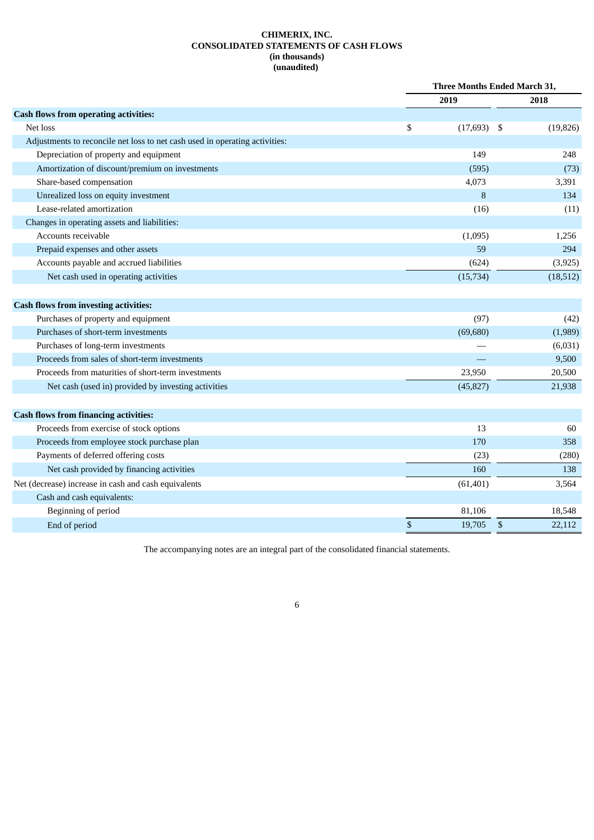# **CHIMERIX, INC. CONSOLIDATED STATEMENTS OF CASH FLOWS (in thousands) (unaudited)**

<span id="page-6-0"></span>

|                                                                             |              | Three Months Ended March 31, |                |              |  |  |
|-----------------------------------------------------------------------------|--------------|------------------------------|----------------|--------------|--|--|
|                                                                             |              | 2019                         |                | 2018         |  |  |
| <b>Cash flows from operating activities:</b>                                |              |                              |                |              |  |  |
| Net loss                                                                    | \$           | $(17,693)$ \$                |                | (19, 826)    |  |  |
| Adjustments to reconcile net loss to net cash used in operating activities: |              |                              |                |              |  |  |
| Depreciation of property and equipment                                      |              | 149                          |                | 248          |  |  |
| Amortization of discount/premium on investments                             |              | (595)                        |                | (73)         |  |  |
| Share-based compensation                                                    |              | 4,073                        |                | 3,391        |  |  |
| Unrealized loss on equity investment                                        |              | 8                            |                | 134          |  |  |
| Lease-related amortization                                                  |              | (16)                         |                | (11)         |  |  |
| Changes in operating assets and liabilities:                                |              |                              |                |              |  |  |
| Accounts receivable                                                         |              | (1,095)                      |                | 1,256        |  |  |
| Prepaid expenses and other assets                                           |              | 59                           |                | 294          |  |  |
| Accounts payable and accrued liabilities                                    |              | (624)                        |                | (3,925)      |  |  |
| Net cash used in operating activities                                       |              | (15, 734)                    |                | (18, 512)    |  |  |
| <b>Cash flows from investing activities:</b>                                |              |                              |                |              |  |  |
| Purchases of property and equipment                                         |              | (97)                         |                | (42)         |  |  |
| Purchases of short-term investments                                         |              | (69, 680)                    |                | (1,989)      |  |  |
| Purchases of long-term investments                                          |              |                              |                | (6,031)      |  |  |
| Proceeds from sales of short-term investments                               |              |                              |                | 9,500        |  |  |
| Proceeds from maturities of short-term investments                          |              | 23,950                       |                | 20,500       |  |  |
| Net cash (used in) provided by investing activities                         |              | (45, 827)                    |                | 21,938       |  |  |
| <b>Cash flows from financing activities:</b>                                |              |                              |                |              |  |  |
| Proceeds from exercise of stock options                                     |              | 13                           |                | 60           |  |  |
| Proceeds from employee stock purchase plan                                  |              | 170                          |                | 358          |  |  |
| Payments of deferred offering costs                                         |              | (23)                         |                |              |  |  |
|                                                                             |              | 160                          |                | (280)<br>138 |  |  |
| Net cash provided by financing activities                                   |              |                              |                |              |  |  |
| Net (decrease) increase in cash and cash equivalents                        |              | (61, 401)                    |                | 3,564        |  |  |
| Cash and cash equivalents:                                                  |              |                              |                |              |  |  |
| Beginning of period                                                         |              | 81,106                       |                | 18,548       |  |  |
| End of period                                                               | $\mathbb{S}$ | 19,705                       | $\mathfrak{S}$ | 22,112       |  |  |

The accompanying notes are an integral part of the consolidated financial statements.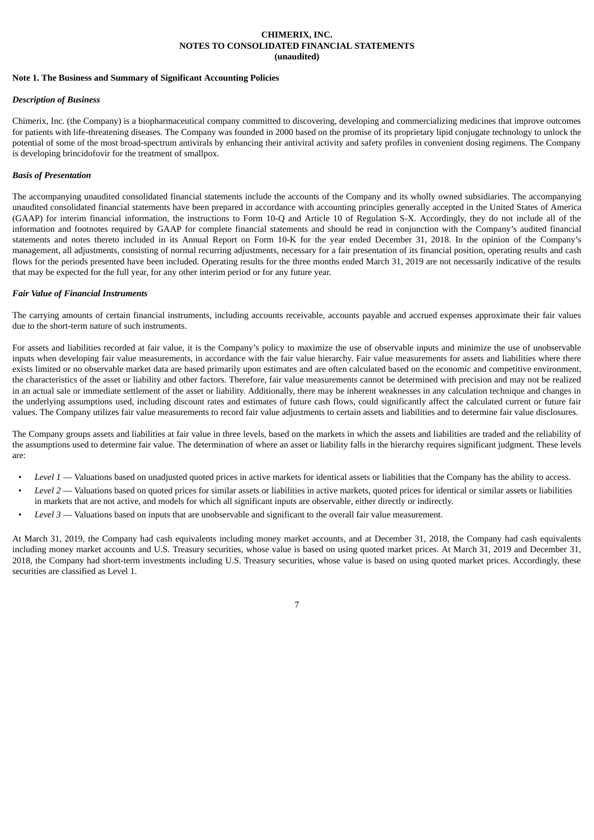## **CHIMERIX, INC. NOTES TO CONSOLIDATED FINANCIAL STATEMENTS (unaudited)**

# <span id="page-7-0"></span>**Note 1. The Business and Summary of Significant Accounting Policies**

# *Description of Business*

Chimerix, Inc. (the Company) is a biopharmaceutical company committed to discovering, developing and commercializing medicines that improve outcomes for patients with life-threatening diseases. The Company was founded in 2000 based on the promise of its proprietary lipid conjugate technology to unlock the potential of some of the most broad-spectrum antivirals by enhancing their antiviral activity and safety profiles in convenient dosing regimens. The Company is developing brincidofovir for the treatment of smallpox.

# *Basis of Presentation*

The accompanying unaudited consolidated financial statements include the accounts of the Company and its wholly owned subsidiaries. The accompanying unaudited consolidated financial statements have been prepared in accordance with accounting principles generally accepted in the United States of America (GAAP) for interim financial information, the instructions to Form 10-Q and Article 10 of Regulation S-X. Accordingly, they do not include all of the information and footnotes required by GAAP for complete financial statements and should be read in conjunction with the Company's audited financial statements and notes thereto included in its Annual Report on Form 10-K for the year ended December 31, 2018. In the opinion of the Company's management, all adjustments, consisting of normal recurring adjustments, necessary for a fair presentation of its financial position, operating results and cash flows for the periods presented have been included. Operating results for the three months ended March 31, 2019 are not necessarily indicative of the results that may be expected for the full year, for any other interim period or for any future year.

# *Fair Value of Financial Instruments*

The carrying amounts of certain financial instruments, including accounts receivable, accounts payable and accrued expenses approximate their fair values due to the short-term nature of such instruments.

For assets and liabilities recorded at fair value, it is the Company's policy to maximize the use of observable inputs and minimize the use of unobservable inputs when developing fair value measurements, in accordance with the fair value hierarchy. Fair value measurements for assets and liabilities where there exists limited or no observable market data are based primarily upon estimates and are often calculated based on the economic and competitive environment, the characteristics of the asset or liability and other factors. Therefore, fair value measurements cannot be determined with precision and may not be realized in an actual sale or immediate settlement of the asset or liability. Additionally, there may be inherent weaknesses in any calculation technique and changes in the underlying assumptions used, including discount rates and estimates of future cash flows, could significantly affect the calculated current or future fair values. The Company utilizes fair value measurements to record fair value adjustments to certain assets and liabilities and to determine fair value disclosures.

The Company groups assets and liabilities at fair value in three levels, based on the markets in which the assets and liabilities are traded and the reliability of the assumptions used to determine fair value. The determination of where an asset or liability falls in the hierarchy requires significant judgment. These levels are:

- Level 1 Valuations based on unadjusted quoted prices in active markets for identical assets or liabilities that the Company has the ability to access.
- *Level 2* Valuations based on quoted prices for similar assets or liabilities in active markets, quoted prices for identical or similar assets or liabilities in markets that are not active, and models for which all significant inputs are observable, either directly or indirectly.
- *Level 3* Valuations based on inputs that are unobservable and significant to the overall fair value measurement.

At March 31, 2019, the Company had cash equivalents including money market accounts, and at December 31, 2018, the Company had cash equivalents including money market accounts and U.S. Treasury securities, whose value is based on using quoted market prices. At March 31, 2019 and December 31, 2018, the Company had short-term investments including U.S. Treasury securities, whose value is based on using quoted market prices. Accordingly, these securities are classified as Level 1.

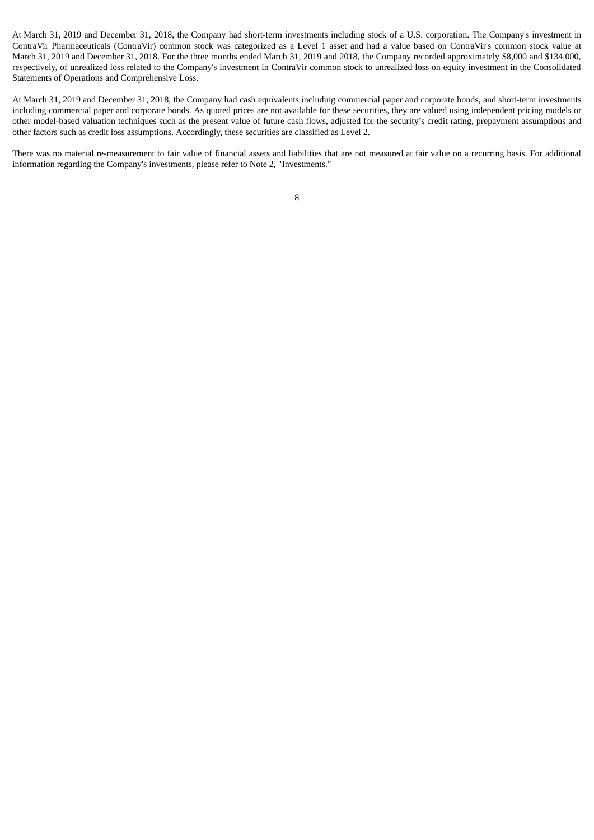At March 31, 2019 and December 31, 2018, the Company had short-term investments including stock of a U.S. corporation. The Company's investment in ContraVir Pharmaceuticals (ContraVir) common stock was categorized as a Level 1 asset and had a value based on ContraVir's common stock value at March 31, 2019 and December 31, 2018. For the three months ended March 31, 2019 and 2018, the Company recorded approximately \$8,000 and \$134,000, respectively, of unrealized loss related to the Company's investment in ContraVir common stock to unrealized loss on equity investment in the Consolidated Statements of Operations and Comprehensive Loss.

At March 31, 2019 and December 31, 2018, the Company had cash equivalents including commercial paper and corporate bonds, and short-term investments including commercial paper and corporate bonds. As quoted prices are not available for these securities, they are valued using independent pricing models or other model-based valuation techniques such as the present value of future cash flows, adjusted for the security's credit rating, prepayment assumptions and other factors such as credit loss assumptions. Accordingly, these securities are classified as Level 2.

There was no material re-measurement to fair value of financial assets and liabilities that are not measured at fair value on a recurring basis. For additional information regarding the Company's investments, please refer to Note 2, "Investments."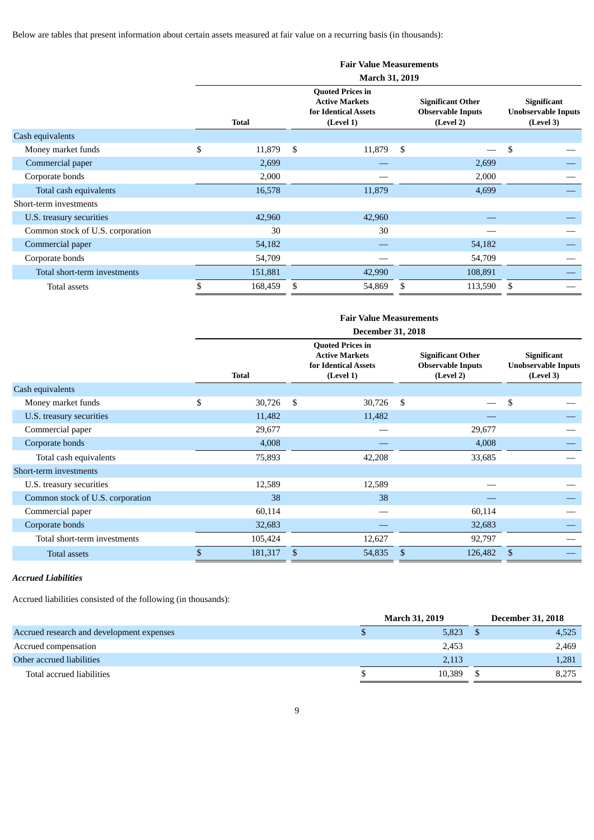Below are tables that present information about certain assets measured at fair value on a recurring basis (in thousands):

|                                  | <b>Fair Value Measurements</b> |                                                                                                       |    |                       |    |                                                                   |                                                               |  |  |  |  |
|----------------------------------|--------------------------------|-------------------------------------------------------------------------------------------------------|----|-----------------------|----|-------------------------------------------------------------------|---------------------------------------------------------------|--|--|--|--|
|                                  |                                |                                                                                                       |    | <b>March 31, 2019</b> |    |                                                                   |                                                               |  |  |  |  |
|                                  |                                | <b>Quoted Prices in</b><br><b>Active Markets</b><br>for Identical Assets<br><b>Total</b><br>(Level 1) |    |                       |    | <b>Significant Other</b><br><b>Observable Inputs</b><br>(Level 2) | <b>Significant</b><br><b>Unobservable Inputs</b><br>(Level 3) |  |  |  |  |
| Cash equivalents                 |                                |                                                                                                       |    |                       |    |                                                                   |                                                               |  |  |  |  |
| Money market funds               | \$                             | 11,879                                                                                                | \$ | 11,879                | \$ |                                                                   | \$                                                            |  |  |  |  |
| Commercial paper                 |                                | 2,699                                                                                                 |    |                       |    | 2,699                                                             |                                                               |  |  |  |  |
| Corporate bonds                  |                                | 2,000                                                                                                 |    |                       |    | 2,000                                                             |                                                               |  |  |  |  |
| Total cash equivalents           |                                | 16,578                                                                                                |    | 11,879                |    | 4,699                                                             |                                                               |  |  |  |  |
| Short-term investments           |                                |                                                                                                       |    |                       |    |                                                                   |                                                               |  |  |  |  |
| U.S. treasury securities         |                                | 42,960                                                                                                |    | 42,960                |    |                                                                   |                                                               |  |  |  |  |
| Common stock of U.S. corporation |                                | 30                                                                                                    |    | 30                    |    |                                                                   |                                                               |  |  |  |  |
| Commercial paper                 |                                | 54,182                                                                                                |    |                       |    | 54,182                                                            |                                                               |  |  |  |  |
| Corporate bonds                  |                                | 54,709                                                                                                |    |                       |    | 54,709                                                            |                                                               |  |  |  |  |
| Total short-term investments     |                                | 151,881                                                                                               |    | 42,990                |    | 108,891                                                           |                                                               |  |  |  |  |
| Total assets                     | \$                             | 168,459                                                                                               | \$ | 54,869                | \$ | 113,590                                                           | \$                                                            |  |  |  |  |

#### **Fair Value Measurements December 31, 2018**

|                                  | December 31, 2010 |              |              |                                                                                       |                |                                                                   |              |                                                               |  |  |
|----------------------------------|-------------------|--------------|--------------|---------------------------------------------------------------------------------------|----------------|-------------------------------------------------------------------|--------------|---------------------------------------------------------------|--|--|
|                                  |                   | <b>Total</b> |              | <b>Quoted Prices in</b><br><b>Active Markets</b><br>for Identical Assets<br>(Level 1) |                | <b>Significant Other</b><br><b>Observable Inputs</b><br>(Level 2) |              | <b>Significant</b><br><b>Unobservable Inputs</b><br>(Level 3) |  |  |
| Cash equivalents                 |                   |              |              |                                                                                       |                |                                                                   |              |                                                               |  |  |
| Money market funds               | \$                | 30,726       | \$           | 30,726                                                                                | \$             |                                                                   | \$           |                                                               |  |  |
| U.S. treasury securities         |                   | 11,482       |              | 11,482                                                                                |                |                                                                   |              |                                                               |  |  |
| Commercial paper                 |                   | 29,677       |              |                                                                                       |                | 29,677                                                            |              |                                                               |  |  |
| Corporate bonds                  |                   | 4,008        |              |                                                                                       |                | 4,008                                                             |              |                                                               |  |  |
| Total cash equivalents           |                   | 75,893       |              | 42,208                                                                                |                | 33,685                                                            |              |                                                               |  |  |
| Short-term investments           |                   |              |              |                                                                                       |                |                                                                   |              |                                                               |  |  |
| U.S. treasury securities         |                   | 12,589       |              | 12,589                                                                                |                |                                                                   |              |                                                               |  |  |
| Common stock of U.S. corporation |                   | 38           |              | 38                                                                                    |                |                                                                   |              |                                                               |  |  |
| Commercial paper                 |                   | 60,114       |              |                                                                                       |                | 60,114                                                            |              |                                                               |  |  |
| Corporate bonds                  |                   | 32,683       |              |                                                                                       |                | 32,683                                                            |              |                                                               |  |  |
| Total short-term investments     |                   | 105,424      |              | 12,627                                                                                |                | 92,797                                                            |              |                                                               |  |  |
| <b>Total assets</b>              | $\mathbb{S}$      | 181,317      | $\mathbb{S}$ | 54,835                                                                                | $\mathfrak{S}$ | 126,482                                                           | $\mathbb{S}$ |                                                               |  |  |

# *Accrued Liabilities*

Accrued liabilities consisted of the following (in thousands):

|                                           | <b>March 31, 2019</b> |        | <b>December 31, 2018</b> |  |  |
|-------------------------------------------|-----------------------|--------|--------------------------|--|--|
| Accrued research and development expenses |                       | 5,823  | 4,525                    |  |  |
| Accrued compensation                      |                       | 2,453  | 2,469                    |  |  |
| Other accrued liabilities                 |                       | 2,113  | 1,281                    |  |  |
| Total accrued liabilities                 |                       | 10,389 | 8.275                    |  |  |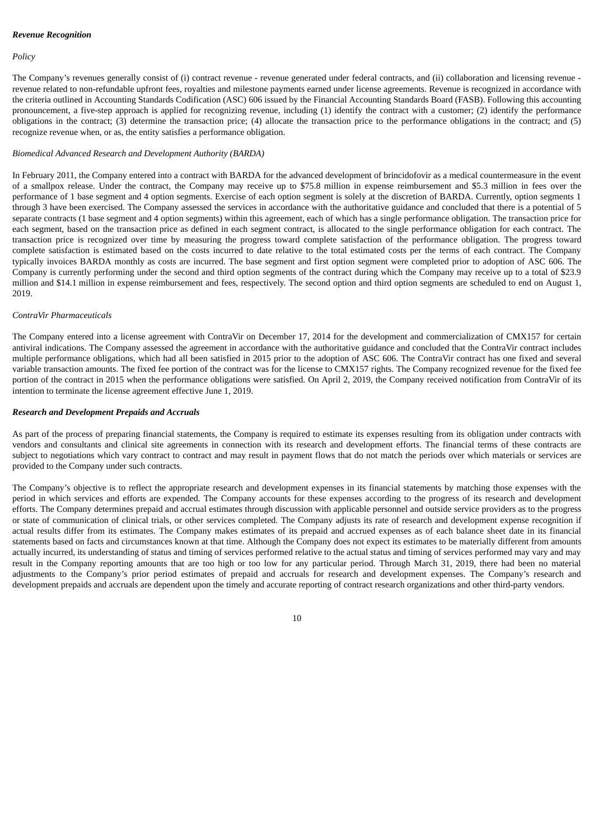#### *Revenue Recognition*

## *Policy*

The Company's revenues generally consist of (i) contract revenue - revenue generated under federal contracts, and (ii) collaboration and licensing revenue revenue related to non-refundable upfront fees, royalties and milestone payments earned under license agreements. Revenue is recognized in accordance with the criteria outlined in Accounting Standards Codification (ASC) 606 issued by the Financial Accounting Standards Board (FASB). Following this accounting pronouncement, a five-step approach is applied for recognizing revenue, including (1) identify the contract with a customer; (2) identify the performance obligations in the contract; (3) determine the transaction price; (4) allocate the transaction price to the performance obligations in the contract; and (5) recognize revenue when, or as, the entity satisfies a performance obligation.

# *Biomedical Advanced Research and Development Authority (BARDA)*

In February 2011, the Company entered into a contract with BARDA for the advanced development of brincidofovir as a medical countermeasure in the event of a smallpox release. Under the contract, the Company may receive up to \$75.8 million in expense reimbursement and \$5.3 million in fees over the performance of 1 base segment and 4 option segments. Exercise of each option segment is solely at the discretion of BARDA. Currently, option segments 1 through 3 have been exercised. The Company assessed the services in accordance with the authoritative guidance and concluded that there is a potential of 5 separate contracts (1 base segment and 4 option segments) within this agreement, each of which has a single performance obligation. The transaction price for each segment, based on the transaction price as defined in each segment contract, is allocated to the single performance obligation for each contract. The transaction price is recognized over time by measuring the progress toward complete satisfaction of the performance obligation. The progress toward complete satisfaction is estimated based on the costs incurred to date relative to the total estimated costs per the terms of each contract. The Company typically invoices BARDA monthly as costs are incurred. The base segment and first option segment were completed prior to adoption of ASC 606. The Company is currently performing under the second and third option segments of the contract during which the Company may receive up to a total of \$23.9 million and \$14.1 million in expense reimbursement and fees, respectively. The second option and third option segments are scheduled to end on August 1, 2019.

## *ContraVir Pharmaceuticals*

The Company entered into a license agreement with ContraVir on December 17, 2014 for the development and commercialization of CMX157 for certain antiviral indications. The Company assessed the agreement in accordance with the authoritative guidance and concluded that the ContraVir contract includes multiple performance obligations, which had all been satisfied in 2015 prior to the adoption of ASC 606. The ContraVir contract has one fixed and several variable transaction amounts. The fixed fee portion of the contract was for the license to CMX157 rights. The Company recognized revenue for the fixed fee portion of the contract in 2015 when the performance obligations were satisfied. On April 2, 2019, the Company received notification from ContraVir of its intention to terminate the license agreement effective June 1, 2019.

## *Research and Development Prepaids and Accruals*

As part of the process of preparing financial statements, the Company is required to estimate its expenses resulting from its obligation under contracts with vendors and consultants and clinical site agreements in connection with its research and development efforts. The financial terms of these contracts are subject to negotiations which vary contract to contract and may result in payment flows that do not match the periods over which materials or services are provided to the Company under such contracts.

The Company's objective is to reflect the appropriate research and development expenses in its financial statements by matching those expenses with the period in which services and efforts are expended. The Company accounts for these expenses according to the progress of its research and development efforts. The Company determines prepaid and accrual estimates through discussion with applicable personnel and outside service providers as to the progress or state of communication of clinical trials, or other services completed. The Company adjusts its rate of research and development expense recognition if actual results differ from its estimates. The Company makes estimates of its prepaid and accrued expenses as of each balance sheet date in its financial statements based on facts and circumstances known at that time. Although the Company does not expect its estimates to be materially different from amounts actually incurred, its understanding of status and timing of services performed relative to the actual status and timing of services performed may vary and may result in the Company reporting amounts that are too high or too low for any particular period. Through March 31, 2019, there had been no material adjustments to the Company's prior period estimates of prepaid and accruals for research and development expenses. The Company's research and development prepaids and accruals are dependent upon the timely and accurate reporting of contract research organizations and other third-party vendors.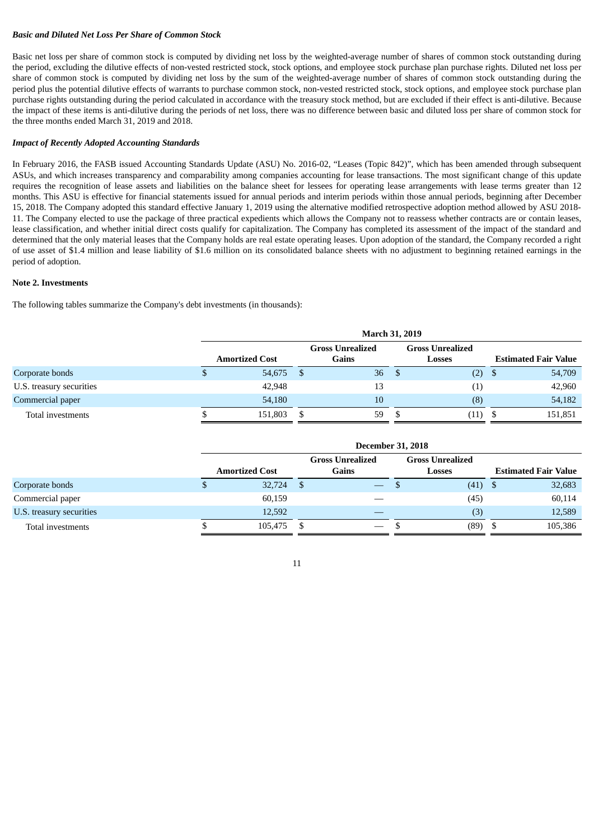## *Basic and Diluted Net Loss Per Share of Common Stock*

Basic net loss per share of common stock is computed by dividing net loss by the weighted-average number of shares of common stock outstanding during the period, excluding the dilutive effects of non-vested restricted stock, stock options, and employee stock purchase plan purchase rights. Diluted net loss per share of common stock is computed by dividing net loss by the sum of the weighted-average number of shares of common stock outstanding during the period plus the potential dilutive effects of warrants to purchase common stock, non-vested restricted stock, stock options, and employee stock purchase plan purchase rights outstanding during the period calculated in accordance with the treasury stock method, but are excluded if their effect is anti-dilutive. Because the impact of these items is anti-dilutive during the periods of net loss, there was no difference between basic and diluted loss per share of common stock for the three months ended March 31, 2019 and 2018.

#### *Impact of Recently Adopted Accounting Standards*

In February 2016, the FASB issued Accounting Standards Update (ASU) No. 2016-02, "Leases (Topic 842)", which has been amended through subsequent ASUs, and which increases transparency and comparability among companies accounting for lease transactions. The most significant change of this update requires the recognition of lease assets and liabilities on the balance sheet for lessees for operating lease arrangements with lease terms greater than 12 months. This ASU is effective for financial statements issued for annual periods and interim periods within those annual periods, beginning after December 15, 2018. The Company adopted this standard effective January 1, 2019 using the alternative modified retrospective adoption method allowed by ASU 2018- 11. The Company elected to use the package of three practical expedients which allows the Company not to reassess whether contracts are or contain leases, lease classification, and whether initial direct costs qualify for capitalization. The Company has completed its assessment of the impact of the standard and determined that the only material leases that the Company holds are real estate operating leases. Upon adoption of the standard, the Company recorded a right of use asset of \$1.4 million and lease liability of \$1.6 million on its consolidated balance sheets with no adjustment to beginning retained earnings in the period of adoption.

#### **Note 2. Investments**

The following tables summarize the Company's debt investments (in thousands):

|                          | <b>March 31, 2019</b> |     |                                         |  |                                   |      |                             |  |  |  |
|--------------------------|-----------------------|-----|-----------------------------------------|--|-----------------------------------|------|-----------------------------|--|--|--|
|                          | <b>Amortized Cost</b> |     | <b>Gross Unrealized</b><br><b>Gains</b> |  | <b>Gross Unrealized</b><br>Losses |      | <b>Estimated Fair Value</b> |  |  |  |
| Corporate bonds          | 54,675                | -\$ | 36                                      |  | (2)                               | - \$ | 54,709                      |  |  |  |
| U.S. treasury securities | 42,948                |     | 13                                      |  | $\left( 1\right)$                 |      | 42,960                      |  |  |  |
| Commercial paper         | 54,180                |     | 10                                      |  | (8)                               |      | 54,182                      |  |  |  |
| Total investments        | 151,803               |     | 59                                      |  | (11)                              | - \$ | 151,851                     |  |  |  |

|                          | <b>December 31, 2018</b> |     |                                  |  |                                   |          |                             |  |  |  |  |
|--------------------------|--------------------------|-----|----------------------------------|--|-----------------------------------|----------|-----------------------------|--|--|--|--|
|                          | <b>Amortized Cost</b>    |     | <b>Gross Unrealized</b><br>Gains |  | <b>Gross Unrealized</b><br>Losses |          | <b>Estimated Fair Value</b> |  |  |  |  |
| Corporate bonds          | $32,724$ \$              |     | $\frac{1}{2}$                    |  | (41)                              | <b>S</b> | 32,683                      |  |  |  |  |
| Commercial paper         | 60,159                   |     | __                               |  | (45)                              |          | 60,114                      |  |  |  |  |
| U.S. treasury securities | 12,592                   |     |                                  |  | (3)                               |          | 12,589                      |  |  |  |  |
| Total investments        | 105,475                  | \$. | $\overline{\phantom{0}}$         |  | (89)                              | -5       | 105,386                     |  |  |  |  |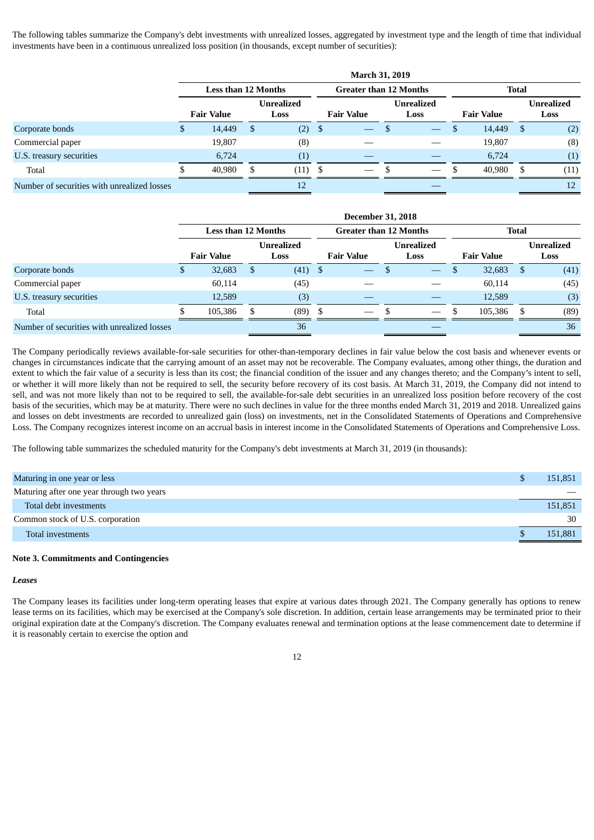The following tables summarize the Company's debt investments with unrealized losses, aggregated by investment type and the length of time that individual investments have been in a continuous unrealized loss position (in thousands, except number of securities):

|                                             |                            |                   |     |                    |      | <b>March 31, 2019</b>         |  |                               |  |                   |    |                    |
|---------------------------------------------|----------------------------|-------------------|-----|--------------------|------|-------------------------------|--|-------------------------------|--|-------------------|----|--------------------|
|                                             | <b>Less than 12 Months</b> |                   |     |                    |      | <b>Greater than 12 Months</b> |  |                               |  | <b>Total</b>      |    |                    |
|                                             |                            | <b>Fair Value</b> |     | Unrealized<br>Loss |      | <b>Fair Value</b>             |  | <b>Unrealized</b><br>Loss     |  | <b>Fair Value</b> |    | Unrealized<br>Loss |
| Corporate bonds                             |                            | 14,449            | -S  | (2)                | -\$  | $\overline{\phantom{m}}$      |  | $\overbrace{\phantom{12333}}$ |  | 14,449            | -S | (2)                |
| Commercial paper                            |                            | 19,807            |     | (8)                |      |                               |  |                               |  | 19,807            |    | (8)                |
| U.S. treasury securities                    |                            | 6,724             |     | (1)                |      |                               |  |                               |  | 6,724             |    | (1)                |
| Total                                       |                            | 40.980            | \$. | (11)               | - \$ | $\overline{\phantom{m}}$      |  |                               |  | 40,980            |    | (11)               |
| Number of securities with unrealized losses |                            |                   |     | 12                 |      |                               |  |                               |  |                   |    | 12                 |

|                                             |                            |                   |    |                    |      | <b>December 31, 2018</b>      |  |                    |   |                   |   |                           |  |
|---------------------------------------------|----------------------------|-------------------|----|--------------------|------|-------------------------------|--|--------------------|---|-------------------|---|---------------------------|--|
|                                             | <b>Less than 12 Months</b> |                   |    |                    |      | <b>Greater than 12 Months</b> |  |                    |   | <b>Total</b>      |   |                           |  |
|                                             |                            | <b>Fair Value</b> |    | Unrealized<br>Loss |      | <b>Fair Value</b>             |  | Unrealized<br>Loss |   | <b>Fair Value</b> |   | <b>Unrealized</b><br>Loss |  |
| Corporate bonds                             | \$                         | 32,683            | S  | (41)               | - \$ |                               |  |                    | Φ | 32,683            | S | (41)                      |  |
| Commercial paper                            |                            | 60,114            |    | (45)               |      |                               |  |                    |   | 60,114            |   | (45)                      |  |
| U.S. treasury securities                    |                            | 12,589            |    | (3)                |      |                               |  |                    |   | 12,589            |   | (3)                       |  |
| Total                                       |                            | 105,386           | -S | (89)               | -S   | $\overline{\phantom{m}}$      |  |                    |   | 105,386           | ж | (89)                      |  |
| Number of securities with unrealized losses |                            |                   |    | 36                 |      |                               |  |                    |   |                   |   | 36                        |  |

The Company periodically reviews available-for-sale securities for other-than-temporary declines in fair value below the cost basis and whenever events or changes in circumstances indicate that the carrying amount of an asset may not be recoverable. The Company evaluates, among other things, the duration and extent to which the fair value of a security is less than its cost; the financial condition of the issuer and any changes thereto; and the Company's intent to sell, or whether it will more likely than not be required to sell, the security before recovery of its cost basis. At March 31, 2019, the Company did not intend to sell, and was not more likely than not to be required to sell, the available-for-sale debt securities in an unrealized loss position before recovery of the cost basis of the securities, which may be at maturity. There were no such declines in value for the three months ended March 31, 2019 and 2018. Unrealized gains and losses on debt investments are recorded to unrealized gain (loss) on investments, net in the Consolidated Statements of Operations and Comprehensive Loss. The Company recognizes interest income on an accrual basis in interest income in the Consolidated Statements of Operations and Comprehensive Loss.

The following table summarizes the scheduled maturity for the Company's debt investments at March 31, 2019 (in thousands):

| Maturing in one year or less              | 151,851 |
|-------------------------------------------|---------|
| Maturing after one year through two years |         |
| Total debt investments                    | 151,851 |
| Common stock of U.S. corporation          | 30      |
| Total investments                         | 151,881 |
|                                           |         |

#### **Note 3. Commitments and Contingencies**

#### *Leases*

The Company leases its facilities under long-term operating leases that expire at various dates through 2021. The Company generally has options to renew lease terms on its facilities, which may be exercised at the Company's sole discretion. In addition, certain lease arrangements may be terminated prior to their original expiration date at the Company's discretion. The Company evaluates renewal and termination options at the lease commencement date to determine if it is reasonably certain to exercise the option and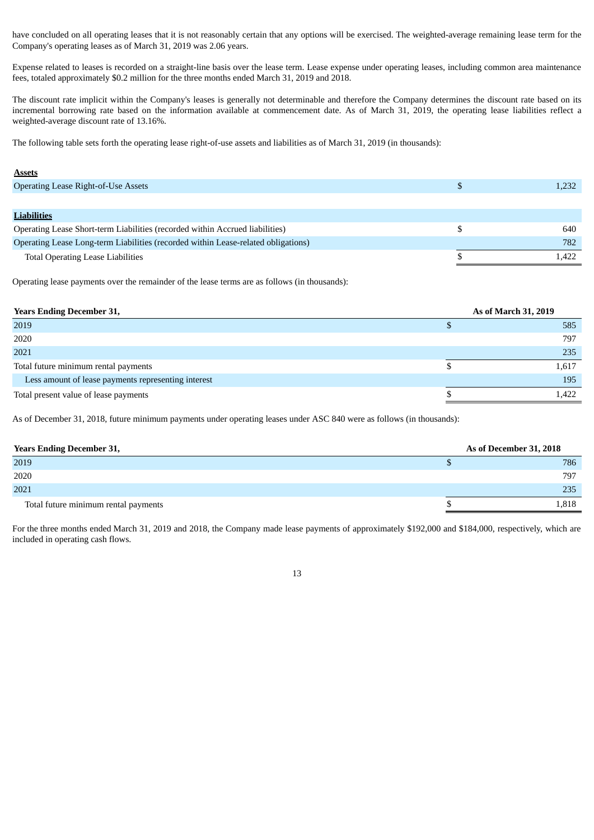have concluded on all operating leases that it is not reasonably certain that any options will be exercised. The weighted-average remaining lease term for the Company's operating leases as of March 31, 2019 was 2.06 years.

Expense related to leases is recorded on a straight-line basis over the lease term. Lease expense under operating leases, including common area maintenance fees, totaled approximately \$0.2 million for the three months ended March 31, 2019 and 2018.

The discount rate implicit within the Company's leases is generally not determinable and therefore the Company determines the discount rate based on its incremental borrowing rate based on the information available at commencement date. As of March 31, 2019, the operating lease liabilities reflect a weighted-average discount rate of 13.16%.

The following table sets forth the operating lease right-of-use assets and liabilities as of March 31, 2019 (in thousands):

## **Assets**

| <b>Operating Lease Right-of-Use Assets</b>                                        | D | 1,232 |
|-----------------------------------------------------------------------------------|---|-------|
|                                                                                   |   |       |
| <b>Liabilities</b>                                                                |   |       |
| Operating Lease Short-term Liabilities (recorded within Accrued liabilities)      |   | 640   |
| Operating Lease Long-term Liabilities (recorded within Lease-related obligations) |   | 782   |
| <b>Total Operating Lease Liabilities</b>                                          |   | 1.422 |

Operating lease payments over the remainder of the lease terms are as follows (in thousands):

| <b>Years Ending December 31,</b>                    | As of March 31, 2019 |       |  |  |
|-----------------------------------------------------|----------------------|-------|--|--|
| 2019                                                | Φ                    | 585   |  |  |
| 2020                                                |                      | 797   |  |  |
| 2021                                                |                      | 235   |  |  |
| Total future minimum rental payments                |                      | 1,617 |  |  |
| Less amount of lease payments representing interest |                      | 195   |  |  |
| Total present value of lease payments               |                      | 1.422 |  |  |

As of December 31, 2018, future minimum payments under operating leases under ASC 840 were as follows (in thousands):

| <b>Years Ending December 31,</b>     | As of December 31, 2018 |       |
|--------------------------------------|-------------------------|-------|
| 2019                                 |                         | 786   |
| 2020                                 |                         | 797   |
| 2021                                 |                         | 235   |
| Total future minimum rental payments |                         | 1,818 |

For the three months ended March 31, 2019 and 2018, the Company made lease payments of approximately \$192,000 and \$184,000, respectively, which are included in operating cash flows.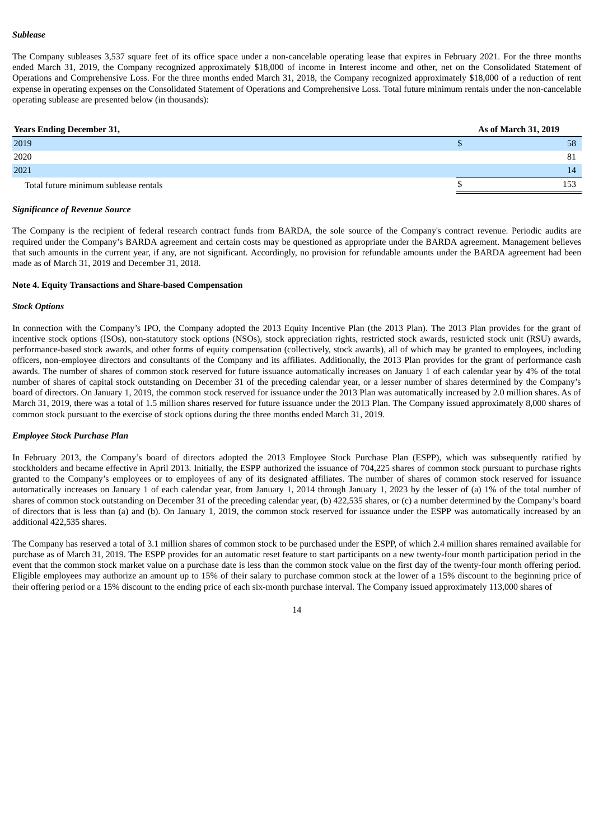#### *Sublease*

The Company subleases 3,537 square feet of its office space under a non-cancelable operating lease that expires in February 2021. For the three months ended March 31, 2019, the Company recognized approximately \$18,000 of income in Interest income and other, net on the Consolidated Statement of Operations and Comprehensive Loss. For the three months ended March 31, 2018, the Company recognized approximately \$18,000 of a reduction of rent expense in operating expenses on the Consolidated Statement of Operations and Comprehensive Loss. Total future minimum rentals under the non-cancelable operating sublease are presented below (in thousands):

| <b>Years Ending December 31,</b>      | As of March 31, 2019 |
|---------------------------------------|----------------------|
| 2019                                  | 58                   |
| 2020                                  | 81                   |
| 2021                                  | 14                   |
| Total future minimum sublease rentals | 153                  |

#### *Significance of Revenue Source*

The Company is the recipient of federal research contract funds from BARDA, the sole source of the Company's contract revenue. Periodic audits are required under the Company's BARDA agreement and certain costs may be questioned as appropriate under the BARDA agreement. Management believes that such amounts in the current year, if any, are not significant. Accordingly, no provision for refundable amounts under the BARDA agreement had been made as of March 31, 2019 and December 31, 2018.

#### **Note 4. Equity Transactions and Share-based Compensation**

#### *Stock Options*

In connection with the Company's IPO, the Company adopted the 2013 Equity Incentive Plan (the 2013 Plan). The 2013 Plan provides for the grant of incentive stock options (ISOs), non-statutory stock options (NSOs), stock appreciation rights, restricted stock awards, restricted stock unit (RSU) awards, performance-based stock awards, and other forms of equity compensation (collectively, stock awards), all of which may be granted to employees, including officers, non-employee directors and consultants of the Company and its affiliates. Additionally, the 2013 Plan provides for the grant of performance cash awards. The number of shares of common stock reserved for future issuance automatically increases on January 1 of each calendar year by 4% of the total number of shares of capital stock outstanding on December 31 of the preceding calendar year, or a lesser number of shares determined by the Company's board of directors. On January 1, 2019, the common stock reserved for issuance under the 2013 Plan was automatically increased by 2.0 million shares. As of March 31, 2019, there was a total of 1.5 million shares reserved for future issuance under the 2013 Plan. The Company issued approximately 8,000 shares of common stock pursuant to the exercise of stock options during the three months ended March 31, 2019.

#### *Employee Stock Purchase Plan*

In February 2013, the Company's board of directors adopted the 2013 Employee Stock Purchase Plan (ESPP), which was subsequently ratified by stockholders and became effective in April 2013. Initially, the ESPP authorized the issuance of 704,225 shares of common stock pursuant to purchase rights granted to the Company's employees or to employees of any of its designated affiliates. The number of shares of common stock reserved for issuance automatically increases on January 1 of each calendar year, from January 1, 2014 through January 1, 2023 by the lesser of (a) 1% of the total number of shares of common stock outstanding on December 31 of the preceding calendar year, (b) 422,535 shares, or (c) a number determined by the Company's board of directors that is less than (a) and (b). On January 1, 2019, the common stock reserved for issuance under the ESPP was automatically increased by an additional 422,535 shares.

The Company has reserved a total of 3.1 million shares of common stock to be purchased under the ESPP, of which 2.4 million shares remained available for purchase as of March 31, 2019. The ESPP provides for an automatic reset feature to start participants on a new twenty-four month participation period in the event that the common stock market value on a purchase date is less than the common stock value on the first day of the twenty-four month offering period. Eligible employees may authorize an amount up to 15% of their salary to purchase common stock at the lower of a 15% discount to the beginning price of their offering period or a 15% discount to the ending price of each six-month purchase interval. The Company issued approximately 113,000 shares of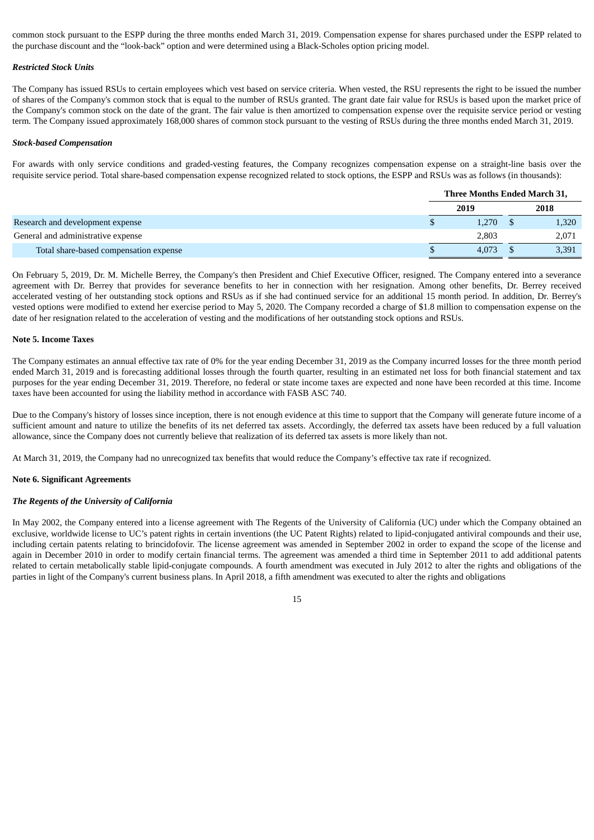common stock pursuant to the ESPP during the three months ended March 31, 2019. Compensation expense for shares purchased under the ESPP related to the purchase discount and the "look-back" option and were determined using a Black-Scholes option pricing model.

#### *Restricted Stock Units*

The Company has issued RSUs to certain employees which vest based on service criteria. When vested, the RSU represents the right to be issued the number of shares of the Company's common stock that is equal to the number of RSUs granted. The grant date fair value for RSUs is based upon the market price of the Company's common stock on the date of the grant. The fair value is then amortized to compensation expense over the requisite service period or vesting term. The Company issued approximately 168,000 shares of common stock pursuant to the vesting of RSUs during the three months ended March 31, 2019.

#### *Stock-based Compensation*

For awards with only service conditions and graded-vesting features, the Company recognizes compensation expense on a straight-line basis over the requisite service period. Total share-based compensation expense recognized related to stock options, the ESPP and RSUs was as follows (in thousands):

|                                        | Three Months Ended March 31, |  |       |  |
|----------------------------------------|------------------------------|--|-------|--|
|                                        | 2019                         |  | 2018  |  |
| Research and development expense       | 1.270                        |  | 1,320 |  |
| General and administrative expense     | 2.803                        |  | 2,071 |  |
| Total share-based compensation expense | 4.073                        |  | 3,391 |  |

On February 5, 2019, Dr. M. Michelle Berrey, the Company's then President and Chief Executive Officer, resigned. The Company entered into a severance agreement with Dr. Berrey that provides for severance benefits to her in connection with her resignation. Among other benefits, Dr. Berrey received accelerated vesting of her outstanding stock options and RSUs as if she had continued service for an additional 15 month period. In addition, Dr. Berrey's vested options were modified to extend her exercise period to May 5, 2020. The Company recorded a charge of \$1.8 million to compensation expense on the date of her resignation related to the acceleration of vesting and the modifications of her outstanding stock options and RSUs.

#### **Note 5. Income Taxes**

The Company estimates an annual effective tax rate of 0% for the year ending December 31, 2019 as the Company incurred losses for the three month period ended March 31, 2019 and is forecasting additional losses through the fourth quarter, resulting in an estimated net loss for both financial statement and tax purposes for the year ending December 31, 2019. Therefore, no federal or state income taxes are expected and none have been recorded at this time. Income taxes have been accounted for using the liability method in accordance with FASB ASC 740.

Due to the Company's history of losses since inception, there is not enough evidence at this time to support that the Company will generate future income of a sufficient amount and nature to utilize the benefits of its net deferred tax assets. Accordingly, the deferred tax assets have been reduced by a full valuation allowance, since the Company does not currently believe that realization of its deferred tax assets is more likely than not.

At March 31, 2019, the Company had no unrecognized tax benefits that would reduce the Company's effective tax rate if recognized.

#### **Note 6. Significant Agreements**

#### *The Regents of the University of California*

In May 2002, the Company entered into a license agreement with The Regents of the University of California (UC) under which the Company obtained an exclusive, worldwide license to UC's patent rights in certain inventions (the UC Patent Rights) related to lipid-conjugated antiviral compounds and their use, including certain patents relating to brincidofovir. The license agreement was amended in September 2002 in order to expand the scope of the license and again in December 2010 in order to modify certain financial terms. The agreement was amended a third time in September 2011 to add additional patents related to certain metabolically stable lipid-conjugate compounds. A fourth amendment was executed in July 2012 to alter the rights and obligations of the parties in light of the Company's current business plans. In April 2018, a fifth amendment was executed to alter the rights and obligations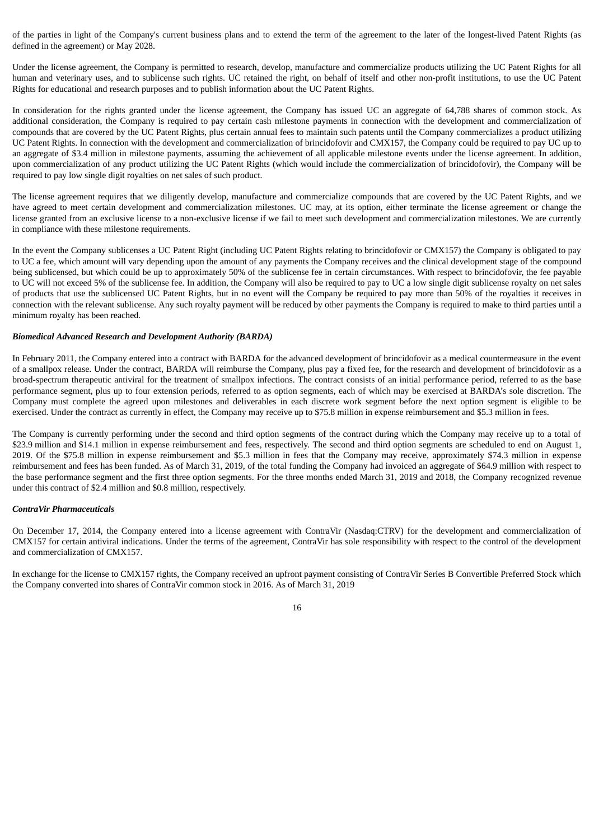of the parties in light of the Company's current business plans and to extend the term of the agreement to the later of the longest-lived Patent Rights (as defined in the agreement) or May 2028.

Under the license agreement, the Company is permitted to research, develop, manufacture and commercialize products utilizing the UC Patent Rights for all human and veterinary uses, and to sublicense such rights. UC retained the right, on behalf of itself and other non-profit institutions, to use the UC Patent Rights for educational and research purposes and to publish information about the UC Patent Rights.

In consideration for the rights granted under the license agreement, the Company has issued UC an aggregate of 64,788 shares of common stock. As additional consideration, the Company is required to pay certain cash milestone payments in connection with the development and commercialization of compounds that are covered by the UC Patent Rights, plus certain annual fees to maintain such patents until the Company commercializes a product utilizing UC Patent Rights. In connection with the development and commercialization of brincidofovir and CMX157, the Company could be required to pay UC up to an aggregate of \$3.4 million in milestone payments, assuming the achievement of all applicable milestone events under the license agreement. In addition, upon commercialization of any product utilizing the UC Patent Rights (which would include the commercialization of brincidofovir), the Company will be required to pay low single digit royalties on net sales of such product.

The license agreement requires that we diligently develop, manufacture and commercialize compounds that are covered by the UC Patent Rights, and we have agreed to meet certain development and commercialization milestones. UC may, at its option, either terminate the license agreement or change the license granted from an exclusive license to a non-exclusive license if we fail to meet such development and commercialization milestones. We are currently in compliance with these milestone requirements.

In the event the Company sublicenses a UC Patent Right (including UC Patent Rights relating to brincidofovir or CMX157) the Company is obligated to pay to UC a fee, which amount will vary depending upon the amount of any payments the Company receives and the clinical development stage of the compound being sublicensed, but which could be up to approximately 50% of the sublicense fee in certain circumstances. With respect to brincidofovir, the fee payable to UC will not exceed 5% of the sublicense fee. In addition, the Company will also be required to pay to UC a low single digit sublicense royalty on net sales of products that use the sublicensed UC Patent Rights, but in no event will the Company be required to pay more than 50% of the royalties it receives in connection with the relevant sublicense. Any such royalty payment will be reduced by other payments the Company is required to make to third parties until a minimum royalty has been reached.

## *Biomedical Advanced Research and Development Authority (BARDA)*

In February 2011, the Company entered into a contract with BARDA for the advanced development of brincidofovir as a medical countermeasure in the event of a smallpox release. Under the contract, BARDA will reimburse the Company, plus pay a fixed fee, for the research and development of brincidofovir as a broad-spectrum therapeutic antiviral for the treatment of smallpox infections. The contract consists of an initial performance period, referred to as the base performance segment, plus up to four extension periods, referred to as option segments, each of which may be exercised at BARDA's sole discretion. The Company must complete the agreed upon milestones and deliverables in each discrete work segment before the next option segment is eligible to be exercised. Under the contract as currently in effect, the Company may receive up to \$75.8 million in expense reimbursement and \$5.3 million in fees.

The Company is currently performing under the second and third option segments of the contract during which the Company may receive up to a total of \$23.9 million and \$14.1 million in expense reimbursement and fees, respectively. The second and third option segments are scheduled to end on August 1, 2019. Of the \$75.8 million in expense reimbursement and \$5.3 million in fees that the Company may receive, approximately \$74.3 million in expense reimbursement and fees has been funded. As of March 31, 2019, of the total funding the Company had invoiced an aggregate of \$64.9 million with respect to the base performance segment and the first three option segments. For the three months ended March 31, 2019 and 2018, the Company recognized revenue under this contract of \$2.4 million and \$0.8 million, respectively.

## *ContraVir Pharmaceuticals*

On December 17, 2014, the Company entered into a license agreement with ContraVir (Nasdaq:CTRV) for the development and commercialization of CMX157 for certain antiviral indications. Under the terms of the agreement, ContraVir has sole responsibility with respect to the control of the development and commercialization of CMX157.

In exchange for the license to CMX157 rights, the Company received an upfront payment consisting of ContraVir Series B Convertible Preferred Stock which the Company converted into shares of ContraVir common stock in 2016. As of March 31, 2019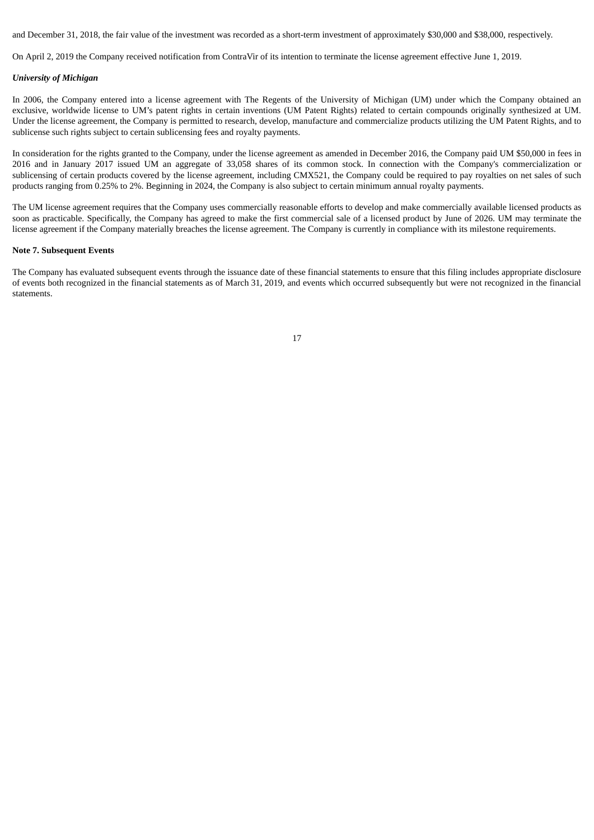and December 31, 2018, the fair value of the investment was recorded as a short-term investment of approximately \$30,000 and \$38,000, respectively.

On April 2, 2019 the Company received notification from ContraVir of its intention to terminate the license agreement effective June 1, 2019.

## *University of Michigan*

In 2006, the Company entered into a license agreement with The Regents of the University of Michigan (UM) under which the Company obtained an exclusive, worldwide license to UM's patent rights in certain inventions (UM Patent Rights) related to certain compounds originally synthesized at UM. Under the license agreement, the Company is permitted to research, develop, manufacture and commercialize products utilizing the UM Patent Rights, and to sublicense such rights subject to certain sublicensing fees and royalty payments.

In consideration for the rights granted to the Company, under the license agreement as amended in December 2016, the Company paid UM \$50,000 in fees in 2016 and in January 2017 issued UM an aggregate of 33,058 shares of its common stock. In connection with the Company's commercialization or sublicensing of certain products covered by the license agreement, including CMX521, the Company could be required to pay royalties on net sales of such products ranging from 0.25% to 2%. Beginning in 2024, the Company is also subject to certain minimum annual royalty payments.

The UM license agreement requires that the Company uses commercially reasonable efforts to develop and make commercially available licensed products as soon as practicable. Specifically, the Company has agreed to make the first commercial sale of a licensed product by June of 2026. UM may terminate the license agreement if the Company materially breaches the license agreement. The Company is currently in compliance with its milestone requirements.

#### **Note 7. Subsequent Events**

The Company has evaluated subsequent events through the issuance date of these financial statements to ensure that this filing includes appropriate disclosure of events both recognized in the financial statements as of March 31, 2019, and events which occurred subsequently but were not recognized in the financial statements.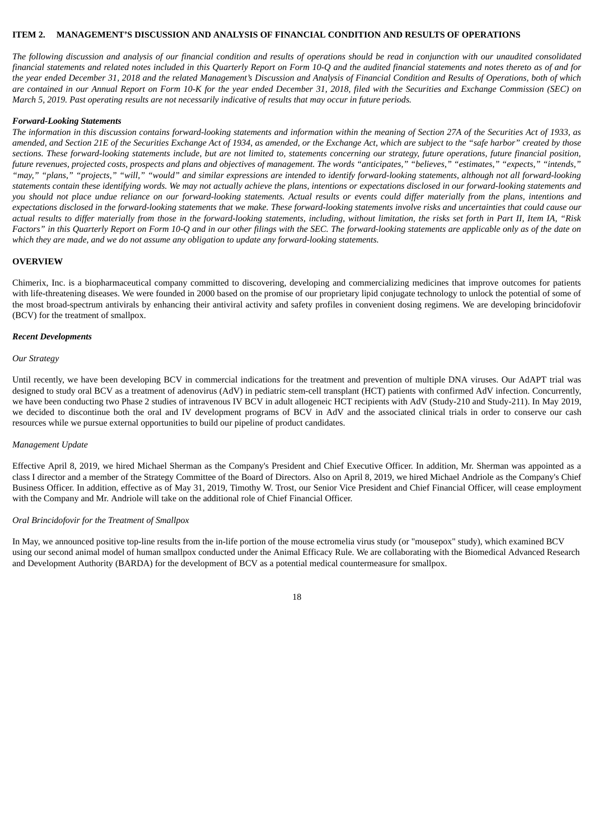#### <span id="page-18-0"></span>**ITEM 2. MANAGEMENT'S DISCUSSION AND ANALYSIS OF FINANCIAL CONDITION AND RESULTS OF OPERATIONS**

The following discussion and analysis of our financial condition and results of operations should be read in conjunction with our unaudited consolidated financial statements and related notes included in this Quarterly Report on Form 10-Q and the audited financial statements and notes thereto as of and for the year ended December 31, 2018 and the related Management's Discussion and Analysis of Financial Condition and Results of Operations, both of which are contained in our Annual Report on Form 10-K for the year ended December 31, 2018, filed with the Securities and Exchange Commission (SEC) on March 5, 2019. Past operating results are not necessarily indicative of results that may occur in future periods.

#### *Forward-Looking Statements*

The information in this discussion contains forward-looking statements and information within the meaning of Section 27A of the Securities Act of 1933, as amended, and Section 21E of the Securities Exchange Act of 1934, as amended, or the Exchange Act, which are subject to the "safe harbor" created by those sections. These forward-looking statements include, but are not limited to, statements concerning our strategy, future operations, future financial position, future revenues, projected costs, prospects and plans and objectives of management. The words "anticipates," "believes," "estimates," "expects," "intends," "may," "plans," "projects," "will," "would" and similar expressions are intended to identify forward-looking statements, although not all forward-looking statements contain these identifying words. We may not actually achieve the plans, intentions or expectations disclosed in our forward-looking statements and you should not place undue reliance on our forward-looking statements. Actual results or events could differ materially from the plans, intentions and expectations disclosed in the forward-looking statements that we make. These forward-looking statements involve risks and uncertainties that could cause our actual results to differ materially from those in the forward-looking statements, including, without limitation, the risks set forth in Part II, Item IA, "Risk Factors" in this Quarterly Report on Form 10-Q and in our other filings with the SEC. The forward-looking statements are applicable only as of the date on *which they are made, and we do not assume any obligation to update any forward-looking statements.*

#### **OVERVIEW**

Chimerix, Inc. is a biopharmaceutical company committed to discovering, developing and commercializing medicines that improve outcomes for patients with life-threatening diseases. We were founded in 2000 based on the promise of our proprietary lipid conjugate technology to unlock the potential of some of the most broad-spectrum antivirals by enhancing their antiviral activity and safety profiles in convenient dosing regimens. We are developing brincidofovir (BCV) for the treatment of smallpox.

#### *Recent Developments*

#### *Our Strategy*

Until recently, we have been developing BCV in commercial indications for the treatment and prevention of multiple DNA viruses. Our AdAPT trial was designed to study oral BCV as a treatment of adenovirus (AdV) in pediatric stem-cell transplant (HCT) patients with confirmed AdV infection. Concurrently, we have been conducting two Phase 2 studies of intravenous IV BCV in adult allogeneic HCT recipients with AdV (Study-210 and Study-211). In May 2019, we decided to discontinue both the oral and IV development programs of BCV in AdV and the associated clinical trials in order to conserve our cash resources while we pursue external opportunities to build our pipeline of product candidates.

#### *Management Update*

Effective April 8, 2019, we hired Michael Sherman as the Company's President and Chief Executive Officer. In addition, Mr. Sherman was appointed as a class I director and a member of the Strategy Committee of the Board of Directors. Also on April 8, 2019, we hired Michael Andriole as the Company's Chief Business Officer. In addition, effective as of May 31, 2019, Timothy W. Trost, our Senior Vice President and Chief Financial Officer, will cease employment with the Company and Mr. Andriole will take on the additional role of Chief Financial Officer.

#### *Oral Brincidofovir for the Treatment of Smallpox*

In May, we announced positive top-line results from the in-life portion of the mouse ectromelia virus study (or "mousepox" study), which examined BCV using our second animal model of human smallpox conducted under the Animal Efficacy Rule. We are collaborating with the Biomedical Advanced Research and Development Authority (BARDA) for the development of BCV as a potential medical countermeasure for smallpox.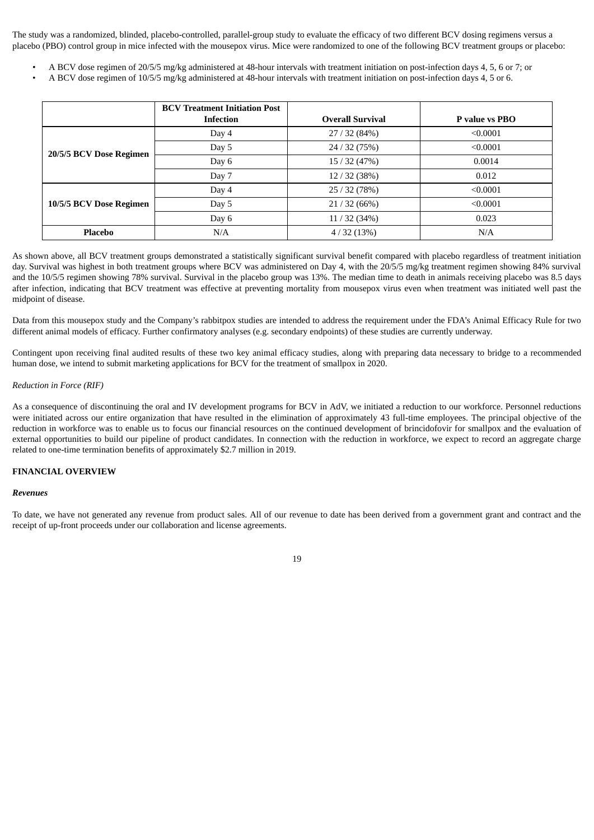The study was a randomized, blinded, placebo-controlled, parallel-group study to evaluate the efficacy of two different BCV dosing regimens versus a placebo (PBO) control group in mice infected with the mousepox virus. Mice were randomized to one of the following BCV treatment groups or placebo:

- A BCV dose regimen of 20/5/5 mg/kg administered at 48-hour intervals with treatment initiation on post-infection days 4, 5, 6 or 7; or
- A BCV dose regimen of 10/5/5 mg/kg administered at 48-hour intervals with treatment initiation on post-infection days 4, 5 or 6.

|                         | <b>BCV</b> Treatment Initiation Post<br><b>Infection</b> | <b>Overall Survival</b> | P value vs PBO |
|-------------------------|----------------------------------------------------------|-------------------------|----------------|
|                         | Day 4                                                    | 27/32(84%)              | < 0.0001       |
| 20/5/5 BCV Dose Regimen | Day 5                                                    | 24 / 32 (75%)           | < 0.0001       |
|                         | Day 6                                                    | 15 / 32 (47%)           | 0.0014         |
|                         | Day 7                                                    | 12/32 (38%)             | 0.012          |
|                         | Day 4                                                    | 25/32(78%)              | < 0.0001       |
| 10/5/5 BCV Dose Regimen | Day 5                                                    | 21/32(66%)              | < 0.0001       |
|                         | Day 6                                                    | 11/32(34%)              | 0.023          |
| <b>Placebo</b>          | N/A                                                      | 4/32(13%)               | N/A            |

As shown above, all BCV treatment groups demonstrated a statistically significant survival benefit compared with placebo regardless of treatment initiation day. Survival was highest in both treatment groups where BCV was administered on Day 4, with the 20/5/5 mg/kg treatment regimen showing 84% survival and the 10/5/5 regimen showing 78% survival. Survival in the placebo group was 13%. The median time to death in animals receiving placebo was 8.5 days after infection, indicating that BCV treatment was effective at preventing mortality from mousepox virus even when treatment was initiated well past the midpoint of disease.

Data from this mousepox study and the Company's rabbitpox studies are intended to address the requirement under the FDA's Animal Efficacy Rule for two different animal models of efficacy. Further confirmatory analyses (e.g. secondary endpoints) of these studies are currently underway.

Contingent upon receiving final audited results of these two key animal efficacy studies, along with preparing data necessary to bridge to a recommended human dose, we intend to submit marketing applications for BCV for the treatment of smallpox in 2020.

# *Reduction in Force (RIF)*

As a consequence of discontinuing the oral and IV development programs for BCV in AdV, we initiated a reduction to our workforce. Personnel reductions were initiated across our entire organization that have resulted in the elimination of approximately 43 full-time employees. The principal objective of the reduction in workforce was to enable us to focus our financial resources on the continued development of brincidofovir for smallpox and the evaluation of external opportunities to build our pipeline of product candidates. In connection with the reduction in workforce, we expect to record an aggregate charge related to one-time termination benefits of approximately \$2.7 million in 2019.

#### **FINANCIAL OVERVIEW**

#### *Revenues*

To date, we have not generated any revenue from product sales. All of our revenue to date has been derived from a government grant and contract and the receipt of up-front proceeds under our collaboration and license agreements.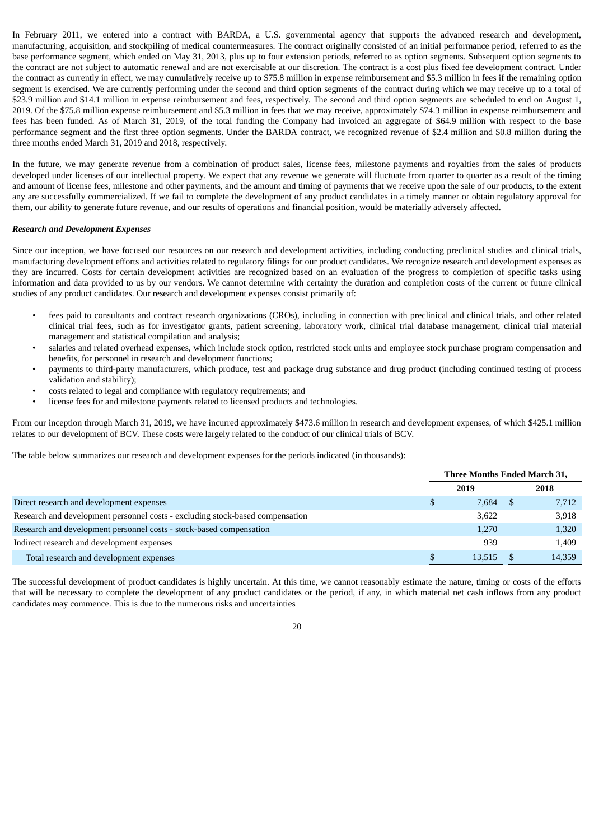In February 2011, we entered into a contract with BARDA, a U.S. governmental agency that supports the advanced research and development, manufacturing, acquisition, and stockpiling of medical countermeasures. The contract originally consisted of an initial performance period, referred to as the base performance segment, which ended on May 31, 2013, plus up to four extension periods, referred to as option segments. Subsequent option segments to the contract are not subject to automatic renewal and are not exercisable at our discretion. The contract is a cost plus fixed fee development contract. Under the contract as currently in effect, we may cumulatively receive up to \$75.8 million in expense reimbursement and \$5.3 million in fees if the remaining option segment is exercised. We are currently performing under the second and third option segments of the contract during which we may receive up to a total of \$23.9 million and \$14.1 million in expense reimbursement and fees, respectively. The second and third option segments are scheduled to end on August 1, 2019. Of the \$75.8 million expense reimbursement and \$5.3 million in fees that we may receive, approximately \$74.3 million in expense reimbursement and fees has been funded. As of March 31, 2019, of the total funding the Company had invoiced an aggregate of \$64.9 million with respect to the base performance segment and the first three option segments. Under the BARDA contract, we recognized revenue of \$2.4 million and \$0.8 million during the three months ended March 31, 2019 and 2018, respectively.

In the future, we may generate revenue from a combination of product sales, license fees, milestone payments and royalties from the sales of products developed under licenses of our intellectual property. We expect that any revenue we generate will fluctuate from quarter to quarter as a result of the timing and amount of license fees, milestone and other payments, and the amount and timing of payments that we receive upon the sale of our products, to the extent any are successfully commercialized. If we fail to complete the development of any product candidates in a timely manner or obtain regulatory approval for them, our ability to generate future revenue, and our results of operations and financial position, would be materially adversely affected.

## *Research and Development Expenses*

Since our inception, we have focused our resources on our research and development activities, including conducting preclinical studies and clinical trials, manufacturing development efforts and activities related to regulatory filings for our product candidates. We recognize research and development expenses as they are incurred. Costs for certain development activities are recognized based on an evaluation of the progress to completion of specific tasks using information and data provided to us by our vendors. We cannot determine with certainty the duration and completion costs of the current or future clinical studies of any product candidates. Our research and development expenses consist primarily of:

- fees paid to consultants and contract research organizations (CROs), including in connection with preclinical and clinical trials, and other related clinical trial fees, such as for investigator grants, patient screening, laboratory work, clinical trial database management, clinical trial material management and statistical compilation and analysis;
- salaries and related overhead expenses, which include stock option, restricted stock units and employee stock purchase program compensation and benefits, for personnel in research and development functions;
- payments to third-party manufacturers, which produce, test and package drug substance and drug product (including continued testing of process validation and stability);
- costs related to legal and compliance with regulatory requirements; and
- license fees for and milestone payments related to licensed products and technologies.

From our inception through March 31, 2019, we have incurred approximately \$473.6 million in research and development expenses, of which \$425.1 million relates to our development of BCV. These costs were largely related to the conduct of our clinical trials of BCV.

The table below summarizes our research and development expenses for the periods indicated (in thousands):

|                                                                               | Three Months Ended March 31, |        |  |        |
|-------------------------------------------------------------------------------|------------------------------|--------|--|--------|
|                                                                               |                              | 2019   |  | 2018   |
| Direct research and development expenses                                      |                              | 7.684  |  | 7,712  |
| Research and development personnel costs - excluding stock-based compensation |                              | 3.622  |  | 3,918  |
| Research and development personnel costs - stock-based compensation           |                              | 1,270  |  | 1,320  |
| Indirect research and development expenses                                    |                              | 939    |  | 1.409  |
| Total research and development expenses                                       |                              | 13.515 |  | 14,359 |

The successful development of product candidates is highly uncertain. At this time, we cannot reasonably estimate the nature, timing or costs of the efforts that will be necessary to complete the development of any product candidates or the period, if any, in which material net cash inflows from any product candidates may commence. This is due to the numerous risks and uncertainties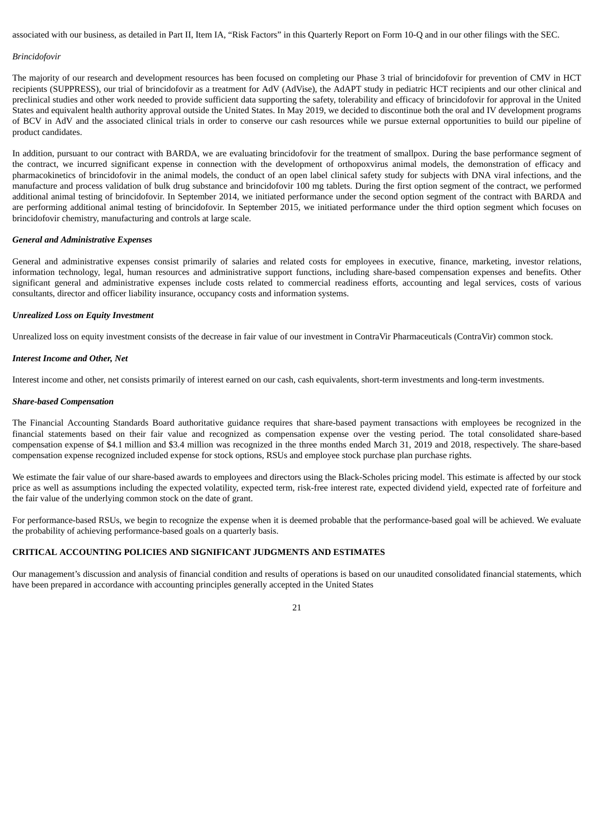associated with our business, as detailed in Part II, Item IA, "Risk Factors" in this Quarterly Report on Form 10-Q and in our other filings with the SEC.

#### *Brincidofovir*

The majority of our research and development resources has been focused on completing our Phase 3 trial of brincidofovir for prevention of CMV in HCT recipients (SUPPRESS), our trial of brincidofovir as a treatment for AdV (AdVise), the AdAPT study in pediatric HCT recipients and our other clinical and preclinical studies and other work needed to provide sufficient data supporting the safety, tolerability and efficacy of brincidofovir for approval in the United States and equivalent health authority approval outside the United States. In May 2019, we decided to discontinue both the oral and IV development programs of BCV in AdV and the associated clinical trials in order to conserve our cash resources while we pursue external opportunities to build our pipeline of product candidates.

In addition, pursuant to our contract with BARDA, we are evaluating brincidofovir for the treatment of smallpox. During the base performance segment of the contract, we incurred significant expense in connection with the development of orthopoxvirus animal models, the demonstration of efficacy and pharmacokinetics of brincidofovir in the animal models, the conduct of an open label clinical safety study for subjects with DNA viral infections, and the manufacture and process validation of bulk drug substance and brincidofovir 100 mg tablets. During the first option segment of the contract, we performed additional animal testing of brincidofovir. In September 2014, we initiated performance under the second option segment of the contract with BARDA and are performing additional animal testing of brincidofovir. In September 2015, we initiated performance under the third option segment which focuses on brincidofovir chemistry, manufacturing and controls at large scale.

#### *General and Administrative Expenses*

General and administrative expenses consist primarily of salaries and related costs for employees in executive, finance, marketing, investor relations, information technology, legal, human resources and administrative support functions, including share-based compensation expenses and benefits. Other significant general and administrative expenses include costs related to commercial readiness efforts, accounting and legal services, costs of various consultants, director and officer liability insurance, occupancy costs and information systems.

#### *Unrealized Loss on Equity Investment*

Unrealized loss on equity investment consists of the decrease in fair value of our investment in ContraVir Pharmaceuticals (ContraVir) common stock.

#### *Interest Income and Other, Net*

Interest income and other, net consists primarily of interest earned on our cash, cash equivalents, short-term investments and long-term investments.

#### *Share-based Compensation*

The Financial Accounting Standards Board authoritative guidance requires that share-based payment transactions with employees be recognized in the financial statements based on their fair value and recognized as compensation expense over the vesting period. The total consolidated share-based compensation expense of \$4.1 million and \$3.4 million was recognized in the three months ended March 31, 2019 and 2018, respectively. The share-based compensation expense recognized included expense for stock options, RSUs and employee stock purchase plan purchase rights.

We estimate the fair value of our share-based awards to employees and directors using the Black-Scholes pricing model. This estimate is affected by our stock price as well as assumptions including the expected volatility, expected term, risk-free interest rate, expected dividend yield, expected rate of forfeiture and the fair value of the underlying common stock on the date of grant.

For performance-based RSUs, we begin to recognize the expense when it is deemed probable that the performance-based goal will be achieved. We evaluate the probability of achieving performance-based goals on a quarterly basis.

## **CRITICAL ACCOUNTING POLICIES AND SIGNIFICANT JUDGMENTS AND ESTIMATES**

Our management's discussion and analysis of financial condition and results of operations is based on our unaudited consolidated financial statements, which have been prepared in accordance with accounting principles generally accepted in the United States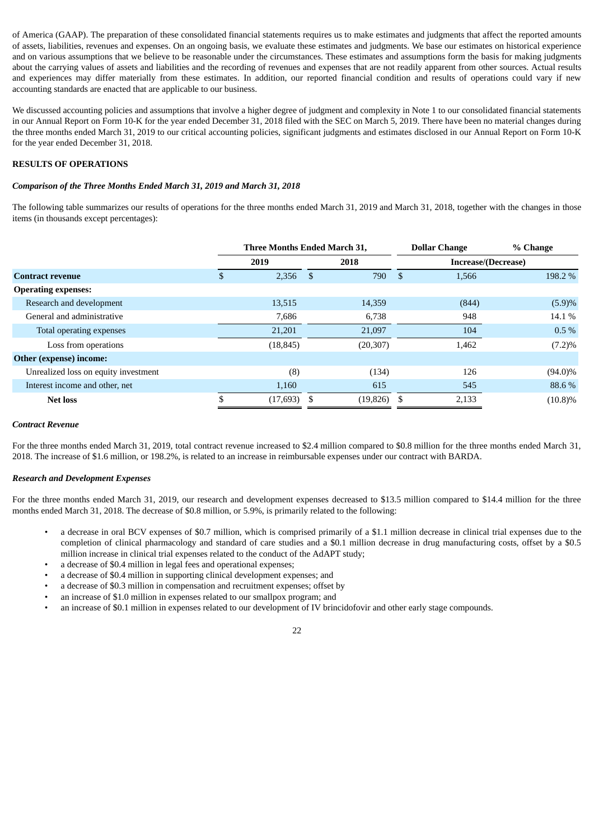of America (GAAP). The preparation of these consolidated financial statements requires us to make estimates and judgments that affect the reported amounts of assets, liabilities, revenues and expenses. On an ongoing basis, we evaluate these estimates and judgments. We base our estimates on historical experience and on various assumptions that we believe to be reasonable under the circumstances. These estimates and assumptions form the basis for making judgments about the carrying values of assets and liabilities and the recording of revenues and expenses that are not readily apparent from other sources. Actual results and experiences may differ materially from these estimates. In addition, our reported financial condition and results of operations could vary if new accounting standards are enacted that are applicable to our business.

We discussed accounting policies and assumptions that involve a higher degree of judgment and complexity in Note 1 to our consolidated financial statements in our Annual Report on Form 10-K for the year ended December 31, 2018 filed with the SEC on March 5, 2019. There have been no material changes during the three months ended March 31, 2019 to our critical accounting policies, significant judgments and estimates disclosed in our Annual Report on Form 10-K for the year ended December 31, 2018.

# **RESULTS OF OPERATIONS**

## *Comparison of the Three Months Ended March 31, 2019 and March 31, 2018*

The following table summarizes our results of operations for the three months ended March 31, 2019 and March 31, 2018, together with the changes in those items (in thousands except percentages):

|                                      | <b>Three Months Ended March 31,</b> |           |     |           | % Change<br><b>Dollar Change</b> |                     |            |
|--------------------------------------|-------------------------------------|-----------|-----|-----------|----------------------------------|---------------------|------------|
|                                      |                                     | 2019      |     | 2018      |                                  | Increase/(Decrease) |            |
| Contract revenue                     | D                                   | 2,356     | \$  | 790       | S                                | 1,566               | 198.2%     |
| <b>Operating expenses:</b>           |                                     |           |     |           |                                  |                     |            |
| Research and development             |                                     | 13,515    |     | 14,359    |                                  | (844)               | (5.9)%     |
| General and administrative           |                                     | 7,686     |     | 6,738     |                                  | 948                 | 14.1 %     |
| Total operating expenses             |                                     | 21,201    |     | 21,097    |                                  | 104                 | $0.5\%$    |
| Loss from operations                 |                                     | (18, 845) |     | (20, 307) |                                  | 1,462               | $(7.2)\%$  |
| Other (expense) income:              |                                     |           |     |           |                                  |                     |            |
| Unrealized loss on equity investment |                                     | (8)       |     | (134)     |                                  | 126                 | $(94.0)\%$ |
| Interest income and other, net       |                                     | 1,160     |     | 615       |                                  | 545                 | 88.6%      |
| <b>Net loss</b>                      |                                     | (17,693)  | \$. | (19, 826) | \$                               | 2,133               | $(10.8)\%$ |

#### *Contract Revenue*

For the three months ended March 31, 2019, total contract revenue increased to \$2.4 million compared to \$0.8 million for the three months ended March 31, 2018. The increase of \$1.6 million, or 198.2%, is related to an increase in reimbursable expenses under our contract with BARDA.

#### *Research and Development Expenses*

For the three months ended March 31, 2019, our research and development expenses decreased to \$13.5 million compared to \$14.4 million for the three months ended March 31, 2018. The decrease of \$0.8 million, or 5.9%, is primarily related to the following:

- a decrease in oral BCV expenses of \$0.7 million, which is comprised primarily of a \$1.1 million decrease in clinical trial expenses due to the completion of clinical pharmacology and standard of care studies and a \$0.1 million decrease in drug manufacturing costs, offset by a \$0.5 million increase in clinical trial expenses related to the conduct of the AdAPT study;
- a decrease of \$0.4 million in legal fees and operational expenses;
- a decrease of \$0.4 million in supporting clinical development expenses; and
- a decrease of \$0.3 million in compensation and recruitment expenses; offset by
- an increase of \$1.0 million in expenses related to our smallpox program; and
- an increase of \$0.1 million in expenses related to our development of IV brincidofovir and other early stage compounds.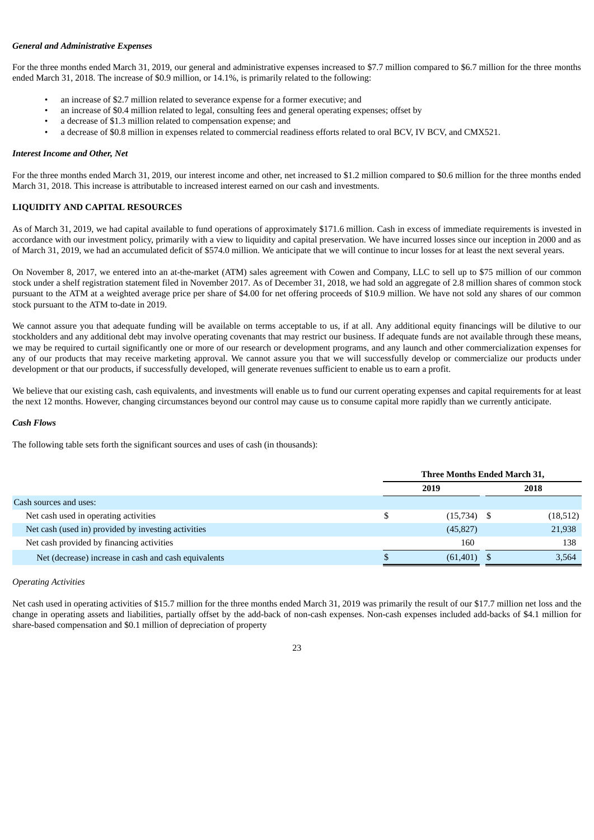## *General and Administrative Expenses*

For the three months ended March 31, 2019, our general and administrative expenses increased to \$7.7 million compared to \$6.7 million for the three months ended March 31, 2018. The increase of \$0.9 million, or 14.1%, is primarily related to the following:

- an increase of \$2.7 million related to severance expense for a former executive; and
- an increase of \$0.4 million related to legal, consulting fees and general operating expenses; offset by
- a decrease of \$1.3 million related to compensation expense; and
- a decrease of \$0.8 million in expenses related to commercial readiness efforts related to oral BCV, IV BCV, and CMX521.

#### *Interest Income and Other, Net*

For the three months ended March 31, 2019, our interest income and other, net increased to \$1.2 million compared to \$0.6 million for the three months ended March 31, 2018. This increase is attributable to increased interest earned on our cash and investments.

# **LIQUIDITY AND CAPITAL RESOURCES**

As of March 31, 2019, we had capital available to fund operations of approximately \$171.6 million. Cash in excess of immediate requirements is invested in accordance with our investment policy, primarily with a view to liquidity and capital preservation. We have incurred losses since our inception in 2000 and as of March 31, 2019, we had an accumulated deficit of \$574.0 million. We anticipate that we will continue to incur losses for at least the next several years.

On November 8, 2017, we entered into an at-the-market (ATM) sales agreement with Cowen and Company, LLC to sell up to \$75 million of our common stock under a shelf registration statement filed in November 2017. As of December 31, 2018, we had sold an aggregate of 2.8 million shares of common stock pursuant to the ATM at a weighted average price per share of \$4.00 for net offering proceeds of \$10.9 million. We have not sold any shares of our common stock pursuant to the ATM to-date in 2019.

We cannot assure you that adequate funding will be available on terms acceptable to us, if at all. Any additional equity financings will be dilutive to our stockholders and any additional debt may involve operating covenants that may restrict our business. If adequate funds are not available through these means, we may be required to curtail significantly one or more of our research or development programs, and any launch and other commercialization expenses for any of our products that may receive marketing approval. We cannot assure you that we will successfully develop or commercialize our products under development or that our products, if successfully developed, will generate revenues sufficient to enable us to earn a profit.

We believe that our existing cash, cash equivalents, and investments will enable us to fund our current operating expenses and capital requirements for at least the next 12 months. However, changing circumstances beyond our control may cause us to consume capital more rapidly than we currently anticipate.

#### *Cash Flows*

The following table sets forth the significant sources and uses of cash (in thousands):

|                                                      | Three Months Ended March 31, |          |  |  |
|------------------------------------------------------|------------------------------|----------|--|--|
|                                                      | 2019                         | 2018     |  |  |
| Cash sources and uses:                               |                              |          |  |  |
| Net cash used in operating activities                | $(15,734)$ \$                | (18,512) |  |  |
| Net cash (used in) provided by investing activities  | (45, 827)                    | 21,938   |  |  |
| Net cash provided by financing activities            | 160                          | 138      |  |  |
| Net (decrease) increase in cash and cash equivalents | $(61,401)$ \$                | 3,564    |  |  |
|                                                      |                              |          |  |  |

# *Operating Activities*

Net cash used in operating activities of \$15.7 million for the three months ended March 31, 2019 was primarily the result of our \$17.7 million net loss and the change in operating assets and liabilities, partially offset by the add-back of non-cash expenses. Non-cash expenses included add-backs of \$4.1 million for share-based compensation and \$0.1 million of depreciation of property

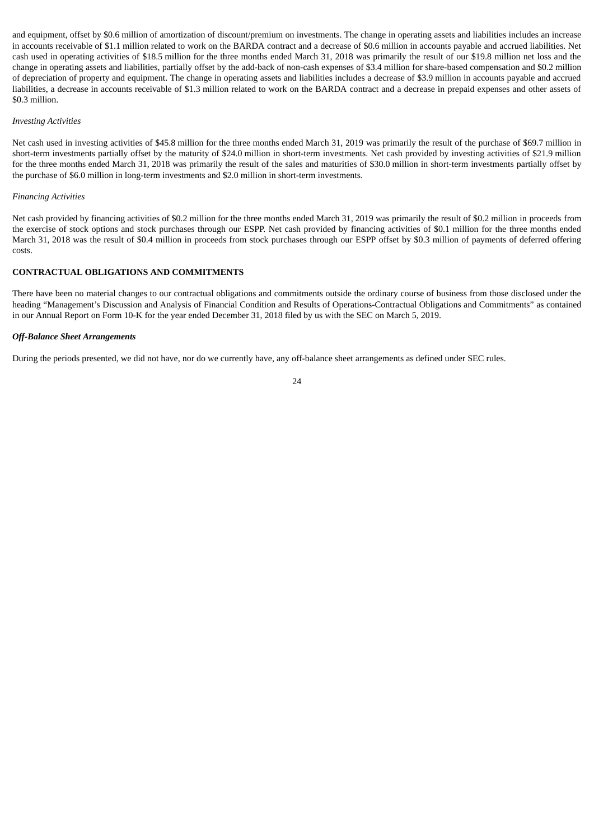and equipment, offset by \$0.6 million of amortization of discount/premium on investments. The change in operating assets and liabilities includes an increase in accounts receivable of \$1.1 million related to work on the BARDA contract and a decrease of \$0.6 million in accounts payable and accrued liabilities. Net cash used in operating activities of \$18.5 million for the three months ended March 31, 2018 was primarily the result of our \$19.8 million net loss and the change in operating assets and liabilities, partially offset by the add-back of non-cash expenses of \$3.4 million for share-based compensation and \$0.2 million of depreciation of property and equipment. The change in operating assets and liabilities includes a decrease of \$3.9 million in accounts payable and accrued liabilities, a decrease in accounts receivable of \$1.3 million related to work on the BARDA contract and a decrease in prepaid expenses and other assets of \$0.3 million.

#### *Investing Activities*

Net cash used in investing activities of \$45.8 million for the three months ended March 31, 2019 was primarily the result of the purchase of \$69.7 million in short-term investments partially offset by the maturity of \$24.0 million in short-term investments. Net cash provided by investing activities of \$21.9 million for the three months ended March 31, 2018 was primarily the result of the sales and maturities of \$30.0 million in short-term investments partially offset by the purchase of \$6.0 million in long-term investments and \$2.0 million in short-term investments.

#### *Financing Activities*

Net cash provided by financing activities of \$0.2 million for the three months ended March 31, 2019 was primarily the result of \$0.2 million in proceeds from the exercise of stock options and stock purchases through our ESPP. Net cash provided by financing activities of \$0.1 million for the three months ended March 31, 2018 was the result of \$0.4 million in proceeds from stock purchases through our ESPP offset by \$0.3 million of payments of deferred offering costs.

## **CONTRACTUAL OBLIGATIONS AND COMMITMENTS**

There have been no material changes to our contractual obligations and commitments outside the ordinary course of business from those disclosed under the heading "Management's Discussion and Analysis of Financial Condition and Results of Operations-Contractual Obligations and Commitments" as contained in our Annual Report on Form 10-K for the year ended December 31, 2018 filed by us with the SEC on March 5, 2019.

#### *Off-Balance Sheet Arrangements*

During the periods presented, we did not have, nor do we currently have, any off-balance sheet arrangements as defined under SEC rules.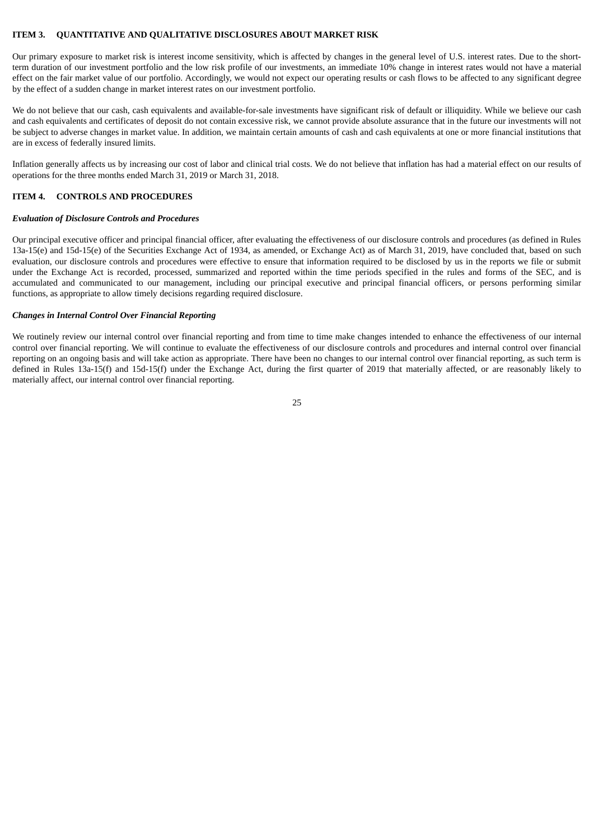## <span id="page-25-0"></span>**ITEM 3. QUANTITATIVE AND QUALITATIVE DISCLOSURES ABOUT MARKET RISK**

Our primary exposure to market risk is interest income sensitivity, which is affected by changes in the general level of U.S. interest rates. Due to the shortterm duration of our investment portfolio and the low risk profile of our investments, an immediate 10% change in interest rates would not have a material effect on the fair market value of our portfolio. Accordingly, we would not expect our operating results or cash flows to be affected to any significant degree by the effect of a sudden change in market interest rates on our investment portfolio.

We do not believe that our cash, cash equivalents and available-for-sale investments have significant risk of default or illiquidity. While we believe our cash and cash equivalents and certificates of deposit do not contain excessive risk, we cannot provide absolute assurance that in the future our investments will not be subject to adverse changes in market value. In addition, we maintain certain amounts of cash and cash equivalents at one or more financial institutions that are in excess of federally insured limits.

Inflation generally affects us by increasing our cost of labor and clinical trial costs. We do not believe that inflation has had a material effect on our results of operations for the three months ended March 31, 2019 or March 31, 2018.

## <span id="page-25-1"></span>**ITEM 4. CONTROLS AND PROCEDURES**

#### *Evaluation of Disclosure Controls and Procedures*

Our principal executive officer and principal financial officer, after evaluating the effectiveness of our disclosure controls and procedures (as defined in Rules 13a-15(e) and 15d-15(e) of the Securities Exchange Act of 1934, as amended, or Exchange Act) as of March 31, 2019, have concluded that, based on such evaluation, our disclosure controls and procedures were effective to ensure that information required to be disclosed by us in the reports we file or submit under the Exchange Act is recorded, processed, summarized and reported within the time periods specified in the rules and forms of the SEC, and is accumulated and communicated to our management, including our principal executive and principal financial officers, or persons performing similar functions, as appropriate to allow timely decisions regarding required disclosure.

#### *Changes in Internal Control Over Financial Reporting*

We routinely review our internal control over financial reporting and from time to time make changes intended to enhance the effectiveness of our internal control over financial reporting. We will continue to evaluate the effectiveness of our disclosure controls and procedures and internal control over financial reporting on an ongoing basis and will take action as appropriate. There have been no changes to our internal control over financial reporting, as such term is defined in Rules 13a-15(f) and 15d-15(f) under the Exchange Act, during the first quarter of 2019 that materially affected, or are reasonably likely to materially affect, our internal control over financial reporting.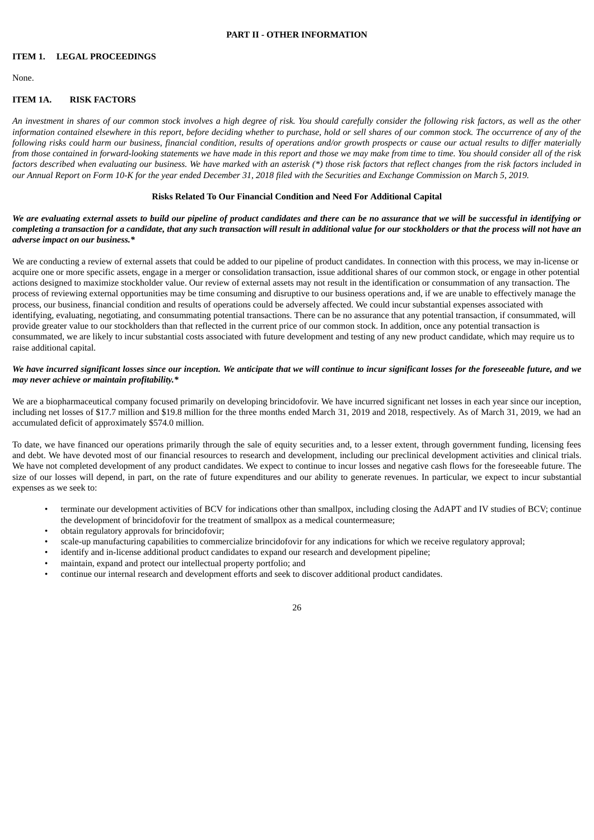## **PART II - OTHER INFORMATION**

## <span id="page-26-1"></span><span id="page-26-0"></span>**ITEM 1. LEGAL PROCEEDINGS**

None.

# <span id="page-26-2"></span>**ITEM 1A. RISK FACTORS**

An investment in shares of our common stock involves a high degree of risk. You should carefully consider the following risk factors, as well as the other information contained elsewhere in this report, before deciding whether to purchase, hold or sell shares of our common stock. The occurrence of any of the following risks could harm our business, financial condition, results of operations and/or growth prospects or cause our actual results to differ materially from those contained in forward-looking statements we have made in this report and those we may make from time to time. You should consider all of the risk factors described when evaluating our business. We have marked with an asterisk (\*) those risk factors that reflect changes from the risk factors included in our Annual Report on Form 10-K for the year ended December 31, 2018 filed with the Securities and Exchange Commission on March 5, 2019.

## **Risks Related To Our Financial Condition and Need For Additional Capital**

# We are evaluating external assets to build our pipeline of product candidates and there can be no assurance that we will be successful in identifying or completing a transaction for a candidate, that any such transaction will result in additional value for our stockholders or that the process will not have an *adverse impact on our business.\**

We are conducting a review of external assets that could be added to our pipeline of product candidates. In connection with this process, we may in-license or acquire one or more specific assets, engage in a merger or consolidation transaction, issue additional shares of our common stock, or engage in other potential actions designed to maximize stockholder value. Our review of external assets may not result in the identification or consummation of any transaction. The process of reviewing external opportunities may be time consuming and disruptive to our business operations and, if we are unable to effectively manage the process, our business, financial condition and results of operations could be adversely affected. We could incur substantial expenses associated with identifying, evaluating, negotiating, and consummating potential transactions. There can be no assurance that any potential transaction, if consummated, will provide greater value to our stockholders than that reflected in the current price of our common stock. In addition, once any potential transaction is consummated, we are likely to incur substantial costs associated with future development and testing of any new product candidate, which may require us to raise additional capital.

## We have incurred significant losses since our inception. We anticipate that we will continue to incur significant losses for the foreseeable future, and we *may never achieve or maintain profitability.\**

We are a biopharmaceutical company focused primarily on developing brincidofovir. We have incurred significant net losses in each year since our inception, including net losses of \$17.7 million and \$19.8 million for the three months ended March 31, 2019 and 2018, respectively. As of March 31, 2019, we had an accumulated deficit of approximately \$574.0 million.

To date, we have financed our operations primarily through the sale of equity securities and, to a lesser extent, through government funding, licensing fees and debt. We have devoted most of our financial resources to research and development, including our preclinical development activities and clinical trials. We have not completed development of any product candidates. We expect to continue to incur losses and negative cash flows for the foreseeable future. The size of our losses will depend, in part, on the rate of future expenditures and our ability to generate revenues. In particular, we expect to incur substantial expenses as we seek to:

- terminate our development activities of BCV for indications other than smallpox, including closing the AdAPT and IV studies of BCV; continue the development of brincidofovir for the treatment of smallpox as a medical countermeasure;
- obtain regulatory approvals for brincidofovir;
- scale-up manufacturing capabilities to commercialize brincidofovir for any indications for which we receive regulatory approval;
- identify and in-license additional product candidates to expand our research and development pipeline;
- maintain, expand and protect our intellectual property portfolio; and
- continue our internal research and development efforts and seek to discover additional product candidates.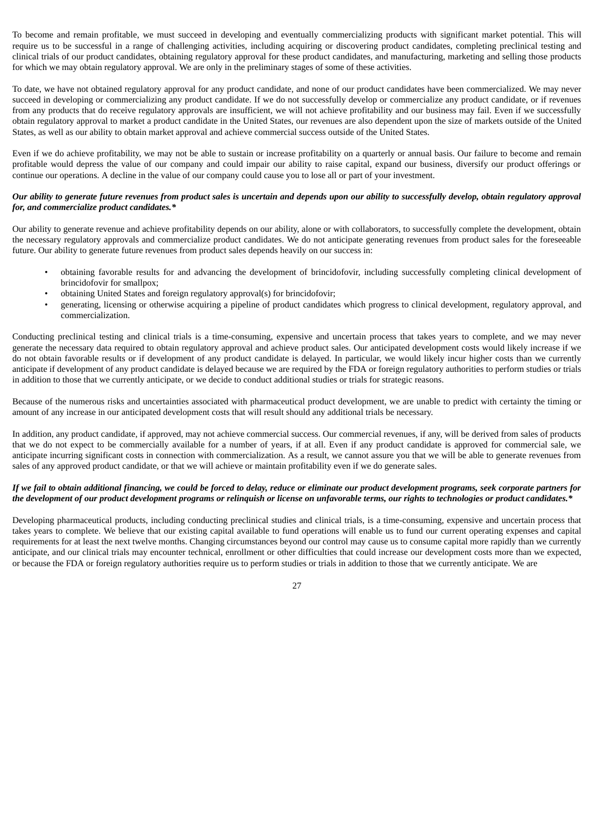To become and remain profitable, we must succeed in developing and eventually commercializing products with significant market potential. This will require us to be successful in a range of challenging activities, including acquiring or discovering product candidates, completing preclinical testing and clinical trials of our product candidates, obtaining regulatory approval for these product candidates, and manufacturing, marketing and selling those products for which we may obtain regulatory approval. We are only in the preliminary stages of some of these activities.

To date, we have not obtained regulatory approval for any product candidate, and none of our product candidates have been commercialized. We may never succeed in developing or commercializing any product candidate. If we do not successfully develop or commercialize any product candidate, or if revenues from any products that do receive regulatory approvals are insufficient, we will not achieve profitability and our business may fail. Even if we successfully obtain regulatory approval to market a product candidate in the United States, our revenues are also dependent upon the size of markets outside of the United States, as well as our ability to obtain market approval and achieve commercial success outside of the United States.

Even if we do achieve profitability, we may not be able to sustain or increase profitability on a quarterly or annual basis. Our failure to become and remain profitable would depress the value of our company and could impair our ability to raise capital, expand our business, diversify our product offerings or continue our operations. A decline in the value of our company could cause you to lose all or part of your investment.

## Our ability to generate future revenues from product sales is uncertain and depends upon our ability to successfully develop, obtain regulatory approval *for, and commercialize product candidates.\**

Our ability to generate revenue and achieve profitability depends on our ability, alone or with collaborators, to successfully complete the development, obtain the necessary regulatory approvals and commercialize product candidates. We do not anticipate generating revenues from product sales for the foreseeable future. Our ability to generate future revenues from product sales depends heavily on our success in:

- obtaining favorable results for and advancing the development of brincidofovir, including successfully completing clinical development of brincidofovir for smallpox;
- obtaining United States and foreign regulatory approval(s) for brincidofovir;
- generating, licensing or otherwise acquiring a pipeline of product candidates which progress to clinical development, regulatory approval, and commercialization.

Conducting preclinical testing and clinical trials is a time-consuming, expensive and uncertain process that takes years to complete, and we may never generate the necessary data required to obtain regulatory approval and achieve product sales. Our anticipated development costs would likely increase if we do not obtain favorable results or if development of any product candidate is delayed. In particular, we would likely incur higher costs than we currently anticipate if development of any product candidate is delayed because we are required by the FDA or foreign regulatory authorities to perform studies or trials in addition to those that we currently anticipate, or we decide to conduct additional studies or trials for strategic reasons.

Because of the numerous risks and uncertainties associated with pharmaceutical product development, we are unable to predict with certainty the timing or amount of any increase in our anticipated development costs that will result should any additional trials be necessary.

In addition, any product candidate, if approved, may not achieve commercial success. Our commercial revenues, if any, will be derived from sales of products that we do not expect to be commercially available for a number of years, if at all. Even if any product candidate is approved for commercial sale, we anticipate incurring significant costs in connection with commercialization. As a result, we cannot assure you that we will be able to generate revenues from sales of any approved product candidate, or that we will achieve or maintain profitability even if we do generate sales.

# If we fail to obtain additional financing, we could be forced to delay, reduce or eliminate our product development programs, seek corporate partners for the development of our product development programs or relinguish or license on unfavorable terms, our rights to technologies or product candidates.\*

Developing pharmaceutical products, including conducting preclinical studies and clinical trials, is a time-consuming, expensive and uncertain process that takes years to complete. We believe that our existing capital available to fund operations will enable us to fund our current operating expenses and capital requirements for at least the next twelve months. Changing circumstances beyond our control may cause us to consume capital more rapidly than we currently anticipate, and our clinical trials may encounter technical, enrollment or other difficulties that could increase our development costs more than we expected, or because the FDA or foreign regulatory authorities require us to perform studies or trials in addition to those that we currently anticipate. We are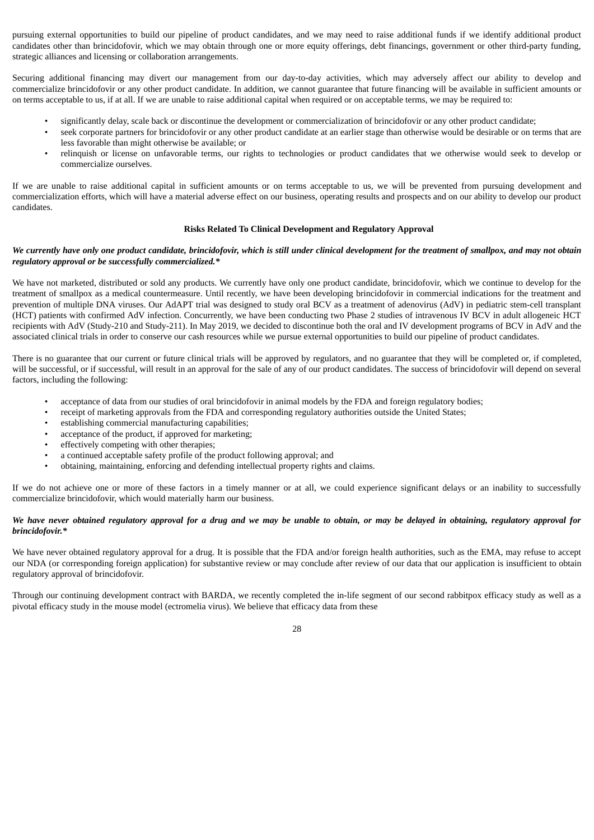pursuing external opportunities to build our pipeline of product candidates, and we may need to raise additional funds if we identify additional product candidates other than brincidofovir, which we may obtain through one or more equity offerings, debt financings, government or other third-party funding, strategic alliances and licensing or collaboration arrangements.

Securing additional financing may divert our management from our day-to-day activities, which may adversely affect our ability to develop and commercialize brincidofovir or any other product candidate. In addition, we cannot guarantee that future financing will be available in sufficient amounts or on terms acceptable to us, if at all. If we are unable to raise additional capital when required or on acceptable terms, we may be required to:

- significantly delay, scale back or discontinue the development or commercialization of brincidofovir or any other product candidate;
- seek corporate partners for brincidofovir or any other product candidate at an earlier stage than otherwise would be desirable or on terms that are less favorable than might otherwise be available; or
- relinquish or license on unfavorable terms, our rights to technologies or product candidates that we otherwise would seek to develop or commercialize ourselves.

If we are unable to raise additional capital in sufficient amounts or on terms acceptable to us, we will be prevented from pursuing development and commercialization efforts, which will have a material adverse effect on our business, operating results and prospects and on our ability to develop our product candidates.

## **Risks Related To Clinical Development and Regulatory Approval**

## We currently have only one product candidate, brincidofovir, which is still under clinical development for the treatment of smallpox, and may not obtain *regulatory approval or be successfully commercialized.\**

We have not marketed, distributed or sold any products. We currently have only one product candidate, brincidofovir, which we continue to develop for the treatment of smallpox as a medical countermeasure. Until recently, we have been developing brincidofovir in commercial indications for the treatment and prevention of multiple DNA viruses. Our AdAPT trial was designed to study oral BCV as a treatment of adenovirus (AdV) in pediatric stem-cell transplant (HCT) patients with confirmed AdV infection. Concurrently, we have been conducting two Phase 2 studies of intravenous IV BCV in adult allogeneic HCT recipients with AdV (Study-210 and Study-211). In May 2019, we decided to discontinue both the oral and IV development programs of BCV in AdV and the associated clinical trials in order to conserve our cash resources while we pursue external opportunities to build our pipeline of product candidates.

There is no guarantee that our current or future clinical trials will be approved by regulators, and no guarantee that they will be completed or, if completed, will be successful, or if successful, will result in an approval for the sale of any of our product candidates. The success of brincidofovir will depend on several factors, including the following:

- acceptance of data from our studies of oral brincidofovir in animal models by the FDA and foreign regulatory bodies;
- receipt of marketing approvals from the FDA and corresponding regulatory authorities outside the United States;
- establishing commercial manufacturing capabilities;
- acceptance of the product, if approved for marketing;
- effectively competing with other therapies;
- a continued acceptable safety profile of the product following approval; and
- obtaining, maintaining, enforcing and defending intellectual property rights and claims.

If we do not achieve one or more of these factors in a timely manner or at all, we could experience significant delays or an inability to successfully commercialize brincidofovir, which would materially harm our business.

# We have never obtained regulatory approval for a drug and we may be unable to obtain, or may be delayed in obtaining, regulatory approval for *brincidofovir.\**

We have never obtained regulatory approval for a drug. It is possible that the FDA and/or foreign health authorities, such as the EMA, may refuse to accept our NDA (or corresponding foreign application) for substantive review or may conclude after review of our data that our application is insufficient to obtain regulatory approval of brincidofovir.

Through our continuing development contract with BARDA, we recently completed the in-life segment of our second rabbitpox efficacy study as well as a pivotal efficacy study in the mouse model (ectromelia virus). We believe that efficacy data from these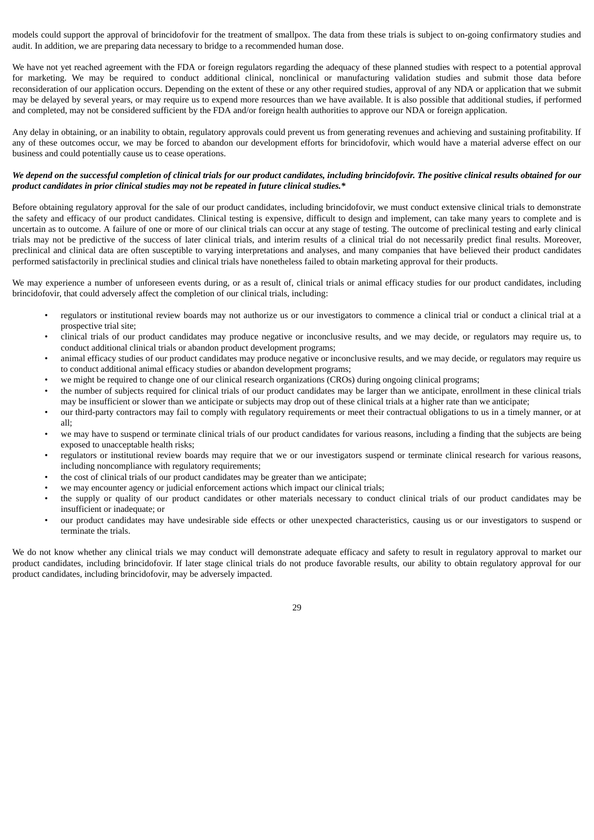models could support the approval of brincidofovir for the treatment of smallpox. The data from these trials is subject to on-going confirmatory studies and audit. In addition, we are preparing data necessary to bridge to a recommended human dose.

We have not yet reached agreement with the FDA or foreign regulators regarding the adequacy of these planned studies with respect to a potential approval for marketing. We may be required to conduct additional clinical, nonclinical or manufacturing validation studies and submit those data before reconsideration of our application occurs. Depending on the extent of these or any other required studies, approval of any NDA or application that we submit may be delayed by several years, or may require us to expend more resources than we have available. It is also possible that additional studies, if performed and completed, may not be considered sufficient by the FDA and/or foreign health authorities to approve our NDA or foreign application.

Any delay in obtaining, or an inability to obtain, regulatory approvals could prevent us from generating revenues and achieving and sustaining profitability. If any of these outcomes occur, we may be forced to abandon our development efforts for brincidofovir, which would have a material adverse effect on our business and could potentially cause us to cease operations.

# We depend on the successful completion of clinical trials for our product candidates, including brincidofovir. The positive clinical results obtained for our *product candidates in prior clinical studies may not be repeated in future clinical studies.\**

Before obtaining regulatory approval for the sale of our product candidates, including brincidofovir, we must conduct extensive clinical trials to demonstrate the safety and efficacy of our product candidates. Clinical testing is expensive, difficult to design and implement, can take many years to complete and is uncertain as to outcome. A failure of one or more of our clinical trials can occur at any stage of testing. The outcome of preclinical testing and early clinical trials may not be predictive of the success of later clinical trials, and interim results of a clinical trial do not necessarily predict final results. Moreover, preclinical and clinical data are often susceptible to varying interpretations and analyses, and many companies that have believed their product candidates performed satisfactorily in preclinical studies and clinical trials have nonetheless failed to obtain marketing approval for their products.

We may experience a number of unforeseen events during, or as a result of, clinical trials or animal efficacy studies for our product candidates, including brincidofovir, that could adversely affect the completion of our clinical trials, including:

- regulators or institutional review boards may not authorize us or our investigators to commence a clinical trial or conduct a clinical trial at a prospective trial site;
- clinical trials of our product candidates may produce negative or inconclusive results, and we may decide, or regulators may require us, to conduct additional clinical trials or abandon product development programs;
- animal efficacy studies of our product candidates may produce negative or inconclusive results, and we may decide, or regulators may require us to conduct additional animal efficacy studies or abandon development programs;
- we might be required to change one of our clinical research organizations (CROs) during ongoing clinical programs;
- the number of subjects required for clinical trials of our product candidates may be larger than we anticipate, enrollment in these clinical trials may be insufficient or slower than we anticipate or subjects may drop out of these clinical trials at a higher rate than we anticipate;
- our third-party contractors may fail to comply with regulatory requirements or meet their contractual obligations to us in a timely manner, or at all;
- we may have to suspend or terminate clinical trials of our product candidates for various reasons, including a finding that the subjects are being exposed to unacceptable health risks;
- regulators or institutional review boards may require that we or our investigators suspend or terminate clinical research for various reasons, including noncompliance with regulatory requirements;
- the cost of clinical trials of our product candidates may be greater than we anticipate;
- we may encounter agency or judicial enforcement actions which impact our clinical trials;
- the supply or quality of our product candidates or other materials necessary to conduct clinical trials of our product candidates may be insufficient or inadequate; or
- our product candidates may have undesirable side effects or other unexpected characteristics, causing us or our investigators to suspend or terminate the trials.

We do not know whether any clinical trials we may conduct will demonstrate adequate efficacy and safety to result in regulatory approval to market our product candidates, including brincidofovir. If later stage clinical trials do not produce favorable results, our ability to obtain regulatory approval for our product candidates, including brincidofovir, may be adversely impacted.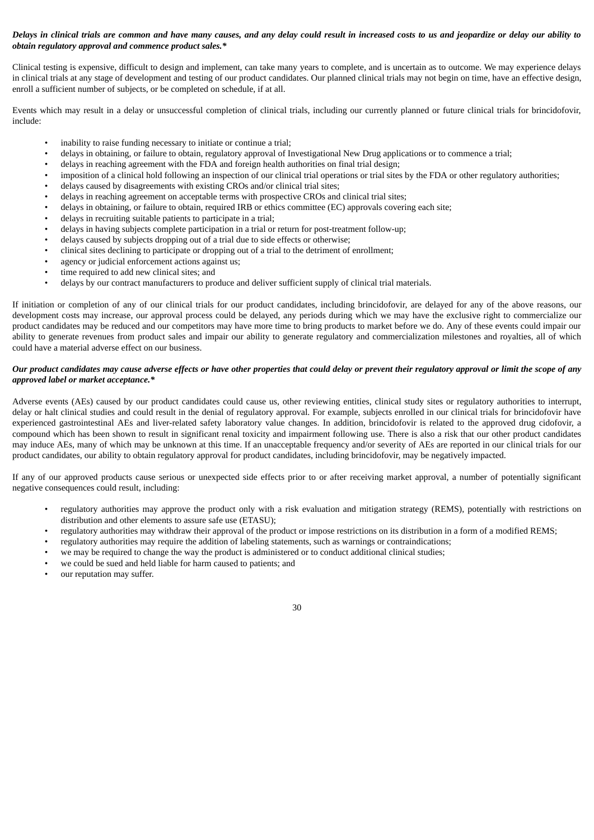# Delays in clinical trials are common and have many causes, and any delay could result in increased costs to us and jeopardize or delay our ability to *obtain regulatory approval and commence product sales.\**

Clinical testing is expensive, difficult to design and implement, can take many years to complete, and is uncertain as to outcome. We may experience delays in clinical trials at any stage of development and testing of our product candidates. Our planned clinical trials may not begin on time, have an effective design, enroll a sufficient number of subjects, or be completed on schedule, if at all.

Events which may result in a delay or unsuccessful completion of clinical trials, including our currently planned or future clinical trials for brincidofovir, include:

- inability to raise funding necessary to initiate or continue a trial;
- delays in obtaining, or failure to obtain, regulatory approval of Investigational New Drug applications or to commence a trial;
- delays in reaching agreement with the FDA and foreign health authorities on final trial design;
- imposition of a clinical hold following an inspection of our clinical trial operations or trial sites by the FDA or other regulatory authorities;
- delays caused by disagreements with existing CROs and/or clinical trial sites;
- delays in reaching agreement on acceptable terms with prospective CROs and clinical trial sites;
- delays in obtaining, or failure to obtain, required IRB or ethics committee (EC) approvals covering each site;
- delays in recruiting suitable patients to participate in a trial;
- delays in having subjects complete participation in a trial or return for post-treatment follow-up;
- delays caused by subjects dropping out of a trial due to side effects or otherwise;
- clinical sites declining to participate or dropping out of a trial to the detriment of enrollment;
- agency or judicial enforcement actions against us;
- time required to add new clinical sites; and
- delays by our contract manufacturers to produce and deliver sufficient supply of clinical trial materials.

If initiation or completion of any of our clinical trials for our product candidates, including brincidofovir, are delayed for any of the above reasons, our development costs may increase, our approval process could be delayed, any periods during which we may have the exclusive right to commercialize our product candidates may be reduced and our competitors may have more time to bring products to market before we do. Any of these events could impair our ability to generate revenues from product sales and impair our ability to generate regulatory and commercialization milestones and royalties, all of which could have a material adverse effect on our business.

## Our product candidates may cause adverse effects or have other properties that could delay or prevent their regulatory approval or limit the scope of any *approved label or market acceptance.\**

Adverse events (AEs) caused by our product candidates could cause us, other reviewing entities, clinical study sites or regulatory authorities to interrupt, delay or halt clinical studies and could result in the denial of regulatory approval. For example, subjects enrolled in our clinical trials for brincidofovir have experienced gastrointestinal AEs and liver-related safety laboratory value changes. In addition, brincidofovir is related to the approved drug cidofovir, a compound which has been shown to result in significant renal toxicity and impairment following use. There is also a risk that our other product candidates may induce AEs, many of which may be unknown at this time. If an unacceptable frequency and/or severity of AEs are reported in our clinical trials for our product candidates, our ability to obtain regulatory approval for product candidates, including brincidofovir, may be negatively impacted.

If any of our approved products cause serious or unexpected side effects prior to or after receiving market approval, a number of potentially significant negative consequences could result, including:

- regulatory authorities may approve the product only with a risk evaluation and mitigation strategy (REMS), potentially with restrictions on distribution and other elements to assure safe use (ETASU);
- regulatory authorities may withdraw their approval of the product or impose restrictions on its distribution in a form of a modified REMS;
- regulatory authorities may require the addition of labeling statements, such as warnings or contraindications;
- we may be required to change the way the product is administered or to conduct additional clinical studies;
- we could be sued and held liable for harm caused to patients; and
- our reputation may suffer.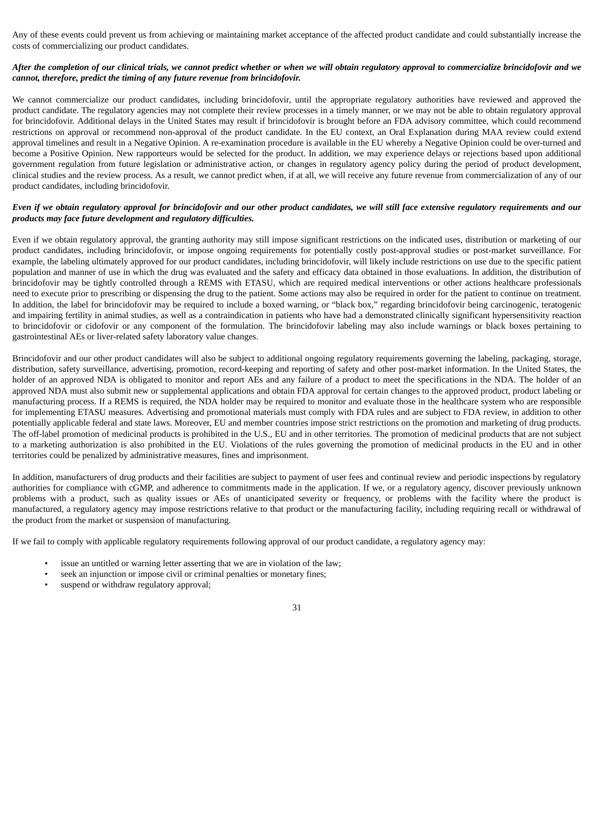Any of these events could prevent us from achieving or maintaining market acceptance of the affected product candidate and could substantially increase the costs of commercializing our product candidates.

## After the completion of our clinical trials, we cannot predict whether or when we will obtain regulatory approval to commercialize brincidofovir and we *cannot, therefore, predict the timing of any future revenue from brincidofovir.*

We cannot commercialize our product candidates, including brincidofovir, until the appropriate regulatory authorities have reviewed and approved the product candidate. The regulatory agencies may not complete their review processes in a timely manner, or we may not be able to obtain regulatory approval for brincidofovir. Additional delays in the United States may result if brincidofovir is brought before an FDA advisory committee, which could recommend restrictions on approval or recommend non-approval of the product candidate. In the EU context, an Oral Explanation during MAA review could extend approval timelines and result in a Negative Opinion. A re-examination procedure is available in the EU whereby a Negative Opinion could be over-turned and become a Positive Opinion. New rapporteurs would be selected for the product. In addition, we may experience delays or rejections based upon additional government regulation from future legislation or administrative action, or changes in regulatory agency policy during the period of product development, clinical studies and the review process. As a result, we cannot predict when, if at all, we will receive any future revenue from commercialization of any of our product candidates, including brincidofovir.

# Even if we obtain reaulatory approval for brincidofovir and our other product candidates, we will still face extensive reaulatory reauirements and our *products may face future development and regulatory difficulties.*

Even if we obtain regulatory approval, the granting authority may still impose significant restrictions on the indicated uses, distribution or marketing of our product candidates, including brincidofovir, or impose ongoing requirements for potentially costly post-approval studies or post-market surveillance. For example, the labeling ultimately approved for our product candidates, including brincidofovir, will likely include restrictions on use due to the specific patient population and manner of use in which the drug was evaluated and the safety and efficacy data obtained in those evaluations. In addition, the distribution of brincidofovir may be tightly controlled through a REMS with ETASU, which are required medical interventions or other actions healthcare professionals need to execute prior to prescribing or dispensing the drug to the patient. Some actions may also be required in order for the patient to continue on treatment. In addition, the label for brincidofovir may be required to include a boxed warning, or "black box," regarding brincidofovir being carcinogenic, teratogenic and impairing fertility in animal studies, as well as a contraindication in patients who have had a demonstrated clinically significant hypersensitivity reaction to brincidofovir or cidofovir or any component of the formulation. The brincidofovir labeling may also include warnings or black boxes pertaining to gastrointestinal AEs or liver-related safety laboratory value changes.

Brincidofovir and our other product candidates will also be subject to additional ongoing regulatory requirements governing the labeling, packaging, storage, distribution, safety surveillance, advertising, promotion, record-keeping and reporting of safety and other post-market information. In the United States, the holder of an approved NDA is obligated to monitor and report AEs and any failure of a product to meet the specifications in the NDA. The holder of an approved NDA must also submit new or supplemental applications and obtain FDA approval for certain changes to the approved product, product labeling or manufacturing process. If a REMS is required, the NDA holder may be required to monitor and evaluate those in the healthcare system who are responsible for implementing ETASU measures. Advertising and promotional materials must comply with FDA rules and are subject to FDA review, in addition to other potentially applicable federal and state laws. Moreover, EU and member countries impose strict restrictions on the promotion and marketing of drug products. The off-label promotion of medicinal products is prohibited in the U.S., EU and in other territories. The promotion of medicinal products that are not subject to a marketing authorization is also prohibited in the EU. Violations of the rules governing the promotion of medicinal products in the EU and in other territories could be penalized by administrative measures, fines and imprisonment.

In addition, manufacturers of drug products and their facilities are subject to payment of user fees and continual review and periodic inspections by regulatory authorities for compliance with cGMP, and adherence to commitments made in the application. If we, or a regulatory agency, discover previously unknown problems with a product, such as quality issues or AEs of unanticipated severity or frequency, or problems with the facility where the product is manufactured, a regulatory agency may impose restrictions relative to that product or the manufacturing facility, including requiring recall or withdrawal of the product from the market or suspension of manufacturing.

If we fail to comply with applicable regulatory requirements following approval of our product candidate, a regulatory agency may:

- issue an untitled or warning letter asserting that we are in violation of the law;
- seek an injunction or impose civil or criminal penalties or monetary fines;
- suspend or withdraw regulatory approval;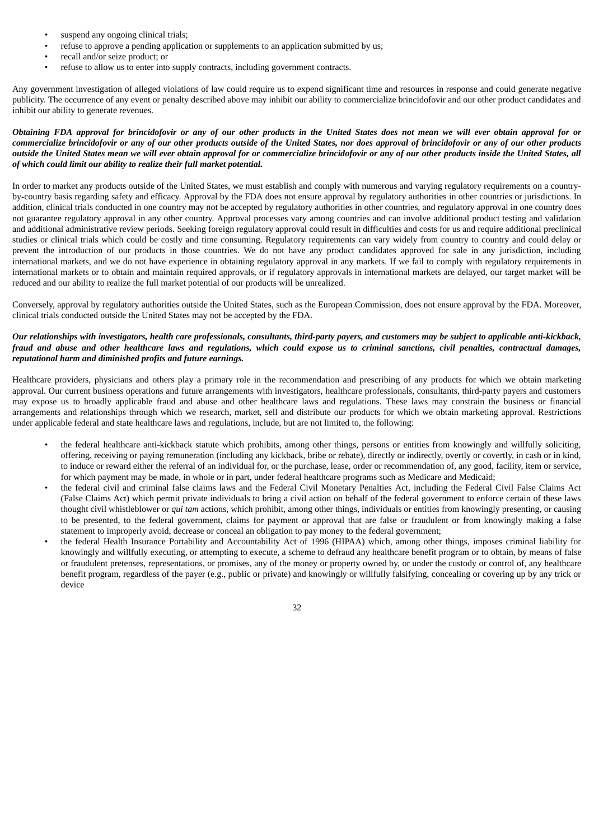- suspend any ongoing clinical trials;
- refuse to approve a pending application or supplements to an application submitted by us;
- recall and/or seize product; or
- refuse to allow us to enter into supply contracts, including government contracts.

Any government investigation of alleged violations of law could require us to expend significant time and resources in response and could generate negative publicity. The occurrence of any event or penalty described above may inhibit our ability to commercialize brincidofovir and our other product candidates and inhibit our ability to generate revenues.

# Obtaining FDA approval for brincidofovir or any of our other products in the United States does not mean we will ever obtain approval for or commercialize brincidofovir or any of our other products outside of the United States, nor does approval of brincidofovir or any of our other products outside the United States mean we will ever obtain approval for or commercialize brincidofovir or any of our other products inside the United States, all *of which could limit our ability to realize their full market potential.*

In order to market any products outside of the United States, we must establish and comply with numerous and varying regulatory requirements on a countryby-country basis regarding safety and efficacy. Approval by the FDA does not ensure approval by regulatory authorities in other countries or jurisdictions. In addition, clinical trials conducted in one country may not be accepted by regulatory authorities in other countries, and regulatory approval in one country does not guarantee regulatory approval in any other country. Approval processes vary among countries and can involve additional product testing and validation and additional administrative review periods. Seeking foreign regulatory approval could result in difficulties and costs for us and require additional preclinical studies or clinical trials which could be costly and time consuming. Regulatory requirements can vary widely from country to country and could delay or prevent the introduction of our products in those countries. We do not have any product candidates approved for sale in any jurisdiction, including international markets, and we do not have experience in obtaining regulatory approval in any markets. If we fail to comply with regulatory requirements in international markets or to obtain and maintain required approvals, or if regulatory approvals in international markets are delayed, our target market will be reduced and our ability to realize the full market potential of our products will be unrealized.

Conversely, approval by regulatory authorities outside the United States, such as the European Commission, does not ensure approval by the FDA. Moreover, clinical trials conducted outside the United States may not be accepted by the FDA.

# Our relationships with investigators, health care professionals, consultants, third-party payers, and customers may be subject to applicable anti-kickback, fraud and abuse and other healthcare laws and regulations, which could expose us to criminal sanctions, civil penalties, contractual damages, *reputational harm and diminished profits and future earnings.*

Healthcare providers, physicians and others play a primary role in the recommendation and prescribing of any products for which we obtain marketing approval. Our current business operations and future arrangements with investigators, healthcare professionals, consultants, third-party payers and customers may expose us to broadly applicable fraud and abuse and other healthcare laws and regulations. These laws may constrain the business or financial arrangements and relationships through which we research, market, sell and distribute our products for which we obtain marketing approval. Restrictions under applicable federal and state healthcare laws and regulations, include, but are not limited to, the following:

- the federal healthcare anti-kickback statute which prohibits, among other things, persons or entities from knowingly and willfully soliciting, offering, receiving or paying remuneration (including any kickback, bribe or rebate), directly or indirectly, overtly or covertly, in cash or in kind, to induce or reward either the referral of an individual for, or the purchase, lease, order or recommendation of, any good, facility, item or service, for which payment may be made, in whole or in part, under federal healthcare programs such as Medicare and Medicaid;
- the federal civil and criminal false claims laws and the Federal Civil Monetary Penalties Act, including the Federal Civil False Claims Act (False Claims Act) which permit private individuals to bring a civil action on behalf of the federal government to enforce certain of these laws thought civil whistleblower or *qui tam* actions, which prohibit, among other things, individuals or entities from knowingly presenting, or causing to be presented, to the federal government, claims for payment or approval that are false or fraudulent or from knowingly making a false statement to improperly avoid, decrease or conceal an obligation to pay money to the federal government;
- the federal Health Insurance Portability and Accountability Act of 1996 (HIPAA) which, among other things, imposes criminal liability for knowingly and willfully executing, or attempting to execute, a scheme to defraud any healthcare benefit program or to obtain, by means of false or fraudulent pretenses, representations, or promises, any of the money or property owned by, or under the custody or control of, any healthcare benefit program, regardless of the payer (e.g., public or private) and knowingly or willfully falsifying, concealing or covering up by any trick or device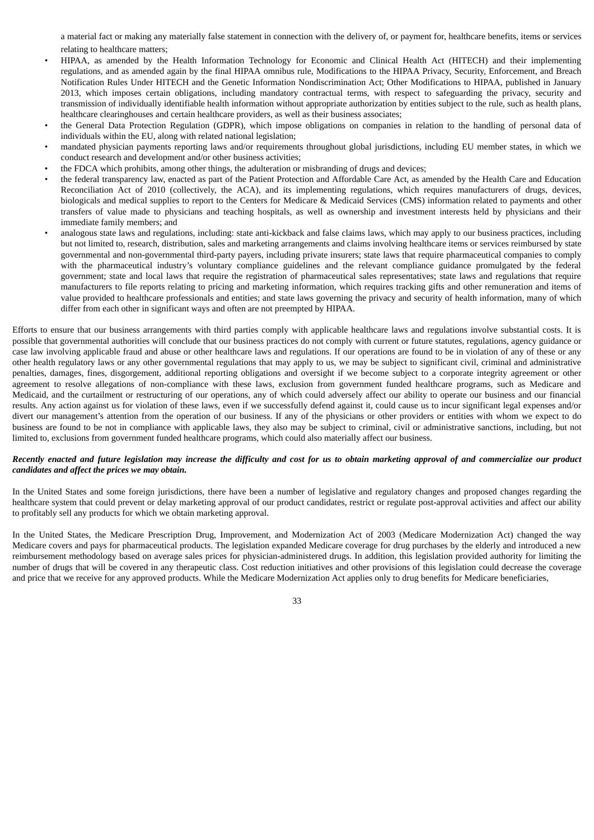a material fact or making any materially false statement in connection with the delivery of, or payment for, healthcare benefits, items or services relating to healthcare matters;

- HIPAA, as amended by the Health Information Technology for Economic and Clinical Health Act (HITECH) and their implementing regulations, and as amended again by the final HIPAA omnibus rule, Modifications to the HIPAA Privacy, Security, Enforcement, and Breach Notification Rules Under HITECH and the Genetic Information Nondiscrimination Act; Other Modifications to HIPAA, published in January 2013, which imposes certain obligations, including mandatory contractual terms, with respect to safeguarding the privacy, security and transmission of individually identifiable health information without appropriate authorization by entities subject to the rule, such as health plans, healthcare clearinghouses and certain healthcare providers, as well as their business associates;
- the General Data Protection Regulation (GDPR), which impose obligations on companies in relation to the handling of personal data of individuals within the EU, along with related national legislation;
- mandated physician payments reporting laws and/or requirements throughout global jurisdictions, including EU member states, in which we conduct research and development and/or other business activities;
- the FDCA which prohibits, among other things, the adulteration or misbranding of drugs and devices;
- the federal transparency law, enacted as part of the Patient Protection and Affordable Care Act, as amended by the Health Care and Education Reconciliation Act of 2010 (collectively, the ACA), and its implementing regulations, which requires manufacturers of drugs, devices, biologicals and medical supplies to report to the Centers for Medicare & Medicaid Services (CMS) information related to payments and other transfers of value made to physicians and teaching hospitals, as well as ownership and investment interests held by physicians and their immediate family members; and
- analogous state laws and regulations, including: state anti-kickback and false claims laws, which may apply to our business practices, including but not limited to, research, distribution, sales and marketing arrangements and claims involving healthcare items or services reimbursed by state governmental and non-governmental third-party payers, including private insurers; state laws that require pharmaceutical companies to comply with the pharmaceutical industry's voluntary compliance guidelines and the relevant compliance guidance promulgated by the federal government; state and local laws that require the registration of pharmaceutical sales representatives; state laws and regulations that require manufacturers to file reports relating to pricing and marketing information, which requires tracking gifts and other remuneration and items of value provided to healthcare professionals and entities; and state laws governing the privacy and security of health information, many of which differ from each other in significant ways and often are not preempted by HIPAA.

Efforts to ensure that our business arrangements with third parties comply with applicable healthcare laws and regulations involve substantial costs. It is possible that governmental authorities will conclude that our business practices do not comply with current or future statutes, regulations, agency guidance or case law involving applicable fraud and abuse or other healthcare laws and regulations. If our operations are found to be in violation of any of these or any other health regulatory laws or any other governmental regulations that may apply to us, we may be subject to significant civil, criminal and administrative penalties, damages, fines, disgorgement, additional reporting obligations and oversight if we become subject to a corporate integrity agreement or other agreement to resolve allegations of non-compliance with these laws, exclusion from government funded healthcare programs, such as Medicare and Medicaid, and the curtailment or restructuring of our operations, any of which could adversely affect our ability to operate our business and our financial results. Any action against us for violation of these laws, even if we successfully defend against it, could cause us to incur significant legal expenses and/or divert our management's attention from the operation of our business. If any of the physicians or other providers or entities with whom we expect to do business are found to be not in compliance with applicable laws, they also may be subject to criminal, civil or administrative sanctions, including, but not limited to, exclusions from government funded healthcare programs, which could also materially affect our business.

## Recently enacted and future legislation may increase the difficulty and cost for us to obtain marketing approval of and commercialize our product *candidates and affect the prices we may obtain.*

In the United States and some foreign jurisdictions, there have been a number of legislative and regulatory changes and proposed changes regarding the healthcare system that could prevent or delay marketing approval of our product candidates, restrict or regulate post-approval activities and affect our ability to profitably sell any products for which we obtain marketing approval.

In the United States, the Medicare Prescription Drug, Improvement, and Modernization Act of 2003 (Medicare Modernization Act) changed the way Medicare covers and pays for pharmaceutical products. The legislation expanded Medicare coverage for drug purchases by the elderly and introduced a new reimbursement methodology based on average sales prices for physician-administered drugs. In addition, this legislation provided authority for limiting the number of drugs that will be covered in any therapeutic class. Cost reduction initiatives and other provisions of this legislation could decrease the coverage and price that we receive for any approved products. While the Medicare Modernization Act applies only to drug benefits for Medicare beneficiaries,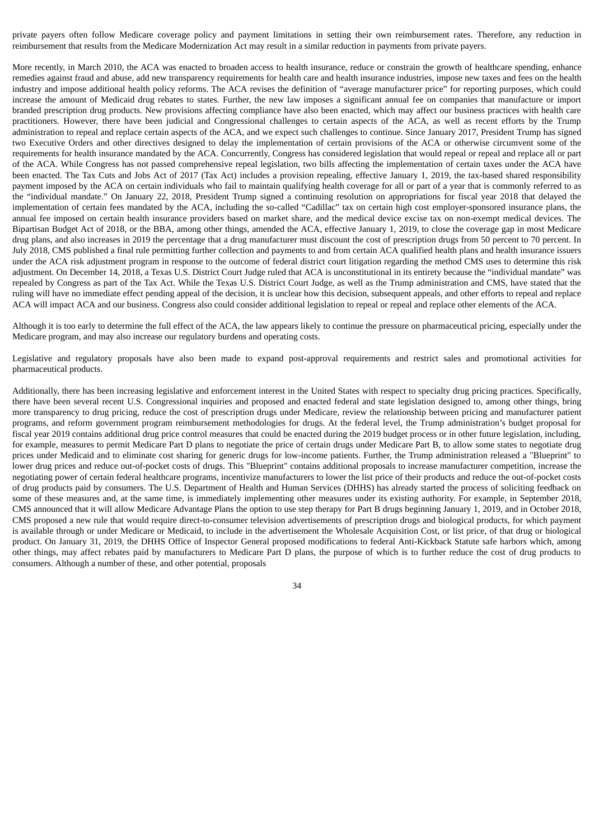private payers often follow Medicare coverage policy and payment limitations in setting their own reimbursement rates. Therefore, any reduction in reimbursement that results from the Medicare Modernization Act may result in a similar reduction in payments from private payers.

More recently, in March 2010, the ACA was enacted to broaden access to health insurance, reduce or constrain the growth of healthcare spending, enhance remedies against fraud and abuse, add new transparency requirements for health care and health insurance industries, impose new taxes and fees on the health industry and impose additional health policy reforms. The ACA revises the definition of "average manufacturer price" for reporting purposes, which could increase the amount of Medicaid drug rebates to states. Further, the new law imposes a significant annual fee on companies that manufacture or import branded prescription drug products. New provisions affecting compliance have also been enacted, which may affect our business practices with health care practitioners. However, there have been judicial and Congressional challenges to certain aspects of the ACA, as well as recent efforts by the Trump administration to repeal and replace certain aspects of the ACA, and we expect such challenges to continue. Since January 2017, President Trump has signed two Executive Orders and other directives designed to delay the implementation of certain provisions of the ACA or otherwise circumvent some of the requirements for health insurance mandated by the ACA. Concurrently, Congress has considered legislation that would repeal or repeal and replace all or part of the ACA. While Congress has not passed comprehensive repeal legislation, two bills affecting the implementation of certain taxes under the ACA have been enacted. The Tax Cuts and Jobs Act of 2017 (Tax Act) includes a provision repealing, effective January 1, 2019, the tax-based shared responsibility payment imposed by the ACA on certain individuals who fail to maintain qualifying health coverage for all or part of a year that is commonly referred to as the "individual mandate." On January 22, 2018, President Trump signed a continuing resolution on appropriations for fiscal year 2018 that delayed the implementation of certain fees mandated by the ACA, including the so-called "Cadillac" tax on certain high cost employer-sponsored insurance plans, the annual fee imposed on certain health insurance providers based on market share, and the medical device excise tax on non-exempt medical devices. The Bipartisan Budget Act of 2018, or the BBA, among other things, amended the ACA, effective January 1, 2019, to close the coverage gap in most Medicare drug plans, and also increases in 2019 the percentage that a drug manufacturer must discount the cost of prescription drugs from 50 percent to 70 percent. In July 2018, CMS published a final rule permitting further collection and payments to and from certain ACA qualified health plans and health insurance issuers under the ACA risk adjustment program in response to the outcome of federal district court litigation regarding the method CMS uses to determine this risk adjustment. On December 14, 2018, a Texas U.S. District Court Judge ruled that ACA is unconstitutional in its entirety because the "individual mandate" was repealed by Congress as part of the Tax Act. While the Texas U.S. District Court Judge, as well as the Trump administration and CMS, have stated that the ruling will have no immediate effect pending appeal of the decision, it is unclear how this decision, subsequent appeals, and other efforts to repeal and replace ACA will impact ACA and our business. Congress also could consider additional legislation to repeal or repeal and replace other elements of the ACA.

Although it is too early to determine the full effect of the ACA, the law appears likely to continue the pressure on pharmaceutical pricing, especially under the Medicare program, and may also increase our regulatory burdens and operating costs.

Legislative and regulatory proposals have also been made to expand post-approval requirements and restrict sales and promotional activities for pharmaceutical products.

Additionally, there has been increasing legislative and enforcement interest in the United States with respect to specialty drug pricing practices. Specifically, there have been several recent U.S. Congressional inquiries and proposed and enacted federal and state legislation designed to, among other things, bring more transparency to drug pricing, reduce the cost of prescription drugs under Medicare, review the relationship between pricing and manufacturer patient programs, and reform government program reimbursement methodologies for drugs. At the federal level, the Trump administration's budget proposal for fiscal year 2019 contains additional drug price control measures that could be enacted during the 2019 budget process or in other future legislation, including, for example, measures to permit Medicare Part D plans to negotiate the price of certain drugs under Medicare Part B, to allow some states to negotiate drug prices under Medicaid and to eliminate cost sharing for generic drugs for low-income patients. Further, the Trump administration released a "Blueprint" to lower drug prices and reduce out-of-pocket costs of drugs. This "Blueprint" contains additional proposals to increase manufacturer competition, increase the negotiating power of certain federal healthcare programs, incentivize manufacturers to lower the list price of their products and reduce the out-of-pocket costs of drug products paid by consumers. The U.S. Department of Health and Human Services (DHHS) has already started the process of soliciting feedback on some of these measures and, at the same time, is immediately implementing other measures under its existing authority. For example, in September 2018, CMS announced that it will allow Medicare Advantage Plans the option to use step therapy for Part B drugs beginning January 1, 2019, and in October 2018, CMS proposed a new rule that would require direct-to-consumer television advertisements of prescription drugs and biological products, for which payment is available through or under Medicare or Medicaid, to include in the advertisement the Wholesale Acquisition Cost, or list price, of that drug or biological product. On January 31, 2019, the DHHS Office of Inspector General proposed modifications to federal Anti-Kickback Statute safe harbors which, among other things, may affect rebates paid by manufacturers to Medicare Part D plans, the purpose of which is to further reduce the cost of drug products to consumers. Although a number of these, and other potential, proposals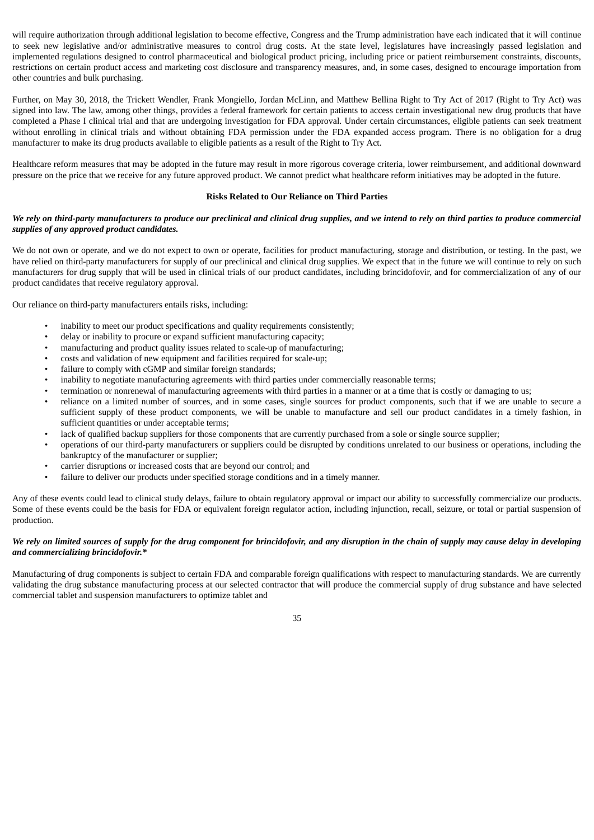will require authorization through additional legislation to become effective, Congress and the Trump administration have each indicated that it will continue to seek new legislative and/or administrative measures to control drug costs. At the state level, legislatures have increasingly passed legislation and implemented regulations designed to control pharmaceutical and biological product pricing, including price or patient reimbursement constraints, discounts, restrictions on certain product access and marketing cost disclosure and transparency measures, and, in some cases, designed to encourage importation from other countries and bulk purchasing.

Further, on May 30, 2018, the Trickett Wendler, Frank Mongiello, Jordan McLinn, and Matthew Bellina Right to Try Act of 2017 (Right to Try Act) was signed into law. The law, among other things, provides a federal framework for certain patients to access certain investigational new drug products that have completed a Phase I clinical trial and that are undergoing investigation for FDA approval. Under certain circumstances, eligible patients can seek treatment without enrolling in clinical trials and without obtaining FDA permission under the FDA expanded access program. There is no obligation for a drug manufacturer to make its drug products available to eligible patients as a result of the Right to Try Act.

Healthcare reform measures that may be adopted in the future may result in more rigorous coverage criteria, lower reimbursement, and additional downward pressure on the price that we receive for any future approved product. We cannot predict what healthcare reform initiatives may be adopted in the future.

## **Risks Related to Our Reliance on Third Parties**

## We rely on third-party manufacturers to produce our preclinical and clinical drug supplies, and we intend to rely on third parties to produce commercial *supplies of any approved product candidates.*

We do not own or operate, and we do not expect to own or operate, facilities for product manufacturing, storage and distribution, or testing. In the past, we have relied on third-party manufacturers for supply of our preclinical and clinical drug supplies. We expect that in the future we will continue to rely on such manufacturers for drug supply that will be used in clinical trials of our product candidates, including brincidofovir, and for commercialization of any of our product candidates that receive regulatory approval.

Our reliance on third-party manufacturers entails risks, including:

- inability to meet our product specifications and quality requirements consistently;
- delay or inability to procure or expand sufficient manufacturing capacity;
- manufacturing and product quality issues related to scale-up of manufacturing;
- costs and validation of new equipment and facilities required for scale-up;
- failure to comply with cGMP and similar foreign standards;
- inability to negotiate manufacturing agreements with third parties under commercially reasonable terms;
- termination or nonrenewal of manufacturing agreements with third parties in a manner or at a time that is costly or damaging to us;
- reliance on a limited number of sources, and in some cases, single sources for product components, such that if we are unable to secure a sufficient supply of these product components, we will be unable to manufacture and sell our product candidates in a timely fashion, in sufficient quantities or under acceptable terms;
- lack of qualified backup suppliers for those components that are currently purchased from a sole or single source supplier;
- operations of our third-party manufacturers or suppliers could be disrupted by conditions unrelated to our business or operations, including the bankruptcy of the manufacturer or supplier;
- carrier disruptions or increased costs that are beyond our control; and
- failure to deliver our products under specified storage conditions and in a timely manner.

Any of these events could lead to clinical study delays, failure to obtain regulatory approval or impact our ability to successfully commercialize our products. Some of these events could be the basis for FDA or equivalent foreign regulator action, including injunction, recall, seizure, or total or partial suspension of production.

# We rely on limited sources of supply for the drug component for brincidofovir, and any disruption in the chain of supply may cause delay in developing *and commercializing brincidofovir.\**

Manufacturing of drug components is subject to certain FDA and comparable foreign qualifications with respect to manufacturing standards. We are currently validating the drug substance manufacturing process at our selected contractor that will produce the commercial supply of drug substance and have selected commercial tablet and suspension manufacturers to optimize tablet and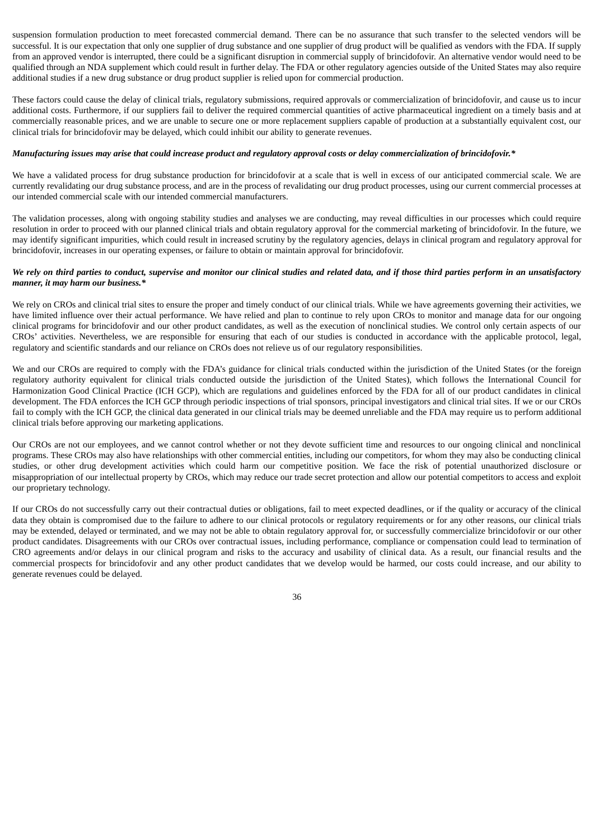suspension formulation production to meet forecasted commercial demand. There can be no assurance that such transfer to the selected vendors will be successful. It is our expectation that only one supplier of drug substance and one supplier of drug product will be qualified as vendors with the FDA. If supply from an approved vendor is interrupted, there could be a significant disruption in commercial supply of brincidofovir. An alternative vendor would need to be qualified through an NDA supplement which could result in further delay. The FDA or other regulatory agencies outside of the United States may also require additional studies if a new drug substance or drug product supplier is relied upon for commercial production.

These factors could cause the delay of clinical trials, regulatory submissions, required approvals or commercialization of brincidofovir, and cause us to incur additional costs. Furthermore, if our suppliers fail to deliver the required commercial quantities of active pharmaceutical ingredient on a timely basis and at commercially reasonable prices, and we are unable to secure one or more replacement suppliers capable of production at a substantially equivalent cost, our clinical trials for brincidofovir may be delayed, which could inhibit our ability to generate revenues.

#### Manufacturing issues may arise that could increase product and regulatory approval costs or delay commercialization of brincidofovir.\*

We have a validated process for drug substance production for brincidofovir at a scale that is well in excess of our anticipated commercial scale. We are currently revalidating our drug substance process, and are in the process of revalidating our drug product processes, using our current commercial processes at our intended commercial scale with our intended commercial manufacturers.

The validation processes, along with ongoing stability studies and analyses we are conducting, may reveal difficulties in our processes which could require resolution in order to proceed with our planned clinical trials and obtain regulatory approval for the commercial marketing of brincidofovir. In the future, we may identify significant impurities, which could result in increased scrutiny by the regulatory agencies, delays in clinical program and regulatory approval for brincidofovir, increases in our operating expenses, or failure to obtain or maintain approval for brincidofovir.

## We rely on third parties to conduct, supervise and monitor our clinical studies and related data, and if those third parties perform in an unsatisfactory *manner, it may harm our business.\**

We rely on CROs and clinical trial sites to ensure the proper and timely conduct of our clinical trials. While we have agreements governing their activities, we have limited influence over their actual performance. We have relied and plan to continue to rely upon CROs to monitor and manage data for our ongoing clinical programs for brincidofovir and our other product candidates, as well as the execution of nonclinical studies. We control only certain aspects of our CROs' activities. Nevertheless, we are responsible for ensuring that each of our studies is conducted in accordance with the applicable protocol, legal, regulatory and scientific standards and our reliance on CROs does not relieve us of our regulatory responsibilities.

We and our CROs are required to comply with the FDA's guidance for clinical trials conducted within the jurisdiction of the United States (or the foreign regulatory authority equivalent for clinical trials conducted outside the jurisdiction of the United States), which follows the International Council for Harmonization Good Clinical Practice (ICH GCP), which are regulations and guidelines enforced by the FDA for all of our product candidates in clinical development. The FDA enforces the ICH GCP through periodic inspections of trial sponsors, principal investigators and clinical trial sites. If we or our CROs fail to comply with the ICH GCP, the clinical data generated in our clinical trials may be deemed unreliable and the FDA may require us to perform additional clinical trials before approving our marketing applications.

Our CROs are not our employees, and we cannot control whether or not they devote sufficient time and resources to our ongoing clinical and nonclinical programs. These CROs may also have relationships with other commercial entities, including our competitors, for whom they may also be conducting clinical studies, or other drug development activities which could harm our competitive position. We face the risk of potential unauthorized disclosure or misappropriation of our intellectual property by CROs, which may reduce our trade secret protection and allow our potential competitors to access and exploit our proprietary technology.

If our CROs do not successfully carry out their contractual duties or obligations, fail to meet expected deadlines, or if the quality or accuracy of the clinical data they obtain is compromised due to the failure to adhere to our clinical protocols or regulatory requirements or for any other reasons, our clinical trials may be extended, delayed or terminated, and we may not be able to obtain regulatory approval for, or successfully commercialize brincidofovir or our other product candidates. Disagreements with our CROs over contractual issues, including performance, compliance or compensation could lead to termination of CRO agreements and/or delays in our clinical program and risks to the accuracy and usability of clinical data. As a result, our financial results and the commercial prospects for brincidofovir and any other product candidates that we develop would be harmed, our costs could increase, and our ability to generate revenues could be delayed.

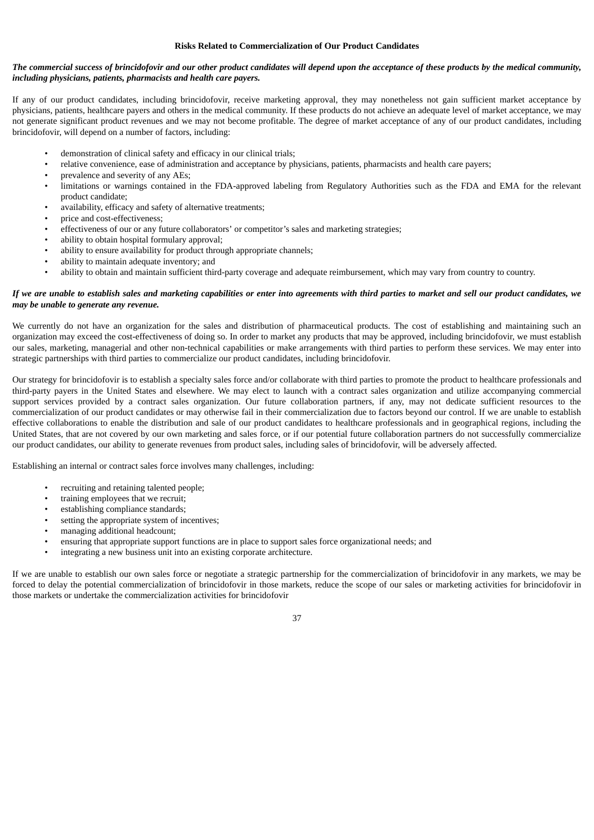## **Risks Related to Commercialization of Our Product Candidates**

## The commercial success of brincidofovir and our other product candidates will depend upon the acceptance of these products by the medical community, *including physicians, patients, pharmacists and health care payers.*

If any of our product candidates, including brincidofovir, receive marketing approval, they may nonetheless not gain sufficient market acceptance by physicians, patients, healthcare payers and others in the medical community. If these products do not achieve an adequate level of market acceptance, we may not generate significant product revenues and we may not become profitable. The degree of market acceptance of any of our product candidates, including brincidofovir, will depend on a number of factors, including:

- demonstration of clinical safety and efficacy in our clinical trials;
- relative convenience, ease of administration and acceptance by physicians, patients, pharmacists and health care payers;
- prevalence and severity of any AEs;
- limitations or warnings contained in the FDA-approved labeling from Regulatory Authorities such as the FDA and EMA for the relevant product candidate;
- availability, efficacy and safety of alternative treatments;
- price and cost-effectiveness;
- effectiveness of our or any future collaborators' or competitor's sales and marketing strategies;
- ability to obtain hospital formulary approval;
- ability to ensure availability for product through appropriate channels;
- ability to maintain adequate inventory; and
- ability to obtain and maintain sufficient third-party coverage and adequate reimbursement, which may vary from country to country.

## If we are unable to establish sales and marketing capabilities or enter into agreements with third parties to market and sell our product candidates, we *may be unable to generate any revenue.*

We currently do not have an organization for the sales and distribution of pharmaceutical products. The cost of establishing and maintaining such an organization may exceed the cost-effectiveness of doing so. In order to market any products that may be approved, including brincidofovir, we must establish our sales, marketing, managerial and other non-technical capabilities or make arrangements with third parties to perform these services. We may enter into strategic partnerships with third parties to commercialize our product candidates, including brincidofovir.

Our strategy for brincidofovir is to establish a specialty sales force and/or collaborate with third parties to promote the product to healthcare professionals and third-party payers in the United States and elsewhere. We may elect to launch with a contract sales organization and utilize accompanying commercial support services provided by a contract sales organization. Our future collaboration partners, if any, may not dedicate sufficient resources to the commercialization of our product candidates or may otherwise fail in their commercialization due to factors beyond our control. If we are unable to establish effective collaborations to enable the distribution and sale of our product candidates to healthcare professionals and in geographical regions, including the United States, that are not covered by our own marketing and sales force, or if our potential future collaboration partners do not successfully commercialize our product candidates, our ability to generate revenues from product sales, including sales of brincidofovir, will be adversely affected.

Establishing an internal or contract sales force involves many challenges, including:

- recruiting and retaining talented people;
- training employees that we recruit;
- establishing compliance standards;
- setting the appropriate system of incentives:
- managing additional headcount;
- ensuring that appropriate support functions are in place to support sales force organizational needs; and
- integrating a new business unit into an existing corporate architecture.

If we are unable to establish our own sales force or negotiate a strategic partnership for the commercialization of brincidofovir in any markets, we may be forced to delay the potential commercialization of brincidofovir in those markets, reduce the scope of our sales or marketing activities for brincidofovir in those markets or undertake the commercialization activities for brincidofovir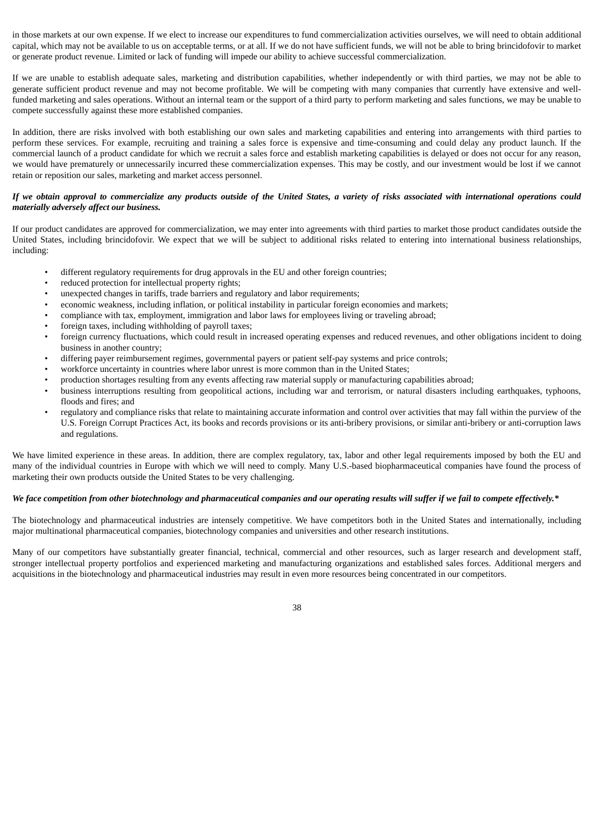in those markets at our own expense. If we elect to increase our expenditures to fund commercialization activities ourselves, we will need to obtain additional capital, which may not be available to us on acceptable terms, or at all. If we do not have sufficient funds, we will not be able to bring brincidofovir to market or generate product revenue. Limited or lack of funding will impede our ability to achieve successful commercialization.

If we are unable to establish adequate sales, marketing and distribution capabilities, whether independently or with third parties, we may not be able to generate sufficient product revenue and may not become profitable. We will be competing with many companies that currently have extensive and wellfunded marketing and sales operations. Without an internal team or the support of a third party to perform marketing and sales functions, we may be unable to compete successfully against these more established companies.

In addition, there are risks involved with both establishing our own sales and marketing capabilities and entering into arrangements with third parties to perform these services. For example, recruiting and training a sales force is expensive and time-consuming and could delay any product launch. If the commercial launch of a product candidate for which we recruit a sales force and establish marketing capabilities is delayed or does not occur for any reason, we would have prematurely or unnecessarily incurred these commercialization expenses. This may be costly, and our investment would be lost if we cannot retain or reposition our sales, marketing and market access personnel.

## If we obtain approval to commercialize any products outside of the United States, a variety of risks associated with international operations could *materially adversely affect our business.*

If our product candidates are approved for commercialization, we may enter into agreements with third parties to market those product candidates outside the United States, including brincidofovir. We expect that we will be subject to additional risks related to entering into international business relationships, including:

- different regulatory requirements for drug approvals in the EU and other foreign countries;
- reduced protection for intellectual property rights;
- unexpected changes in tariffs, trade barriers and regulatory and labor requirements;
- economic weakness, including inflation, or political instability in particular foreign economies and markets;
- compliance with tax, employment, immigration and labor laws for employees living or traveling abroad;
- foreign taxes, including withholding of payroll taxes;
- foreign currency fluctuations, which could result in increased operating expenses and reduced revenues, and other obligations incident to doing business in another country;
- differing payer reimbursement regimes, governmental payers or patient self-pay systems and price controls;
- workforce uncertainty in countries where labor unrest is more common than in the United States;
- production shortages resulting from any events affecting raw material supply or manufacturing capabilities abroad;
- business interruptions resulting from geopolitical actions, including war and terrorism, or natural disasters including earthquakes, typhoons, floods and fires; and
- regulatory and compliance risks that relate to maintaining accurate information and control over activities that may fall within the purview of the U.S. Foreign Corrupt Practices Act, its books and records provisions or its anti‑bribery provisions, or similar anti‑bribery or anti‑corruption laws and regulations.

We have limited experience in these areas. In addition, there are complex regulatory, tax, labor and other legal requirements imposed by both the EU and many of the individual countries in Europe with which we will need to comply. Many U.S.-based biopharmaceutical companies have found the process of marketing their own products outside the United States to be very challenging.

#### We face competition from other biotechnology and pharmaceutical companies and our operating results will suffer if we fail to compete effectively.\*

The biotechnology and pharmaceutical industries are intensely competitive. We have competitors both in the United States and internationally, including major multinational pharmaceutical companies, biotechnology companies and universities and other research institutions.

Many of our competitors have substantially greater financial, technical, commercial and other resources, such as larger research and development staff, stronger intellectual property portfolios and experienced marketing and manufacturing organizations and established sales forces. Additional mergers and acquisitions in the biotechnology and pharmaceutical industries may result in even more resources being concentrated in our competitors.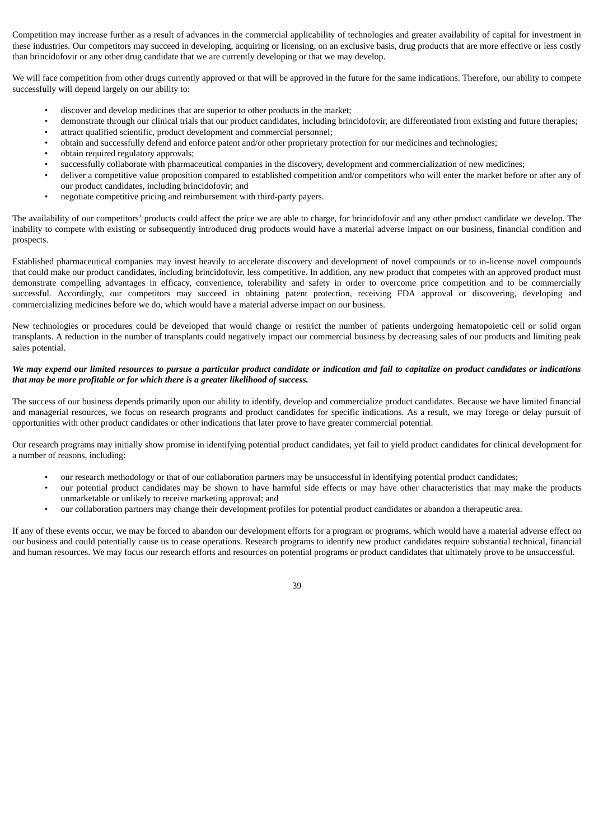Competition may increase further as a result of advances in the commercial applicability of technologies and greater availability of capital for investment in these industries. Our competitors may succeed in developing, acquiring or licensing, on an exclusive basis, drug products that are more effective or less costly than brincidofovir or any other drug candidate that we are currently developing or that we may develop.

We will face competition from other drugs currently approved or that will be approved in the future for the same indications. Therefore, our ability to compete successfully will depend largely on our ability to:

- discover and develop medicines that are superior to other products in the market;
- demonstrate through our clinical trials that our product candidates, including brincidofovir, are differentiated from existing and future therapies;
- attract qualified scientific, product development and commercial personnel;
- obtain and successfully defend and enforce patent and/or other proprietary protection for our medicines and technologies;
- obtain required regulatory approvals;
- successfully collaborate with pharmaceutical companies in the discovery, development and commercialization of new medicines;
- deliver a competitive value proposition compared to established competition and/or competitors who will enter the market before or after any of our product candidates, including brincidofovir; and
- negotiate competitive pricing and reimbursement with third-party payers.

The availability of our competitors' products could affect the price we are able to charge, for brincidofovir and any other product candidate we develop. The inability to compete with existing or subsequently introduced drug products would have a material adverse impact on our business, financial condition and prospects.

Established pharmaceutical companies may invest heavily to accelerate discovery and development of novel compounds or to in-license novel compounds that could make our product candidates, including brincidofovir, less competitive. In addition, any new product that competes with an approved product must demonstrate compelling advantages in efficacy, convenience, tolerability and safety in order to overcome price competition and to be commercially successful. Accordingly, our competitors may succeed in obtaining patent protection, receiving FDA approval or discovering, developing and commercializing medicines before we do, which would have a material adverse impact on our business.

New technologies or procedures could be developed that would change or restrict the number of patients undergoing hematopoietic cell or solid organ transplants. A reduction in the number of transplants could negatively impact our commercial business by decreasing sales of our products and limiting peak sales potential.

## We may expend our limited resources to pursue a particular product candidate or indication and fail to capitalize on product candidates or indications *that may be more profitable or for which there is a greater likelihood of success.*

The success of our business depends primarily upon our ability to identify, develop and commercialize product candidates. Because we have limited financial and managerial resources, we focus on research programs and product candidates for specific indications. As a result, we may forego or delay pursuit of opportunities with other product candidates or other indications that later prove to have greater commercial potential.

Our research programs may initially show promise in identifying potential product candidates, yet fail to yield product candidates for clinical development for a number of reasons, including:

- our research methodology or that of our collaboration partners may be unsuccessful in identifying potential product candidates;
- our potential product candidates may be shown to have harmful side effects or may have other characteristics that may make the products unmarketable or unlikely to receive marketing approval; and
- our collaboration partners may change their development profiles for potential product candidates or abandon a therapeutic area.

If any of these events occur, we may be forced to abandon our development efforts for a program or programs, which would have a material adverse effect on our business and could potentially cause us to cease operations. Research programs to identify new product candidates require substantial technical, financial and human resources. We may focus our research efforts and resources on potential programs or product candidates that ultimately prove to be unsuccessful.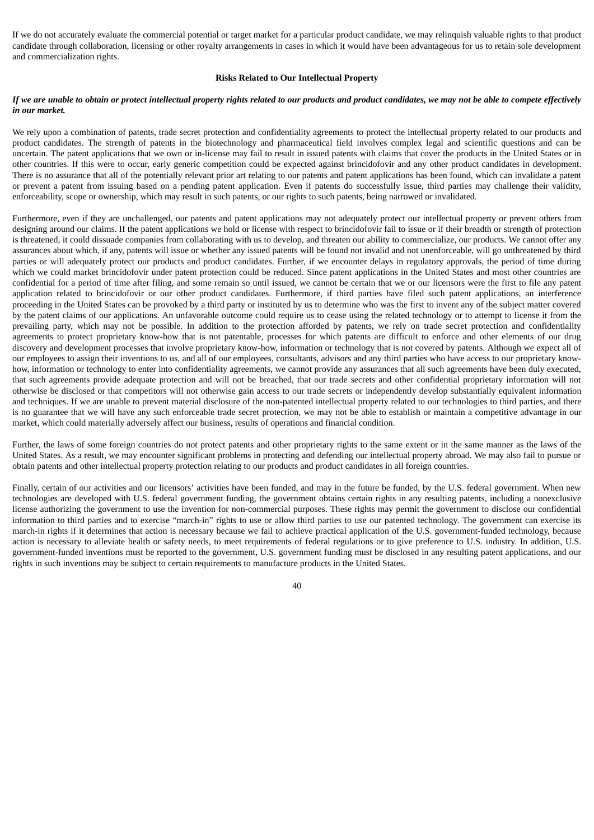If we do not accurately evaluate the commercial potential or target market for a particular product candidate, we may relinquish valuable rights to that product candidate through collaboration, licensing or other royalty arrangements in cases in which it would have been advantageous for us to retain sole development and commercialization rights.

#### **Risks Related to Our Intellectual Property**

## If we are unable to obtain or protect intellectual property rights related to our products and product candidates, we may not be able to compete effectively *in our market.*

We rely upon a combination of patents, trade secret protection and confidentiality agreements to protect the intellectual property related to our products and product candidates. The strength of patents in the biotechnology and pharmaceutical field involves complex legal and scientific questions and can be uncertain. The patent applications that we own or in-license may fail to result in issued patents with claims that cover the products in the United States or in other countries. If this were to occur, early generic competition could be expected against brincidofovir and any other product candidates in development. There is no assurance that all of the potentially relevant prior art relating to our patents and patent applications has been found, which can invalidate a patent or prevent a patent from issuing based on a pending patent application. Even if patents do successfully issue, third parties may challenge their validity, enforceability, scope or ownership, which may result in such patents, or our rights to such patents, being narrowed or invalidated.

Furthermore, even if they are unchallenged, our patents and patent applications may not adequately protect our intellectual property or prevent others from designing around our claims. If the patent applications we hold or license with respect to brincidofovir fail to issue or if their breadth or strength of protection is threatened, it could dissuade companies from collaborating with us to develop, and threaten our ability to commercialize, our products. We cannot offer any assurances about which, if any, patents will issue or whether any issued patents will be found not invalid and not unenforceable, will go unthreatened by third parties or will adequately protect our products and product candidates. Further, if we encounter delays in regulatory approvals, the period of time during which we could market brincidofovir under patent protection could be reduced. Since patent applications in the United States and most other countries are confidential for a period of time after filing, and some remain so until issued, we cannot be certain that we or our licensors were the first to file any patent application related to brincidofovir or our other product candidates. Furthermore, if third parties have filed such patent applications, an interference proceeding in the United States can be provoked by a third party or instituted by us to determine who was the first to invent any of the subject matter covered by the patent claims of our applications. An unfavorable outcome could require us to cease using the related technology or to attempt to license it from the prevailing party, which may not be possible. In addition to the protection afforded by patents, we rely on trade secret protection and confidentiality agreements to protect proprietary know-how that is not patentable, processes for which patents are difficult to enforce and other elements of our drug discovery and development processes that involve proprietary know-how, information or technology that is not covered by patents. Although we expect all of our employees to assign their inventions to us, and all of our employees, consultants, advisors and any third parties who have access to our proprietary knowhow, information or technology to enter into confidentiality agreements, we cannot provide any assurances that all such agreements have been duly executed, that such agreements provide adequate protection and will not be breached, that our trade secrets and other confidential proprietary information will not otherwise be disclosed or that competitors will not otherwise gain access to our trade secrets or independently develop substantially equivalent information and techniques. If we are unable to prevent material disclosure of the non-patented intellectual property related to our technologies to third parties, and there is no guarantee that we will have any such enforceable trade secret protection, we may not be able to establish or maintain a competitive advantage in our market, which could materially adversely affect our business, results of operations and financial condition.

Further, the laws of some foreign countries do not protect patents and other proprietary rights to the same extent or in the same manner as the laws of the United States. As a result, we may encounter significant problems in protecting and defending our intellectual property abroad. We may also fail to pursue or obtain patents and other intellectual property protection relating to our products and product candidates in all foreign countries.

Finally, certain of our activities and our licensors' activities have been funded, and may in the future be funded, by the U.S. federal government. When new technologies are developed with U.S. federal government funding, the government obtains certain rights in any resulting patents, including a nonexclusive license authorizing the government to use the invention for non-commercial purposes. These rights may permit the government to disclose our confidential information to third parties and to exercise "march-in" rights to use or allow third parties to use our patented technology. The government can exercise its march-in rights if it determines that action is necessary because we fail to achieve practical application of the U.S. government-funded technology, because action is necessary to alleviate health or safety needs, to meet requirements of federal regulations or to give preference to U.S. industry. In addition, U.S. government-funded inventions must be reported to the government, U.S. government funding must be disclosed in any resulting patent applications, and our rights in such inventions may be subject to certain requirements to manufacture products in the United States.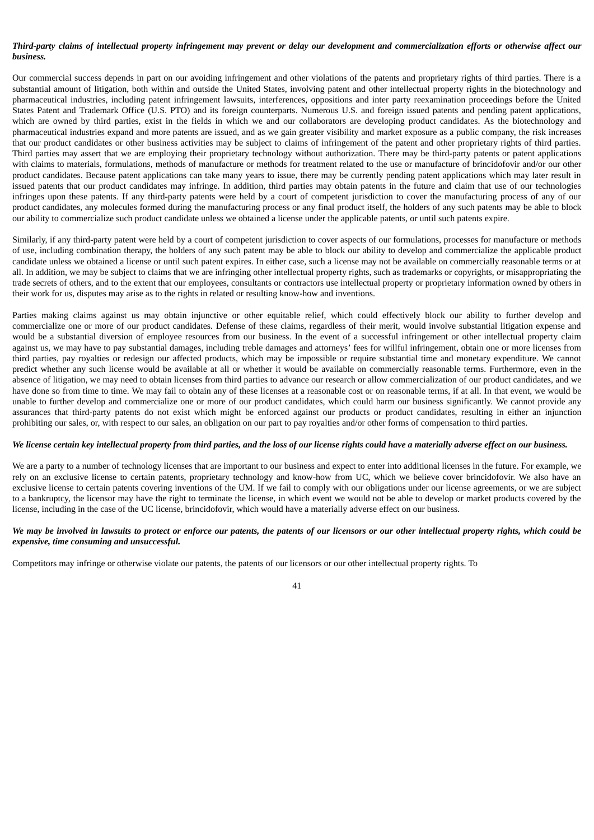# Third-party claims of intellectual property infringement may prevent or delay our development and commercialization efforts or otherwise affect our *business.*

Our commercial success depends in part on our avoiding infringement and other violations of the patents and proprietary rights of third parties. There is a substantial amount of litigation, both within and outside the United States, involving patent and other intellectual property rights in the biotechnology and pharmaceutical industries, including patent infringement lawsuits, interferences, oppositions and inter party reexamination proceedings before the United States Patent and Trademark Office (U.S. PTO) and its foreign counterparts. Numerous U.S. and foreign issued patents and pending patent applications, which are owned by third parties, exist in the fields in which we and our collaborators are developing product candidates. As the biotechnology and pharmaceutical industries expand and more patents are issued, and as we gain greater visibility and market exposure as a public company, the risk increases that our product candidates or other business activities may be subject to claims of infringement of the patent and other proprietary rights of third parties. Third parties may assert that we are employing their proprietary technology without authorization. There may be third-party patents or patent applications with claims to materials, formulations, methods of manufacture or methods for treatment related to the use or manufacture of brincidofovir and/or our other product candidates. Because patent applications can take many years to issue, there may be currently pending patent applications which may later result in issued patents that our product candidates may infringe. In addition, third parties may obtain patents in the future and claim that use of our technologies infringes upon these patents. If any third-party patents were held by a court of competent jurisdiction to cover the manufacturing process of any of our product candidates, any molecules formed during the manufacturing process or any final product itself, the holders of any such patents may be able to block our ability to commercialize such product candidate unless we obtained a license under the applicable patents, or until such patents expire.

Similarly, if any third-party patent were held by a court of competent jurisdiction to cover aspects of our formulations, processes for manufacture or methods of use, including combination therapy, the holders of any such patent may be able to block our ability to develop and commercialize the applicable product candidate unless we obtained a license or until such patent expires. In either case, such a license may not be available on commercially reasonable terms or at all. In addition, we may be subject to claims that we are infringing other intellectual property rights, such as trademarks or copyrights, or misappropriating the trade secrets of others, and to the extent that our employees, consultants or contractors use intellectual property or proprietary information owned by others in their work for us, disputes may arise as to the rights in related or resulting know-how and inventions.

Parties making claims against us may obtain injunctive or other equitable relief, which could effectively block our ability to further develop and commercialize one or more of our product candidates. Defense of these claims, regardless of their merit, would involve substantial litigation expense and would be a substantial diversion of employee resources from our business. In the event of a successful infringement or other intellectual property claim against us, we may have to pay substantial damages, including treble damages and attorneys' fees for willful infringement, obtain one or more licenses from third parties, pay royalties or redesign our affected products, which may be impossible or require substantial time and monetary expenditure. We cannot predict whether any such license would be available at all or whether it would be available on commercially reasonable terms. Furthermore, even in the absence of litigation, we may need to obtain licenses from third parties to advance our research or allow commercialization of our product candidates, and we have done so from time to time. We may fail to obtain any of these licenses at a reasonable cost or on reasonable terms, if at all. In that event, we would be unable to further develop and commercialize one or more of our product candidates, which could harm our business significantly. We cannot provide any assurances that third-party patents do not exist which might be enforced against our products or product candidates, resulting in either an injunction prohibiting our sales, or, with respect to our sales, an obligation on our part to pay royalties and/or other forms of compensation to third parties.

#### We license certain key intellectual property from third parties, and the loss of our license rights could have a materially adverse effect on our business.

We are a party to a number of technology licenses that are important to our business and expect to enter into additional licenses in the future. For example, we rely on an exclusive license to certain patents, proprietary technology and know-how from UC, which we believe cover brincidofovir. We also have an exclusive license to certain patents covering inventions of the UM. If we fail to comply with our obligations under our license agreements, or we are subject to a bankruptcy, the licensor may have the right to terminate the license, in which event we would not be able to develop or market products covered by the license, including in the case of the UC license, brincidofovir, which would have a materially adverse effect on our business.

## We may be involved in lawsuits to protect or enforce our patents, the patents of our licensors or our other intellectual property rights, which could be *expensive, time consuming and unsuccessful.*

Competitors may infringe or otherwise violate our patents, the patents of our licensors or our other intellectual property rights. To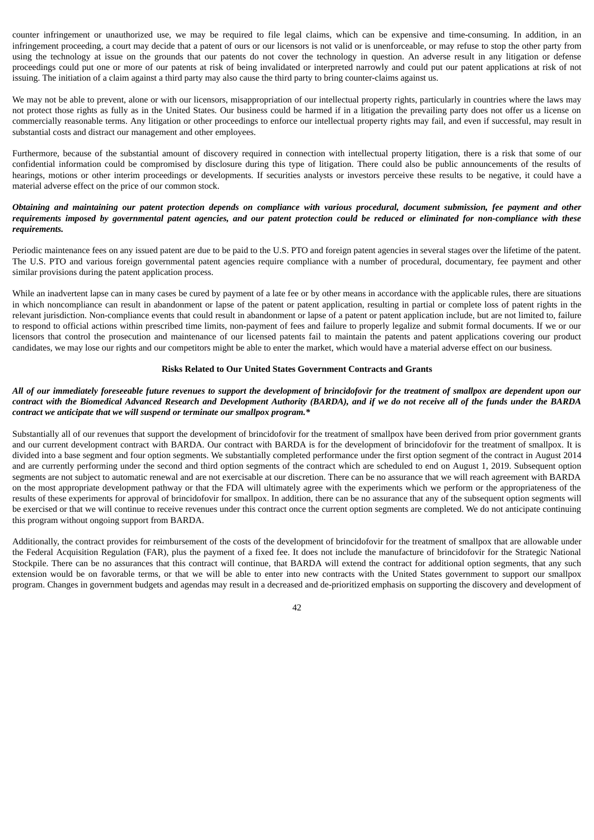counter infringement or unauthorized use, we may be required to file legal claims, which can be expensive and time-consuming. In addition, in an infringement proceeding, a court may decide that a patent of ours or our licensors is not valid or is unenforceable, or may refuse to stop the other party from using the technology at issue on the grounds that our patents do not cover the technology in question. An adverse result in any litigation or defense proceedings could put one or more of our patents at risk of being invalidated or interpreted narrowly and could put our patent applications at risk of not issuing. The initiation of a claim against a third party may also cause the third party to bring counter-claims against us.

We may not be able to prevent, alone or with our licensors, misappropriation of our intellectual property rights, particularly in countries where the laws may not protect those rights as fully as in the United States. Our business could be harmed if in a litigation the prevailing party does not offer us a license on commercially reasonable terms. Any litigation or other proceedings to enforce our intellectual property rights may fail, and even if successful, may result in substantial costs and distract our management and other employees.

Furthermore, because of the substantial amount of discovery required in connection with intellectual property litigation, there is a risk that some of our confidential information could be compromised by disclosure during this type of litigation. There could also be public announcements of the results of hearings, motions or other interim proceedings or developments. If securities analysts or investors perceive these results to be negative, it could have a material adverse effect on the price of our common stock.

# Obtaining and maintaining our patent protection depends on compliance with various procedural, document submission, fee payment and other requirements imposed by governmental patent agencies, and our patent protection could be reduced or eliminated for non-compliance with these *requirements.*

Periodic maintenance fees on any issued patent are due to be paid to the U.S. PTO and foreign patent agencies in several stages over the lifetime of the patent. The U.S. PTO and various foreign governmental patent agencies require compliance with a number of procedural, documentary, fee payment and other similar provisions during the patent application process.

While an inadvertent lapse can in many cases be cured by payment of a late fee or by other means in accordance with the applicable rules, there are situations in which noncompliance can result in abandonment or lapse of the patent or patent application, resulting in partial or complete loss of patent rights in the relevant jurisdiction. Non-compliance events that could result in abandonment or lapse of a patent or patent application include, but are not limited to, failure to respond to official actions within prescribed time limits, non-payment of fees and failure to properly legalize and submit formal documents. If we or our licensors that control the prosecution and maintenance of our licensed patents fail to maintain the patents and patent applications covering our product candidates, we may lose our rights and our competitors might be able to enter the market, which would have a material adverse effect on our business.

## **Risks Related to Our United States Government Contracts and Grants**

# All of our immediately foreseeable future revenues to support the development of brincidofovir for the treatment of smallpox are dependent upon our contract with the Biomedical Advanced Research and Development Authority (BARDA), and if we do not receive all of the funds under the BARDA *contract we anticipate that we will suspend or terminate our smallpox program.\**

Substantially all of our revenues that support the development of brincidofovir for the treatment of smallpox have been derived from prior government grants and our current development contract with BARDA. Our contract with BARDA is for the development of brincidofovir for the treatment of smallpox. It is divided into a base segment and four option segments. We substantially completed performance under the first option segment of the contract in August 2014 and are currently performing under the second and third option segments of the contract which are scheduled to end on August 1, 2019. Subsequent option segments are not subject to automatic renewal and are not exercisable at our discretion. There can be no assurance that we will reach agreement with BARDA on the most appropriate development pathway or that the FDA will ultimately agree with the experiments which we perform or the appropriateness of the results of these experiments for approval of brincidofovir for smallpox. In addition, there can be no assurance that any of the subsequent option segments will be exercised or that we will continue to receive revenues under this contract once the current option segments are completed. We do not anticipate continuing this program without ongoing support from BARDA.

Additionally, the contract provides for reimbursement of the costs of the development of brincidofovir for the treatment of smallpox that are allowable under the Federal Acquisition Regulation (FAR), plus the payment of a fixed fee. It does not include the manufacture of brincidofovir for the Strategic National Stockpile. There can be no assurances that this contract will continue, that BARDA will extend the contract for additional option segments, that any such extension would be on favorable terms, or that we will be able to enter into new contracts with the United States government to support our smallpox program. Changes in government budgets and agendas may result in a decreased and de-prioritized emphasis on supporting the discovery and development of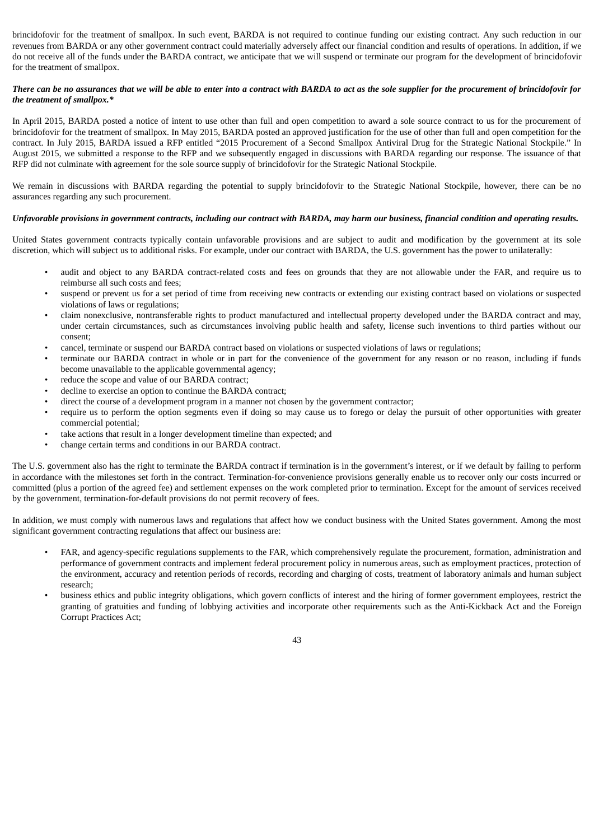brincidofovir for the treatment of smallpox. In such event, BARDA is not required to continue funding our existing contract. Any such reduction in our revenues from BARDA or any other government contract could materially adversely affect our financial condition and results of operations. In addition, if we do not receive all of the funds under the BARDA contract, we anticipate that we will suspend or terminate our program for the development of brincidofovir for the treatment of smallpox.

## There can be no assurances that we will be able to enter into a contract with BARDA to act as the sole supplier for the procurement of brincidofovir for *the treatment of smallpox.\**

In April 2015, BARDA posted a notice of intent to use other than full and open competition to award a sole source contract to us for the procurement of brincidofovir for the treatment of smallpox. In May 2015, BARDA posted an approved justification for the use of other than full and open competition for the contract. In July 2015, BARDA issued a RFP entitled "2015 Procurement of a Second Smallpox Antiviral Drug for the Strategic National Stockpile." In August 2015, we submitted a response to the RFP and we subsequently engaged in discussions with BARDA regarding our response. The issuance of that RFP did not culminate with agreement for the sole source supply of brincidofovir for the Strategic National Stockpile.

We remain in discussions with BARDA regarding the potential to supply brincidofovir to the Strategic National Stockpile, however, there can be no assurances regarding any such procurement.

## Unfavorable provisions in government contracts, including our contract with BARDA, may harm our business, financial condition and operating results.

United States government contracts typically contain unfavorable provisions and are subject to audit and modification by the government at its sole discretion, which will subject us to additional risks. For example, under our contract with BARDA, the U.S. government has the power to unilaterally:

- audit and object to any BARDA contract-related costs and fees on grounds that they are not allowable under the FAR, and require us to reimburse all such costs and fees;
- suspend or prevent us for a set period of time from receiving new contracts or extending our existing contract based on violations or suspected violations of laws or regulations;
- claim nonexclusive, nontransferable rights to product manufactured and intellectual property developed under the BARDA contract and may, under certain circumstances, such as circumstances involving public health and safety, license such inventions to third parties without our consent;
- cancel, terminate or suspend our BARDA contract based on violations or suspected violations of laws or regulations;
- terminate our BARDA contract in whole or in part for the convenience of the government for any reason or no reason, including if funds become unavailable to the applicable governmental agency;
- reduce the scope and value of our BARDA contract;
- decline to exercise an option to continue the BARDA contract;
- direct the course of a development program in a manner not chosen by the government contractor;
- require us to perform the option segments even if doing so may cause us to forego or delay the pursuit of other opportunities with greater commercial potential;
- take actions that result in a longer development timeline than expected; and
- change certain terms and conditions in our BARDA contract.

The U.S. government also has the right to terminate the BARDA contract if termination is in the government's interest, or if we default by failing to perform in accordance with the milestones set forth in the contract. Termination-for-convenience provisions generally enable us to recover only our costs incurred or committed (plus a portion of the agreed fee) and settlement expenses on the work completed prior to termination. Except for the amount of services received by the government, termination-for-default provisions do not permit recovery of fees.

In addition, we must comply with numerous laws and regulations that affect how we conduct business with the United States government. Among the most significant government contracting regulations that affect our business are:

- FAR, and agency-specific regulations supplements to the FAR, which comprehensively regulate the procurement, formation, administration and performance of government contracts and implement federal procurement policy in numerous areas, such as employment practices, protection of the environment, accuracy and retention periods of records, recording and charging of costs, treatment of laboratory animals and human subject research;
- business ethics and public integrity obligations, which govern conflicts of interest and the hiring of former government employees, restrict the granting of gratuities and funding of lobbying activities and incorporate other requirements such as the Anti-Kickback Act and the Foreign Corrupt Practices Act;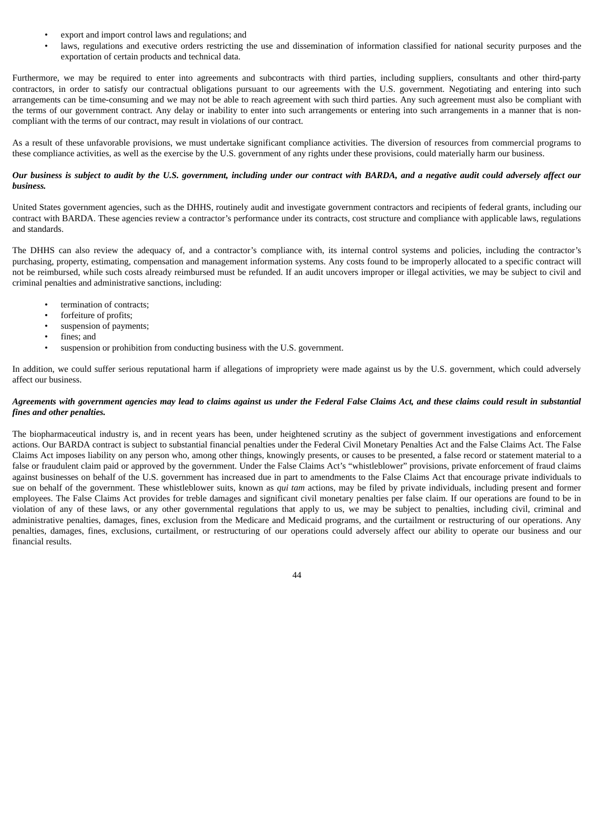- export and import control laws and regulations; and
- laws, regulations and executive orders restricting the use and dissemination of information classified for national security purposes and the exportation of certain products and technical data.

Furthermore, we may be required to enter into agreements and subcontracts with third parties, including suppliers, consultants and other third-party contractors, in order to satisfy our contractual obligations pursuant to our agreements with the U.S. government. Negotiating and entering into such arrangements can be time-consuming and we may not be able to reach agreement with such third parties. Any such agreement must also be compliant with the terms of our government contract. Any delay or inability to enter into such arrangements or entering into such arrangements in a manner that is noncompliant with the terms of our contract, may result in violations of our contract.

As a result of these unfavorable provisions, we must undertake significant compliance activities. The diversion of resources from commercial programs to these compliance activities, as well as the exercise by the U.S. government of any rights under these provisions, could materially harm our business.

# Our business is subject to audit by the U.S. government, including under our contract with BARDA, and a negative audit could adversely affect our *business.*

United States government agencies, such as the DHHS, routinely audit and investigate government contractors and recipients of federal grants, including our contract with BARDA. These agencies review a contractor's performance under its contracts, cost structure and compliance with applicable laws, regulations and standards.

The DHHS can also review the adequacy of, and a contractor's compliance with, its internal control systems and policies, including the contractor's purchasing, property, estimating, compensation and management information systems. Any costs found to be improperly allocated to a specific contract will not be reimbursed, while such costs already reimbursed must be refunded. If an audit uncovers improper or illegal activities, we may be subject to civil and criminal penalties and administrative sanctions, including:

- termination of contracts;
- forfeiture of profits;
- suspension of payments;
- fines; and
- suspension or prohibition from conducting business with the U.S. government.

In addition, we could suffer serious reputational harm if allegations of impropriety were made against us by the U.S. government, which could adversely affect our business.

# Agreements with government agencies may lead to claims against us under the Federal False Claims Act, and these claims could result in substantial *fines and other penalties.*

The biopharmaceutical industry is, and in recent years has been, under heightened scrutiny as the subject of government investigations and enforcement actions. Our BARDA contract is subject to substantial financial penalties under the Federal Civil Monetary Penalties Act and the False Claims Act. The False Claims Act imposes liability on any person who, among other things, knowingly presents, or causes to be presented, a false record or statement material to a false or fraudulent claim paid or approved by the government. Under the False Claims Act's "whistleblower" provisions, private enforcement of fraud claims against businesses on behalf of the U.S. government has increased due in part to amendments to the False Claims Act that encourage private individuals to sue on behalf of the government. These whistleblower suits, known as *qui tam* actions, may be filed by private individuals, including present and former employees. The False Claims Act provides for treble damages and significant civil monetary penalties per false claim. If our operations are found to be in violation of any of these laws, or any other governmental regulations that apply to us, we may be subject to penalties, including civil, criminal and administrative penalties, damages, fines, exclusion from the Medicare and Medicaid programs, and the curtailment or restructuring of our operations. Any penalties, damages, fines, exclusions, curtailment, or restructuring of our operations could adversely affect our ability to operate our business and our financial results.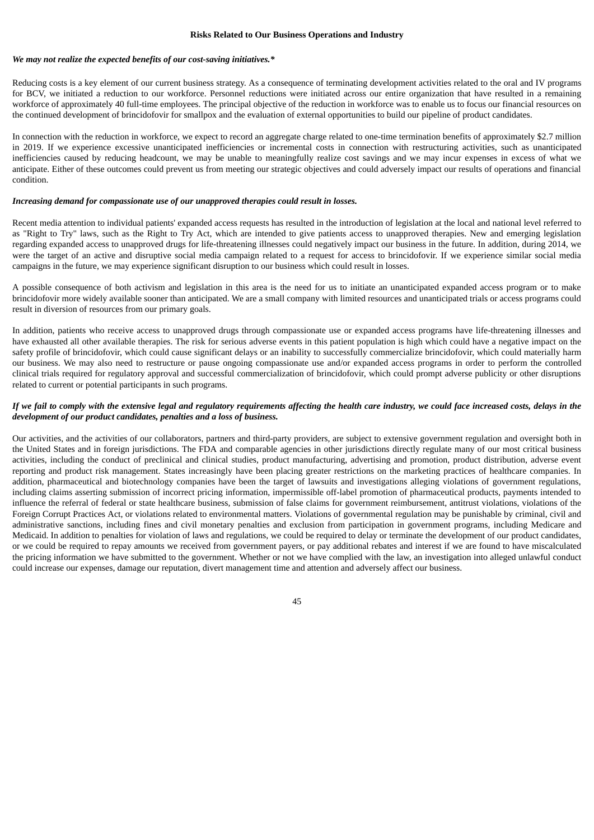#### **Risks Related to Our Business Operations and Industry**

## *We may not realize the expected benefits of our cost-saving initiatives.\**

Reducing costs is a key element of our current business strategy. As a consequence of terminating development activities related to the oral and IV programs for BCV, we initiated a reduction to our workforce. Personnel reductions were initiated across our entire organization that have resulted in a remaining workforce of approximately 40 full-time employees. The principal objective of the reduction in workforce was to enable us to focus our financial resources on the continued development of brincidofovir for smallpox and the evaluation of external opportunities to build our pipeline of product candidates.

In connection with the reduction in workforce, we expect to record an aggregate charge related to one-time termination benefits of approximately \$2.7 million in 2019. If we experience excessive unanticipated inefficiencies or incremental costs in connection with restructuring activities, such as unanticipated inefficiencies caused by reducing headcount, we may be unable to meaningfully realize cost savings and we may incur expenses in excess of what we anticipate. Either of these outcomes could prevent us from meeting our strategic objectives and could adversely impact our results of operations and financial condition.

#### *Increasing demand for compassionate use of our unapproved therapies could result in losses.*

Recent media attention to individual patients' expanded access requests has resulted in the introduction of legislation at the local and national level referred to as "Right to Try" laws, such as the Right to Try Act, which are intended to give patients access to unapproved therapies. New and emerging legislation regarding expanded access to unapproved drugs for life-threatening illnesses could negatively impact our business in the future. In addition, during 2014, we were the target of an active and disruptive social media campaign related to a request for access to brincidofovir. If we experience similar social media campaigns in the future, we may experience significant disruption to our business which could result in losses.

A possible consequence of both activism and legislation in this area is the need for us to initiate an unanticipated expanded access program or to make brincidofovir more widely available sooner than anticipated. We are a small company with limited resources and unanticipated trials or access programs could result in diversion of resources from our primary goals.

In addition, patients who receive access to unapproved drugs through compassionate use or expanded access programs have life-threatening illnesses and have exhausted all other available therapies. The risk for serious adverse events in this patient population is high which could have a negative impact on the safety profile of brincidofovir, which could cause significant delays or an inability to successfully commercialize brincidofovir, which could materially harm our business. We may also need to restructure or pause ongoing compassionate use and/or expanded access programs in order to perform the controlled clinical trials required for regulatory approval and successful commercialization of brincidofovir, which could prompt adverse publicity or other disruptions related to current or potential participants in such programs.

#### If we fail to comply with the extensive legal and regulatory requirements affecting the health care industry, we could face increased costs, delays in the *development of our product candidates, penalties and a loss of business.*

Our activities, and the activities of our collaborators, partners and third-party providers, are subject to extensive government regulation and oversight both in the United States and in foreign jurisdictions. The FDA and comparable agencies in other jurisdictions directly regulate many of our most critical business activities, including the conduct of preclinical and clinical studies, product manufacturing, advertising and promotion, product distribution, adverse event reporting and product risk management. States increasingly have been placing greater restrictions on the marketing practices of healthcare companies. In addition, pharmaceutical and biotechnology companies have been the target of lawsuits and investigations alleging violations of government regulations, including claims asserting submission of incorrect pricing information, impermissible off-label promotion of pharmaceutical products, payments intended to influence the referral of federal or state healthcare business, submission of false claims for government reimbursement, antitrust violations, violations of the Foreign Corrupt Practices Act, or violations related to environmental matters. Violations of governmental regulation may be punishable by criminal, civil and administrative sanctions, including fines and civil monetary penalties and exclusion from participation in government programs, including Medicare and Medicaid. In addition to penalties for violation of laws and regulations, we could be required to delay or terminate the development of our product candidates, or we could be required to repay amounts we received from government payers, or pay additional rebates and interest if we are found to have miscalculated the pricing information we have submitted to the government. Whether or not we have complied with the law, an investigation into alleged unlawful conduct could increase our expenses, damage our reputation, divert management time and attention and adversely affect our business.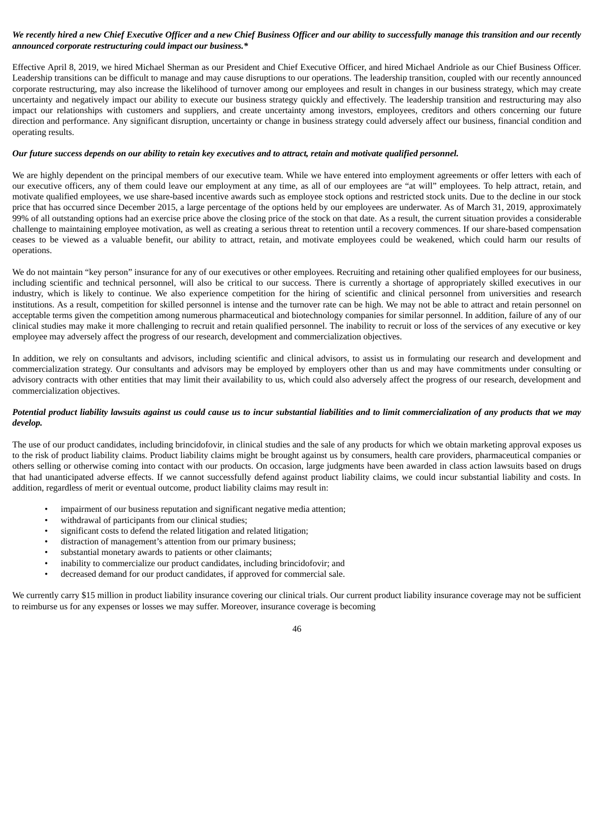# We recently hired a new Chief Executive Officer and a new Chief Business Officer and our ability to successfully manage this transition and our recently *announced corporate restructuring could impact our business.\**

Effective April 8, 2019, we hired Michael Sherman as our President and Chief Executive Officer, and hired Michael Andriole as our Chief Business Officer. Leadership transitions can be difficult to manage and may cause disruptions to our operations. The leadership transition, coupled with our recently announced corporate restructuring, may also increase the likelihood of turnover among our employees and result in changes in our business strategy, which may create uncertainty and negatively impact our ability to execute our business strategy quickly and effectively. The leadership transition and restructuring may also impact our relationships with customers and suppliers, and create uncertainty among investors, employees, creditors and others concerning our future direction and performance. Any significant disruption, uncertainty or change in business strategy could adversely affect our business, financial condition and operating results.

# Our future success depends on our ability to retain key executives and to attract, retain and motivate qualified personnel.

We are highly dependent on the principal members of our executive team. While we have entered into employment agreements or offer letters with each of our executive officers, any of them could leave our employment at any time, as all of our employees are "at will" employees. To help attract, retain, and motivate qualified employees, we use share-based incentive awards such as employee stock options and restricted stock units. Due to the decline in our stock price that has occurred since December 2015, a large percentage of the options held by our employees are underwater. As of March 31, 2019, approximately 99% of all outstanding options had an exercise price above the closing price of the stock on that date. As a result, the current situation provides a considerable challenge to maintaining employee motivation, as well as creating a serious threat to retention until a recovery commences. If our share-based compensation ceases to be viewed as a valuable benefit, our ability to attract, retain, and motivate employees could be weakened, which could harm our results of operations.

We do not maintain "key person" insurance for any of our executives or other employees. Recruiting and retaining other qualified employees for our business, including scientific and technical personnel, will also be critical to our success. There is currently a shortage of appropriately skilled executives in our industry, which is likely to continue. We also experience competition for the hiring of scientific and clinical personnel from universities and research institutions. As a result, competition for skilled personnel is intense and the turnover rate can be high. We may not be able to attract and retain personnel on acceptable terms given the competition among numerous pharmaceutical and biotechnology companies for similar personnel. In addition, failure of any of our clinical studies may make it more challenging to recruit and retain qualified personnel. The inability to recruit or loss of the services of any executive or key employee may adversely affect the progress of our research, development and commercialization objectives.

In addition, we rely on consultants and advisors, including scientific and clinical advisors, to assist us in formulating our research and development and commercialization strategy. Our consultants and advisors may be employed by employers other than us and may have commitments under consulting or advisory contracts with other entities that may limit their availability to us, which could also adversely affect the progress of our research, development and commercialization objectives.

# Potential product liability lawsuits against us could cause us to incur substantial liabilities and to limit commercialization of any products that we may *develop.*

The use of our product candidates, including brincidofovir, in clinical studies and the sale of any products for which we obtain marketing approval exposes us to the risk of product liability claims. Product liability claims might be brought against us by consumers, health care providers, pharmaceutical companies or others selling or otherwise coming into contact with our products. On occasion, large judgments have been awarded in class action lawsuits based on drugs that had unanticipated adverse effects. If we cannot successfully defend against product liability claims, we could incur substantial liability and costs. In addition, regardless of merit or eventual outcome, product liability claims may result in:

- impairment of our business reputation and significant negative media attention;
- withdrawal of participants from our clinical studies:
- significant costs to defend the related litigation and related litigation;
- distraction of management's attention from our primary business;
- substantial monetary awards to patients or other claimants;
- inability to commercialize our product candidates, including brincidofovir; and
- decreased demand for our product candidates, if approved for commercial sale.

We currently carry \$15 million in product liability insurance covering our clinical trials. Our current product liability insurance coverage may not be sufficient to reimburse us for any expenses or losses we may suffer. Moreover, insurance coverage is becoming

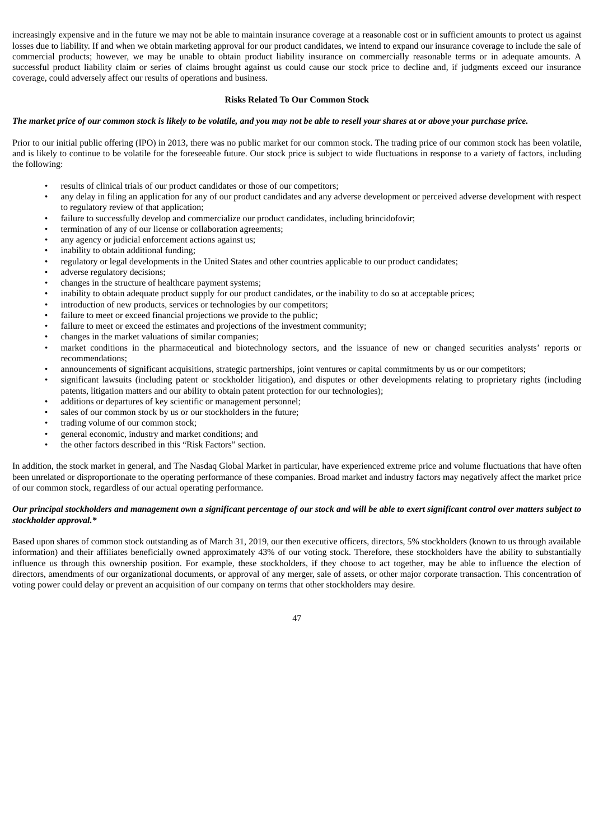increasingly expensive and in the future we may not be able to maintain insurance coverage at a reasonable cost or in sufficient amounts to protect us against losses due to liability. If and when we obtain marketing approval for our product candidates, we intend to expand our insurance coverage to include the sale of commercial products; however, we may be unable to obtain product liability insurance on commercially reasonable terms or in adequate amounts. A successful product liability claim or series of claims brought against us could cause our stock price to decline and, if judgments exceed our insurance coverage, could adversely affect our results of operations and business.

## **Risks Related To Our Common Stock**

#### The market price of our common stock is likely to be volatile, and you may not be able to resell your shares at or above your purchase price.

Prior to our initial public offering (IPO) in 2013, there was no public market for our common stock. The trading price of our common stock has been volatile, and is likely to continue to be volatile for the foreseeable future. Our stock price is subject to wide fluctuations in response to a variety of factors, including the following:

- results of clinical trials of our product candidates or those of our competitors;
- any delay in filing an application for any of our product candidates and any adverse development or perceived adverse development with respect to regulatory review of that application;
- failure to successfully develop and commercialize our product candidates, including brincidofovir;
- termination of any of our license or collaboration agreements;
- any agency or judicial enforcement actions against us;
- inability to obtain additional funding;
- regulatory or legal developments in the United States and other countries applicable to our product candidates;
- adverse regulatory decisions;
- changes in the structure of healthcare payment systems;
- inability to obtain adequate product supply for our product candidates, or the inability to do so at acceptable prices;
- introduction of new products, services or technologies by our competitors;
- failure to meet or exceed financial projections we provide to the public;
- failure to meet or exceed the estimates and projections of the investment community;
- changes in the market valuations of similar companies;
- market conditions in the pharmaceutical and biotechnology sectors, and the issuance of new or changed securities analysts' reports or recommendations;
- announcements of significant acquisitions, strategic partnerships, joint ventures or capital commitments by us or our competitors;
- significant lawsuits (including patent or stockholder litigation), and disputes or other developments relating to proprietary rights (including patents, litigation matters and our ability to obtain patent protection for our technologies);
- additions or departures of key scientific or management personnel;
- sales of our common stock by us or our stockholders in the future;
- trading volume of our common stock;
- general economic, industry and market conditions; and
- the other factors described in this "Risk Factors" section.

In addition, the stock market in general, and The Nasdaq Global Market in particular, have experienced extreme price and volume fluctuations that have often been unrelated or disproportionate to the operating performance of these companies. Broad market and industry factors may negatively affect the market price of our common stock, regardless of our actual operating performance.

# Our principal stockholders and management own a significant percentage of our stock and will be able to exert significant control over matters subject to *stockholder approval.\**

Based upon shares of common stock outstanding as of March 31, 2019, our then executive officers, directors, 5% stockholders (known to us through available information) and their affiliates beneficially owned approximately 43% of our voting stock. Therefore, these stockholders have the ability to substantially influence us through this ownership position. For example, these stockholders, if they choose to act together, may be able to influence the election of directors, amendments of our organizational documents, or approval of any merger, sale of assets, or other major corporate transaction. This concentration of voting power could delay or prevent an acquisition of our company on terms that other stockholders may desire.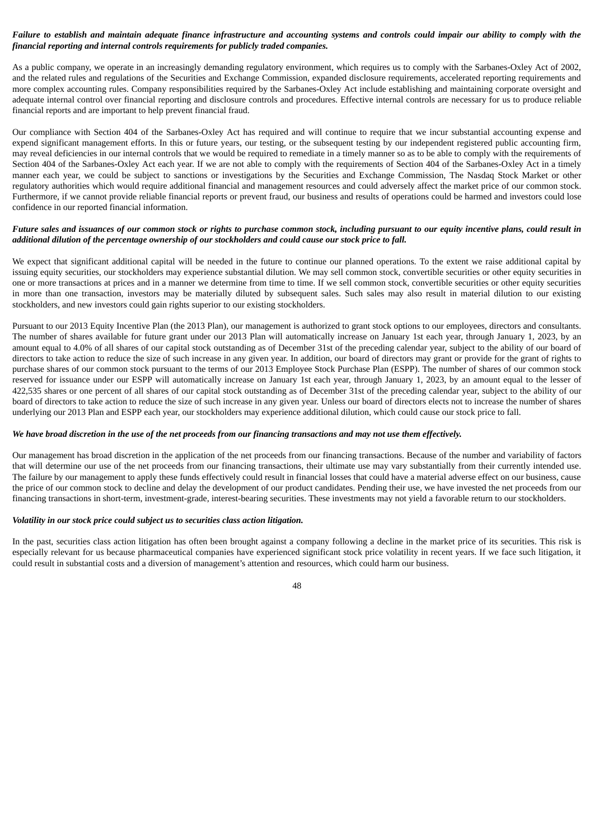# Failure to establish and maintain adequate finance infrastructure and accounting systems and controls could impair our ability to comply with the *financial reporting and internal controls requirements for publicly traded companies.*

As a public company, we operate in an increasingly demanding regulatory environment, which requires us to comply with the Sarbanes-Oxley Act of 2002, and the related rules and regulations of the Securities and Exchange Commission, expanded disclosure requirements, accelerated reporting requirements and more complex accounting rules. Company responsibilities required by the Sarbanes-Oxley Act include establishing and maintaining corporate oversight and adequate internal control over financial reporting and disclosure controls and procedures. Effective internal controls are necessary for us to produce reliable financial reports and are important to help prevent financial fraud.

Our compliance with Section 404 of the Sarbanes-Oxley Act has required and will continue to require that we incur substantial accounting expense and expend significant management efforts. In this or future years, our testing, or the subsequent testing by our independent registered public accounting firm, may reveal deficiencies in our internal controls that we would be required to remediate in a timely manner so as to be able to comply with the requirements of Section 404 of the Sarbanes-Oxley Act each year. If we are not able to comply with the requirements of Section 404 of the Sarbanes-Oxley Act in a timely manner each year, we could be subject to sanctions or investigations by the Securities and Exchange Commission, The Nasdaq Stock Market or other regulatory authorities which would require additional financial and management resources and could adversely affect the market price of our common stock. Furthermore, if we cannot provide reliable financial reports or prevent fraud, our business and results of operations could be harmed and investors could lose confidence in our reported financial information.

## Future sales and issuances of our common stock or rights to purchase common stock, including pursuant to our equity incentive plans, could result in additional dilution of the percentage ownership of our stockholders and could cause our stock price to fall.

We expect that significant additional capital will be needed in the future to continue our planned operations. To the extent we raise additional capital by issuing equity securities, our stockholders may experience substantial dilution. We may sell common stock, convertible securities or other equity securities in one or more transactions at prices and in a manner we determine from time to time. If we sell common stock, convertible securities or other equity securities in more than one transaction, investors may be materially diluted by subsequent sales. Such sales may also result in material dilution to our existing stockholders, and new investors could gain rights superior to our existing stockholders.

Pursuant to our 2013 Equity Incentive Plan (the 2013 Plan), our management is authorized to grant stock options to our employees, directors and consultants. The number of shares available for future grant under our 2013 Plan will automatically increase on January 1st each year, through January 1, 2023, by an amount equal to 4.0% of all shares of our capital stock outstanding as of December 31st of the preceding calendar year, subject to the ability of our board of directors to take action to reduce the size of such increase in any given year. In addition, our board of directors may grant or provide for the grant of rights to purchase shares of our common stock pursuant to the terms of our 2013 Employee Stock Purchase Plan (ESPP). The number of shares of our common stock reserved for issuance under our ESPP will automatically increase on January 1st each year, through January 1, 2023, by an amount equal to the lesser of 422,535 shares or one percent of all shares of our capital stock outstanding as of December 31st of the preceding calendar year, subject to the ability of our board of directors to take action to reduce the size of such increase in any given year. Unless our board of directors elects not to increase the number of shares underlying our 2013 Plan and ESPP each year, our stockholders may experience additional dilution, which could cause our stock price to fall.

# We have broad discretion in the use of the net proceeds from our financing transactions and may not use them effectively.

Our management has broad discretion in the application of the net proceeds from our financing transactions. Because of the number and variability of factors that will determine our use of the net proceeds from our financing transactions, their ultimate use may vary substantially from their currently intended use. The failure by our management to apply these funds effectively could result in financial losses that could have a material adverse effect on our business, cause the price of our common stock to decline and delay the development of our product candidates. Pending their use, we have invested the net proceeds from our financing transactions in short-term, investment-grade, interest-bearing securities. These investments may not yield a favorable return to our stockholders.

# *Volatility in our stock price could subject us to securities class action litigation.*

In the past, securities class action litigation has often been brought against a company following a decline in the market price of its securities. This risk is especially relevant for us because pharmaceutical companies have experienced significant stock price volatility in recent years. If we face such litigation, it could result in substantial costs and a diversion of management's attention and resources, which could harm our business.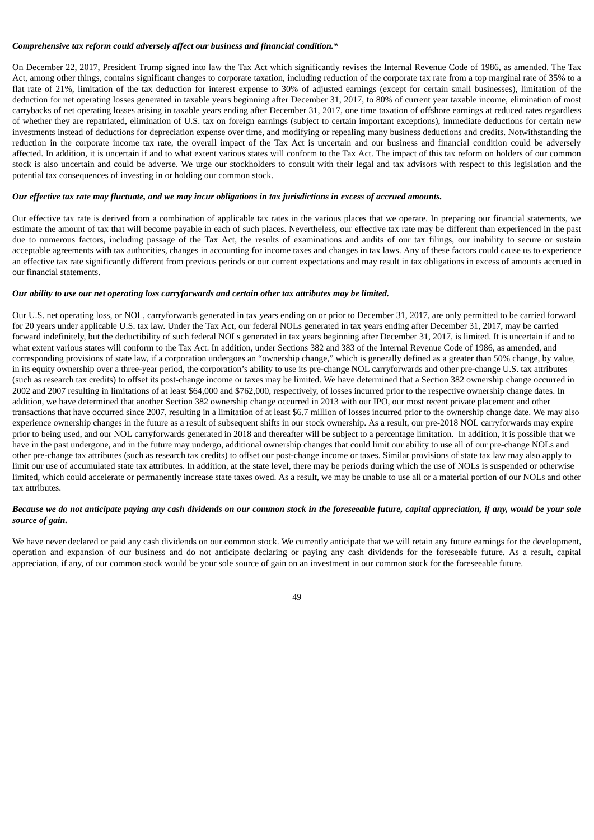## *Comprehensive tax reform could adversely affect our business and financial condition.\**

On December 22, 2017, President Trump signed into law the Tax Act which significantly revises the Internal Revenue Code of 1986, as amended. The Tax Act, among other things, contains significant changes to corporate taxation, including reduction of the corporate tax rate from a top marginal rate of 35% to a flat rate of 21%, limitation of the tax deduction for interest expense to 30% of adjusted earnings (except for certain small businesses), limitation of the deduction for net operating losses generated in taxable years beginning after December 31, 2017, to 80% of current year taxable income, elimination of most carrybacks of net operating losses arising in taxable years ending after December 31, 2017, one time taxation of offshore earnings at reduced rates regardless of whether they are repatriated, elimination of U.S. tax on foreign earnings (subject to certain important exceptions), immediate deductions for certain new investments instead of deductions for depreciation expense over time, and modifying or repealing many business deductions and credits. Notwithstanding the reduction in the corporate income tax rate, the overall impact of the Tax Act is uncertain and our business and financial condition could be adversely affected. In addition, it is uncertain if and to what extent various states will conform to the Tax Act. The impact of this tax reform on holders of our common stock is also uncertain and could be adverse. We urge our stockholders to consult with their legal and tax advisors with respect to this legislation and the potential tax consequences of investing in or holding our common stock.

## Our effective tax rate may fluctuate, and we may incur obligations in tax jurisdictions in excess of accrued amounts.

Our effective tax rate is derived from a combination of applicable tax rates in the various places that we operate. In preparing our financial statements, we estimate the amount of tax that will become payable in each of such places. Nevertheless, our effective tax rate may be different than experienced in the past due to numerous factors, including passage of the Tax Act, the results of examinations and audits of our tax filings, our inability to secure or sustain acceptable agreements with tax authorities, changes in accounting for income taxes and changes in tax laws. Any of these factors could cause us to experience an effective tax rate significantly different from previous periods or our current expectations and may result in tax obligations in excess of amounts accrued in our financial statements.

#### *Our ability to use our net operating loss carryforwards and certain other tax attributes may be limited.*

Our U.S. net operating loss, or NOL, carryforwards generated in tax years ending on or prior to December 31, 2017, are only permitted to be carried forward for 20 years under applicable U.S. tax law. Under the Tax Act, our federal NOLs generated in tax years ending after December 31, 2017, may be carried forward indefinitely, but the deductibility of such federal NOLs generated in tax years beginning after December 31, 2017, is limited. It is uncertain if and to what extent various states will conform to the Tax Act. In addition, under Sections 382 and 383 of the Internal Revenue Code of 1986, as amended, and corresponding provisions of state law, if a corporation undergoes an "ownership change," which is generally defined as a greater than 50% change, by value, in its equity ownership over a three-year period, the corporation's ability to use its pre-change NOL carryforwards and other pre-change U.S. tax attributes (such as research tax credits) to offset its post-change income or taxes may be limited. We have determined that a Section 382 ownership change occurred in 2002 and 2007 resulting in limitations of at least \$64,000 and \$762,000, respectively, of losses incurred prior to the respective ownership change dates. In addition, we have determined that another Section 382 ownership change occurred in 2013 with our IPO, our most recent private placement and other transactions that have occurred since 2007, resulting in a limitation of at least \$6.7 million of losses incurred prior to the ownership change date. We may also experience ownership changes in the future as a result of subsequent shifts in our stock ownership. As a result, our pre-2018 NOL carryforwards may expire prior to being used, and our NOL carryforwards generated in 2018 and thereafter will be subject to a percentage limitation. In addition, it is possible that we have in the past undergone, and in the future may undergo, additional ownership changes that could limit our ability to use all of our pre-change NOLs and other pre-change tax attributes (such as research tax credits) to offset our post-change income or taxes. Similar provisions of state tax law may also apply to limit our use of accumulated state tax attributes. In addition, at the state level, there may be periods during which the use of NOLs is suspended or otherwise limited, which could accelerate or permanently increase state taxes owed. As a result, we may be unable to use all or a material portion of our NOLs and other tax attributes.

# Because we do not anticipate paying any cash dividends on our common stock in the foreseeable future, capital appreciation, if any, would be your sole *source of gain.*

We have never declared or paid any cash dividends on our common stock. We currently anticipate that we will retain any future earnings for the development, operation and expansion of our business and do not anticipate declaring or paying any cash dividends for the foreseeable future. As a result, capital appreciation, if any, of our common stock would be your sole source of gain on an investment in our common stock for the foreseeable future.

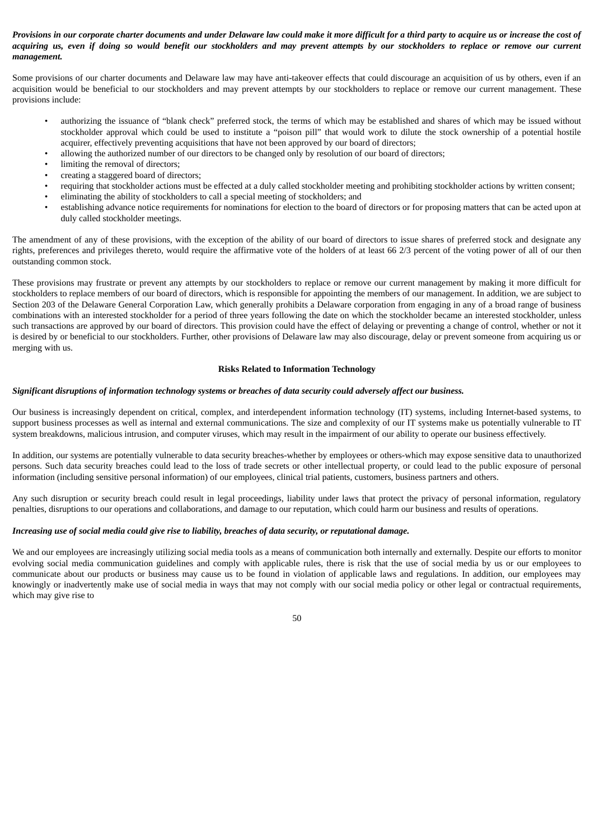# Provisions in our corporate charter documents and under Delaware law could make it more difficult for a third party to acquire us or increase the cost of acquiring us, even if doing so would benefit our stockholders and may prevent attempts by our stockholders to replace or remove our current *management.*

Some provisions of our charter documents and Delaware law may have anti-takeover effects that could discourage an acquisition of us by others, even if an acquisition would be beneficial to our stockholders and may prevent attempts by our stockholders to replace or remove our current management. These provisions include:

- authorizing the issuance of "blank check" preferred stock, the terms of which may be established and shares of which may be issued without stockholder approval which could be used to institute a "poison pill" that would work to dilute the stock ownership of a potential hostile acquirer, effectively preventing acquisitions that have not been approved by our board of directors;
- allowing the authorized number of our directors to be changed only by resolution of our board of directors;
- limiting the removal of directors;
- creating a staggered board of directors;
- requiring that stockholder actions must be effected at a duly called stockholder meeting and prohibiting stockholder actions by written consent;
- eliminating the ability of stockholders to call a special meeting of stockholders; and
- establishing advance notice requirements for nominations for election to the board of directors or for proposing matters that can be acted upon at duly called stockholder meetings.

The amendment of any of these provisions, with the exception of the ability of our board of directors to issue shares of preferred stock and designate any rights, preferences and privileges thereto, would require the affirmative vote of the holders of at least 66 2/3 percent of the voting power of all of our then outstanding common stock.

These provisions may frustrate or prevent any attempts by our stockholders to replace or remove our current management by making it more difficult for stockholders to replace members of our board of directors, which is responsible for appointing the members of our management. In addition, we are subject to Section 203 of the Delaware General Corporation Law, which generally prohibits a Delaware corporation from engaging in any of a broad range of business combinations with an interested stockholder for a period of three years following the date on which the stockholder became an interested stockholder, unless such transactions are approved by our board of directors. This provision could have the effect of delaying or preventing a change of control, whether or not it is desired by or beneficial to our stockholders. Further, other provisions of Delaware law may also discourage, delay or prevent someone from acquiring us or merging with us.

# **Risks Related to Information Technology**

## Significant disruptions of information technology systems or breaches of data security could adversely affect our business.

Our business is increasingly dependent on critical, complex, and interdependent information technology (IT) systems, including Internet-based systems, to support business processes as well as internal and external communications. The size and complexity of our IT systems make us potentially vulnerable to IT system breakdowns, malicious intrusion, and computer viruses, which may result in the impairment of our ability to operate our business effectively.

In addition, our systems are potentially vulnerable to data security breaches-whether by employees or others-which may expose sensitive data to unauthorized persons. Such data security breaches could lead to the loss of trade secrets or other intellectual property, or could lead to the public exposure of personal information (including sensitive personal information) of our employees, clinical trial patients, customers, business partners and others.

Any such disruption or security breach could result in legal proceedings, liability under laws that protect the privacy of personal information, regulatory penalties, disruptions to our operations and collaborations, and damage to our reputation, which could harm our business and results of operations.

## Increasing use of social media could give rise to liability, breaches of data security, or reputational damage.

We and our employees are increasingly utilizing social media tools as a means of communication both internally and externally. Despite our efforts to monitor evolving social media communication guidelines and comply with applicable rules, there is risk that the use of social media by us or our employees to communicate about our products or business may cause us to be found in violation of applicable laws and regulations. In addition, our employees may knowingly or inadvertently make use of social media in ways that may not comply with our social media policy or other legal or contractual requirements, which may give rise to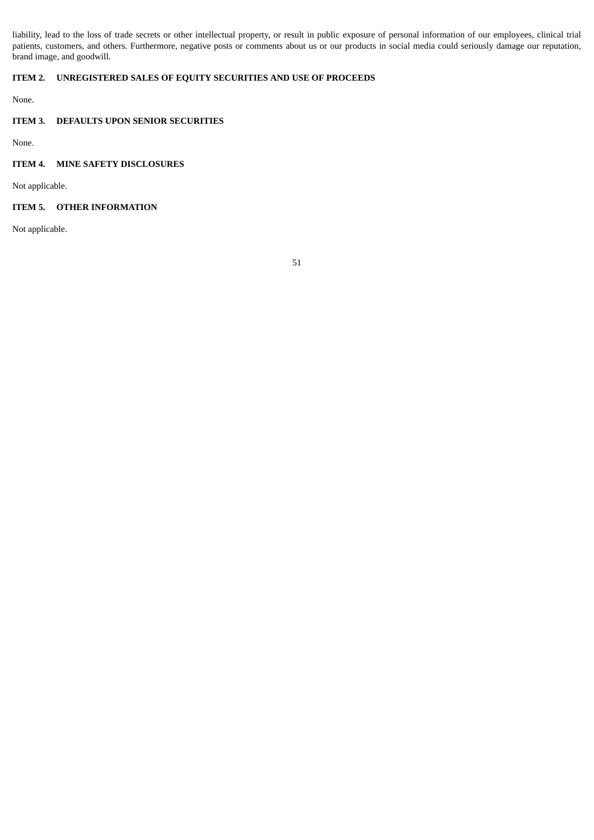liability, lead to the loss of trade secrets or other intellectual property, or result in public exposure of personal information of our employees, clinical trial patients, customers, and others. Furthermore, negative posts or comments about us or our products in social media could seriously damage our reputation, brand image, and goodwill.

# <span id="page-51-0"></span>**ITEM 2. UNREGISTERED SALES OF EQUITY SECURITIES AND USE OF PROCEEDS**

None.

# <span id="page-51-1"></span>**ITEM 3. DEFAULTS UPON SENIOR SECURITIES**

None.

## <span id="page-51-2"></span>**ITEM 4. MINE SAFETY DISCLOSURES**

Not applicable.

# <span id="page-51-3"></span>**ITEM 5. OTHER INFORMATION**

Not applicable.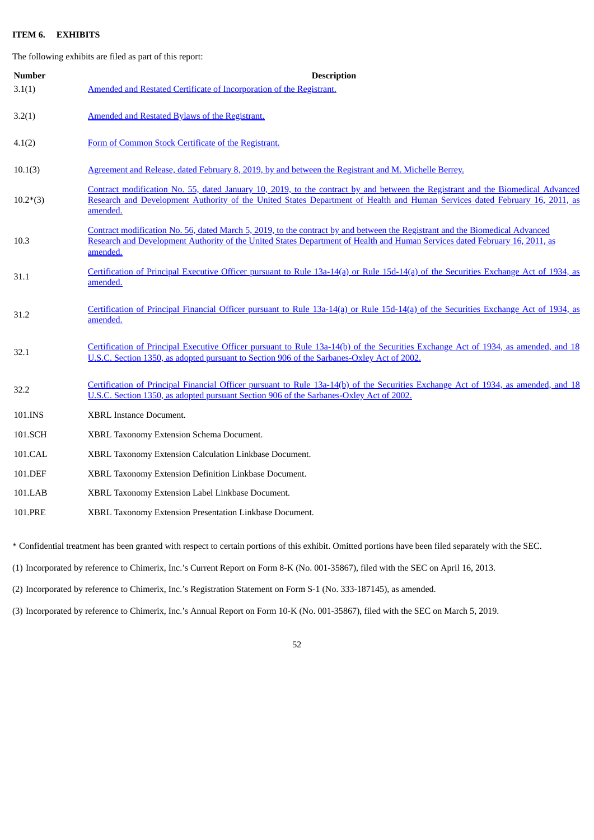# <span id="page-52-0"></span>**ITEM 6. EXHIBITS**

The following exhibits are filed as part of this report:

| <b>Number</b><br>3.1(1) | <b>Description</b><br>Amended and Restated Certificate of Incorporation of the Registrant.                                                                                                                                                                                 |
|-------------------------|----------------------------------------------------------------------------------------------------------------------------------------------------------------------------------------------------------------------------------------------------------------------------|
| 3.2(1)                  | Amended and Restated Bylaws of the Registrant.                                                                                                                                                                                                                             |
| 4.1(2)                  | Form of Common Stock Certificate of the Registrant.                                                                                                                                                                                                                        |
| 10.1(3)                 | Agreement and Release, dated February 8, 2019, by and between the Registrant and M. Michelle Berrey.                                                                                                                                                                       |
| $10.2*(3)$              | Contract modification No. 55, dated January 10, 2019, to the contract by and between the Registrant and the Biomedical Advanced<br>Research and Development Authority of the United States Department of Health and Human Services dated February 16, 2011, as<br>amended. |
| 10.3                    | Contract modification No. 56, dated March 5, 2019, to the contract by and between the Registrant and the Biomedical Advanced<br>Research and Development Authority of the United States Department of Health and Human Services dated February 16, 2011, as<br>amended.    |
| 31.1                    | Certification of Principal Executive Officer pursuant to Rule 13a-14(a) or Rule 15d-14(a) of the Securities Exchange Act of 1934, as<br>amended.                                                                                                                           |
| 31.2                    | Certification of Principal Financial Officer pursuant to Rule 13a-14(a) or Rule 15d-14(a) of the Securities Exchange Act of 1934, as<br>amended.                                                                                                                           |
| 32.1                    | Certification of Principal Executive Officer pursuant to Rule 13a-14(b) of the Securities Exchange Act of 1934, as amended, and 18<br>U.S.C. Section 1350, as adopted pursuant to Section 906 of the Sarbanes-Oxley Act of 2002.                                           |
| 32.2                    | Certification of Principal Financial Officer pursuant to Rule 13a-14(b) of the Securities Exchange Act of 1934, as amended, and 18<br>U.S.C. Section 1350, as adopted pursuant Section 906 of the Sarbanes-Oxley Act of 2002.                                              |
| 101.INS                 | <b>XBRL Instance Document.</b>                                                                                                                                                                                                                                             |
| 101.SCH                 | XBRL Taxonomy Extension Schema Document.                                                                                                                                                                                                                                   |
| 101.CAL                 | XBRL Taxonomy Extension Calculation Linkbase Document.                                                                                                                                                                                                                     |
| 101.DEF                 | XBRL Taxonomy Extension Definition Linkbase Document.                                                                                                                                                                                                                      |
| 101.LAB                 | XBRL Taxonomy Extension Label Linkbase Document.                                                                                                                                                                                                                           |
| 101.PRE                 | XBRL Taxonomy Extension Presentation Linkbase Document.                                                                                                                                                                                                                    |

\* Confidential treatment has been granted with respect to certain portions of this exhibit. Omitted portions have been filed separately with the SEC.

(1) Incorporated by reference to Chimerix, Inc.'s Current Report on Form 8-K (No. 001-35867), filed with the SEC on April 16, 2013.

(2) Incorporated by reference to Chimerix, Inc.'s Registration Statement on Form S-1 (No. 333-187145), as amended.

(3) Incorporated by reference to Chimerix, Inc.'s Annual Report on Form 10-K (No. 001-35867), filed with the SEC on March 5, 2019.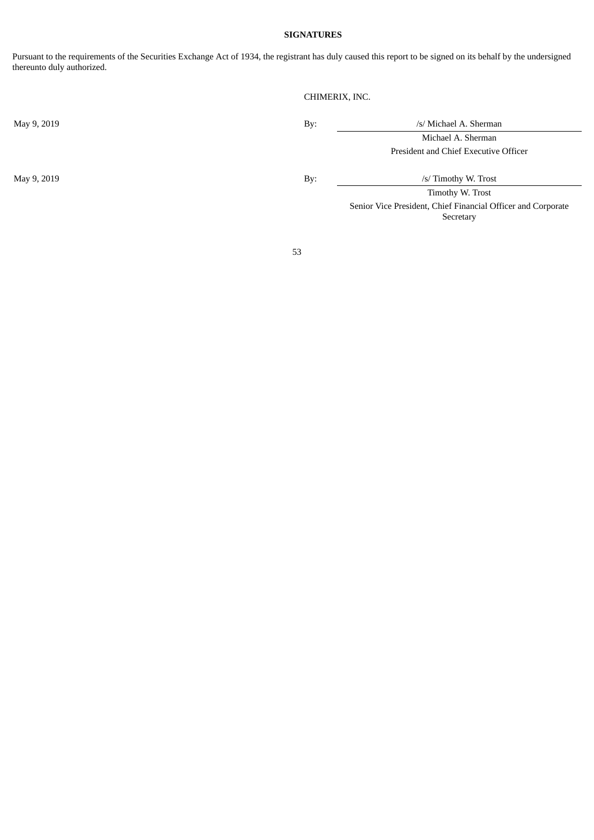# **SIGNATURES**

<span id="page-53-0"></span>Pursuant to the requirements of the Securities Exchange Act of 1934, the registrant has duly caused this report to be signed on its behalf by the undersigned thereunto duly authorized.

|             |     | CHIMERIX, INC.                                               |  |  |  |
|-------------|-----|--------------------------------------------------------------|--|--|--|
| May 9, 2019 | By: | /s/ Michael A. Sherman                                       |  |  |  |
|             |     | Michael A. Sherman                                           |  |  |  |
|             |     | President and Chief Executive Officer                        |  |  |  |
| May 9, 2019 | By: | /s/ Timothy W. Trost                                         |  |  |  |
|             |     | Timothy W. Trost                                             |  |  |  |
|             |     | Senior Vice President, Chief Financial Officer and Corporate |  |  |  |
|             |     | Secretary                                                    |  |  |  |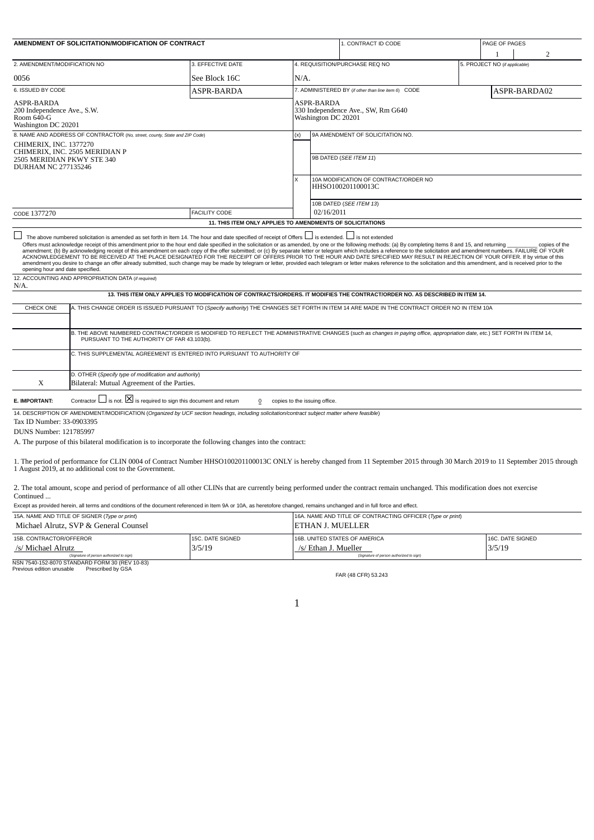<span id="page-54-0"></span>

|                                                                                  | AMENDMENT OF SOLICITATION/MODIFICATION OF CONTRACT                                                                                                                                                                     |                      |                               | 1. CONTRACT ID CODE                                                                                                                                                                                        | PAGE OF PAGES                                                                                                                                                                                                                                                                                                                                                                                                                                                                                                                                                                                                                                                      |  |  |  |
|----------------------------------------------------------------------------------|------------------------------------------------------------------------------------------------------------------------------------------------------------------------------------------------------------------------|----------------------|-------------------------------|------------------------------------------------------------------------------------------------------------------------------------------------------------------------------------------------------------|--------------------------------------------------------------------------------------------------------------------------------------------------------------------------------------------------------------------------------------------------------------------------------------------------------------------------------------------------------------------------------------------------------------------------------------------------------------------------------------------------------------------------------------------------------------------------------------------------------------------------------------------------------------------|--|--|--|
|                                                                                  |                                                                                                                                                                                                                        |                      |                               |                                                                                                                                                                                                            | 2<br>1                                                                                                                                                                                                                                                                                                                                                                                                                                                                                                                                                                                                                                                             |  |  |  |
| 2. AMENDMENT/MODIFICATION NO                                                     |                                                                                                                                                                                                                        | 3. EFFECTIVE DATE    |                               | 4. REQUISITION/PURCHASE REQ NO                                                                                                                                                                             | 5. PROJECT NO (if applicable)                                                                                                                                                                                                                                                                                                                                                                                                                                                                                                                                                                                                                                      |  |  |  |
| 0056                                                                             |                                                                                                                                                                                                                        | See Block 16C        | $N/A$ .                       |                                                                                                                                                                                                            |                                                                                                                                                                                                                                                                                                                                                                                                                                                                                                                                                                                                                                                                    |  |  |  |
| 6. ISSUED BY CODE                                                                |                                                                                                                                                                                                                        | ASPR-BARDA           |                               | 7. ADMINISTERED BY (if other than line item 6) CODE                                                                                                                                                        | ASPR-BARDA02                                                                                                                                                                                                                                                                                                                                                                                                                                                                                                                                                                                                                                                       |  |  |  |
| ASPR-BARDA<br>200 Independence Ave., S.W.<br>Room $640-G$<br>Washington DC 20201 |                                                                                                                                                                                                                        |                      |                               | ASPR-BARDA<br>330 Independence Ave., SW, Rm G640<br>Washington DC 20201                                                                                                                                    |                                                                                                                                                                                                                                                                                                                                                                                                                                                                                                                                                                                                                                                                    |  |  |  |
|                                                                                  | 8. NAME AND ADDRESS OF CONTRACTOR (No, street, county, State and ZIP Code)                                                                                                                                             |                      | (x)                           | 9A AMENDMENT OF SOLICITATION NO.                                                                                                                                                                           |                                                                                                                                                                                                                                                                                                                                                                                                                                                                                                                                                                                                                                                                    |  |  |  |
| CHIMERIX, INC. 1377270                                                           | CHIMERIX, INC. 2505 MERIDIAN P                                                                                                                                                                                         |                      |                               |                                                                                                                                                                                                            |                                                                                                                                                                                                                                                                                                                                                                                                                                                                                                                                                                                                                                                                    |  |  |  |
| <b>DURHAM NC 277135246</b>                                                       | 2505 MERIDIAN PKWY STE 340                                                                                                                                                                                             |                      |                               | 9B DATED (SEE ITEM 11)                                                                                                                                                                                     |                                                                                                                                                                                                                                                                                                                                                                                                                                                                                                                                                                                                                                                                    |  |  |  |
|                                                                                  |                                                                                                                                                                                                                        |                      |                               | 10A MODIFICATION OF CONTRACT/ORDER NO<br>HHSO100201100013C                                                                                                                                                 |                                                                                                                                                                                                                                                                                                                                                                                                                                                                                                                                                                                                                                                                    |  |  |  |
|                                                                                  |                                                                                                                                                                                                                        |                      |                               | 10B DATED (SEE ITEM 13)                                                                                                                                                                                    |                                                                                                                                                                                                                                                                                                                                                                                                                                                                                                                                                                                                                                                                    |  |  |  |
| CODE 1377270                                                                     |                                                                                                                                                                                                                        | <b>FACILITY CODE</b> |                               | 02/16/2011                                                                                                                                                                                                 |                                                                                                                                                                                                                                                                                                                                                                                                                                                                                                                                                                                                                                                                    |  |  |  |
|                                                                                  |                                                                                                                                                                                                                        |                      |                               | 11. THIS ITEM ONLY APPLIES TO AMENDMENTS OF SOLICITATIONS                                                                                                                                                  |                                                                                                                                                                                                                                                                                                                                                                                                                                                                                                                                                                                                                                                                    |  |  |  |
| opening hour and date specified.<br>$N/A$ .                                      | The above numbered solicitation is amended as set forth in Item 14. The hour and date specified of receipt of Offers $\Box$ is extended. $\Box$ is not extended<br>12. ACCOUNTING AND APPROPRIATION DATA (if required) |                      |                               | Offers must acknowledge receipt of this amendment prior to the hour end dale specified in the solicitation or as amended, by one or the following methods: (a) By completing Items 8 and 15, and returning | copies of the<br>amendment; (b) By acknowledging receipt of this amendment on each copy of the offer submitted; or (c) By separate letter or telegram which includes a reference to the solicitation and amendment numbers. FAILURE OF YOUR<br>ACKNOWLEDGEMENT TO BE RECEIVED AT THE PLACE DESIGNATED FOR THE RECEIPT OF OFFERS PRIOR TO THE HOUR AND DATE SPECIFIED MAY RESULT IN REJECTION OF YOUR OFFER. If by virtue of this<br>amendment you desire to change an offer already submitted, such change may be made by telegram or letter, provided each telegram or letter makes reference to the solicitation and this amendment, and is received prior to th |  |  |  |
|                                                                                  |                                                                                                                                                                                                                        |                      |                               | 13. THIS ITEM ONLY APPLIES TO MODIFICATION OF CONTRACTS/ORDERS. IT MODIFIES THE CONTRACT/ORDER NO. AS DESCRIBED IN ITEM 14.                                                                                |                                                                                                                                                                                                                                                                                                                                                                                                                                                                                                                                                                                                                                                                    |  |  |  |
| CHECK ONE                                                                        | A. THIS CHANGE ORDER IS ISSUED PURSUANT TO (Specify authority) THE CHANGES SET FORTH IN ITEM 14 ARE MADE IN THE CONTRACT ORDER NO IN ITEM 10A                                                                          |                      |                               |                                                                                                                                                                                                            |                                                                                                                                                                                                                                                                                                                                                                                                                                                                                                                                                                                                                                                                    |  |  |  |
|                                                                                  | PURSUANT TO THE AUTHORITY OF FAR 43.103(b).                                                                                                                                                                            |                      |                               | B. THE ABOVE NUMBERED CONTRACT/ORDER IS MODIFIED TO REFLECT THE ADMINISTRATIVE CHANGES (such as changes in paying office, appropriation date, etc.) SET FORTH IN ITEM 14,                                  |                                                                                                                                                                                                                                                                                                                                                                                                                                                                                                                                                                                                                                                                    |  |  |  |
|                                                                                  | C. THIS SUPPLEMENTAL AGREEMENT IS ENTERED INTO PURSUANT TO AUTHORITY OF                                                                                                                                                |                      |                               |                                                                                                                                                                                                            |                                                                                                                                                                                                                                                                                                                                                                                                                                                                                                                                                                                                                                                                    |  |  |  |
| X                                                                                | D. OTHER (Specify type of modification and authority)<br>Bilateral: Mutual Agreement of the Parties.                                                                                                                   |                      |                               |                                                                                                                                                                                                            |                                                                                                                                                                                                                                                                                                                                                                                                                                                                                                                                                                                                                                                                    |  |  |  |
| E. IMPORTANT:                                                                    | Contractor $\Box$ is not. $\boxtimes$ is required to sign this document and return                                                                                                                                     | 0                    | copies to the issuing office. |                                                                                                                                                                                                            |                                                                                                                                                                                                                                                                                                                                                                                                                                                                                                                                                                                                                                                                    |  |  |  |

14. DESCRIPTION OF AMENDMENT/MODIFICATION (*Organized by UCF section headings, including solicitation/contract subject matter where feasible*)

Tax ID Number: 33-0903395

DUNS Number: 121785997

A. The purpose of this bilateral modification is to incorporate the following changes into the contract:

1. The period of performance for CLIN 0004 of Contract Number HHSO100201100013C ONLY is hereby changed from 11 September 2015 through 30 March 2019 to 11 September 2015 through<br>1 August 2019, at no additional cost to the G

2. The total amount, scope and period of performance of all other CLINs that are currently being performed under the contract remain unchanged. This modification does not exercise Continued ...

| Except as provided herein, all terms and conditions of the document referenced in Item 9A or 10A, as heretofore changed, remains unchanged and in full force and effect. |
|--------------------------------------------------------------------------------------------------------------------------------------------------------------------------|
|--------------------------------------------------------------------------------------------------------------------------------------------------------------------------|

| 15A. NAME AND TITLE OF SIGNER (Type or print)  |                  | 16A. NAME AND TITLE OF CONTRACTING OFFICER (Type or print) |                  |  |  |
|------------------------------------------------|------------------|------------------------------------------------------------|------------------|--|--|
| Michael Alrutz, SVP & General Counsel          |                  | <b>IETHAN J. MUELLER</b>                                   |                  |  |  |
| 15B, CONTRACTOR/OFFEROR                        | 15C. DATE SIGNED | 16B. UNITED STATES OF AMERICA                              | 16C. DATE SIGNED |  |  |
| /s/ Michael Alrutz                             | 3/5/19           | /s/ Ethan J. Mueller                                       | 3/5/19           |  |  |
| (Signature of person authorized to sign)       |                  | (Signature of person authorized to sign)                   |                  |  |  |
| NSN 7540-152-8070 STANDARD FORM 30 (REV 10-83) |                  |                                                            |                  |  |  |

NSN 7540-152-8070 STANDARD FORM 30 (REV 10-83) Previous edition unusable Prescribed by GSA

FAR (48 CFR) 53.243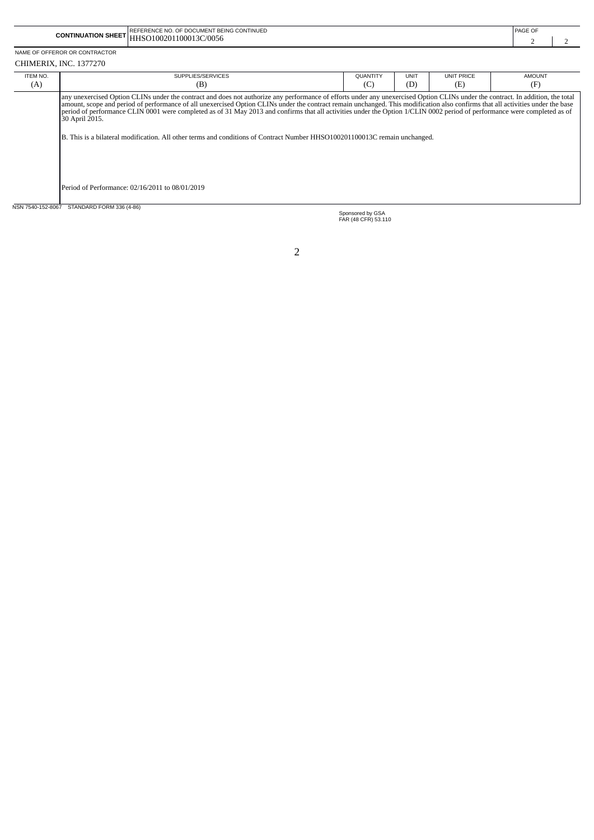|                               | REFERENCE NO. OF DOCUMENT BEING CONTINUED   | PAGE OF |  |
|-------------------------------|---------------------------------------------|---------|--|
|                               | CONTINUATION SHEET $HHSO100201100013C/0056$ |         |  |
| NAME OF OFFEROR OR CONTRACTOR |                                             |         |  |

| ITEM NO.          | SUPPLIES/SERVICES                                                                                                                                                                                                                                                                                                                                                                                                                                                                                                                                                                                                                                                                               | <b>OUANTITY</b>                         | <b>UNIT</b> | UNIT PRICE | <b>AMOUNT</b> |
|-------------------|-------------------------------------------------------------------------------------------------------------------------------------------------------------------------------------------------------------------------------------------------------------------------------------------------------------------------------------------------------------------------------------------------------------------------------------------------------------------------------------------------------------------------------------------------------------------------------------------------------------------------------------------------------------------------------------------------|-----------------------------------------|-------------|------------|---------------|
| (A)               | (B)                                                                                                                                                                                                                                                                                                                                                                                                                                                                                                                                                                                                                                                                                             | (C)                                     | (D)         | (E)        | (F)           |
|                   | any unexercised Option CLINs under the contract and does not authorize any performance of efforts under any unexercised Option CLINs under the contract. In addition, the total<br>amount, scope and period of performance of all unexercised Option CLINs under the contract remain unchanged. This modification also confirms that all activities under the base<br>period of performance CLIN 0001 were completed as of 31 May 2013 and confirms that all activities under the Option 1/CLIN 0002 period of performance were completed as of<br>30 April 2015.<br>B. This is a bilateral modification. All other terms and conditions of Contract Number HHSO100201100013C remain unchanged. |                                         |             |            |               |
| NSN 7540-152-8067 | Period of Performance: 02/16/2011 to 08/01/2019<br>STANDARD FORM 336 (4-86)                                                                                                                                                                                                                                                                                                                                                                                                                                                                                                                                                                                                                     |                                         |             |            |               |
|                   |                                                                                                                                                                                                                                                                                                                                                                                                                                                                                                                                                                                                                                                                                                 | Sponsored by GSA<br>FAR (48 CFR) 53.110 |             |            |               |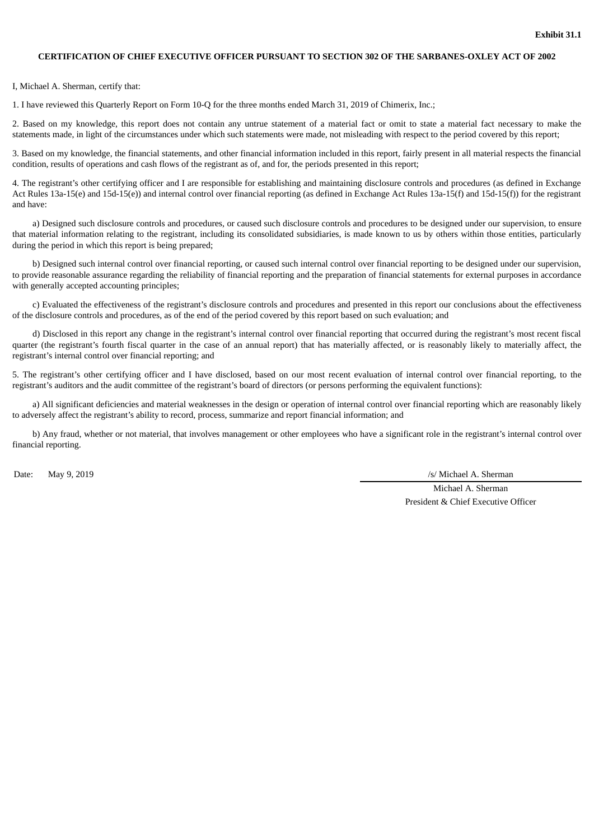## <span id="page-56-0"></span>**CERTIFICATION OF CHIEF EXECUTIVE OFFICER PURSUANT TO SECTION 302 OF THE SARBANES-OXLEY ACT OF 2002**

I, Michael A. Sherman, certify that:

1. I have reviewed this Quarterly Report on Form 10-Q for the three months ended March 31, 2019 of Chimerix, Inc.;

2. Based on my knowledge, this report does not contain any untrue statement of a material fact or omit to state a material fact necessary to make the statements made, in light of the circumstances under which such statements were made, not misleading with respect to the period covered by this report;

3. Based on my knowledge, the financial statements, and other financial information included in this report, fairly present in all material respects the financial condition, results of operations and cash flows of the registrant as of, and for, the periods presented in this report;

4. The registrant's other certifying officer and I are responsible for establishing and maintaining disclosure controls and procedures (as defined in Exchange Act Rules 13a-15(e) and 15d-15(e)) and internal control over financial reporting (as defined in Exchange Act Rules 13a-15(f) and 15d-15(f)) for the registrant and have:

a) Designed such disclosure controls and procedures, or caused such disclosure controls and procedures to be designed under our supervision, to ensure that material information relating to the registrant, including its consolidated subsidiaries, is made known to us by others within those entities, particularly during the period in which this report is being prepared;

b) Designed such internal control over financial reporting, or caused such internal control over financial reporting to be designed under our supervision, to provide reasonable assurance regarding the reliability of financial reporting and the preparation of financial statements for external purposes in accordance with generally accepted accounting principles;

c) Evaluated the effectiveness of the registrant's disclosure controls and procedures and presented in this report our conclusions about the effectiveness of the disclosure controls and procedures, as of the end of the period covered by this report based on such evaluation; and

d) Disclosed in this report any change in the registrant's internal control over financial reporting that occurred during the registrant's most recent fiscal quarter (the registrant's fourth fiscal quarter in the case of an annual report) that has materially affected, or is reasonably likely to materially affect, the registrant's internal control over financial reporting; and

5. The registrant's other certifying officer and I have disclosed, based on our most recent evaluation of internal control over financial reporting, to the registrant's auditors and the audit committee of the registrant's board of directors (or persons performing the equivalent functions):

a) All significant deficiencies and material weaknesses in the design or operation of internal control over financial reporting which are reasonably likely to adversely affect the registrant's ability to record, process, summarize and report financial information; and

b) Any fraud, whether or not material, that involves management or other employees who have a significant role in the registrant's internal control over financial reporting.

Date: May 9, 2019 /s/ Michael A. Sherman

Michael A. Sherman President & Chief Executive Officer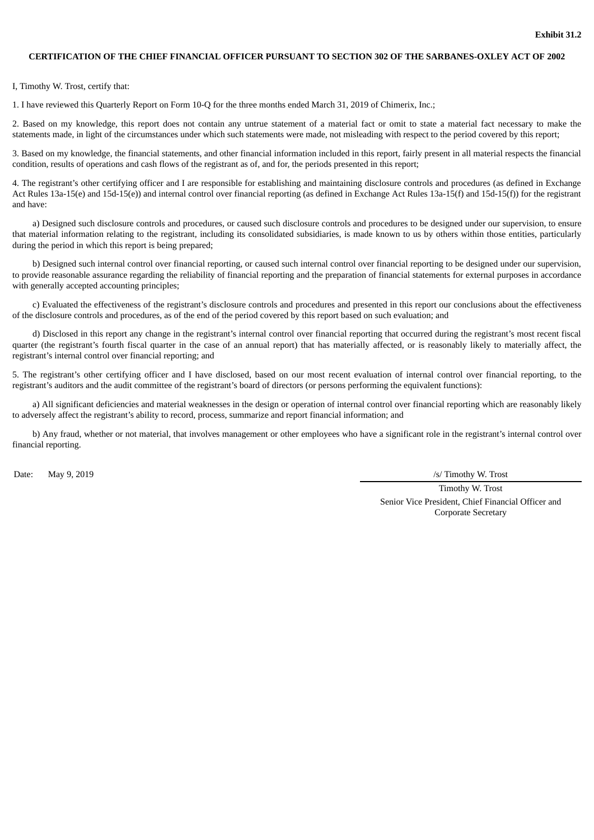## <span id="page-57-0"></span>**CERTIFICATION OF THE CHIEF FINANCIAL OFFICER PURSUANT TO SECTION 302 OF THE SARBANES-OXLEY ACT OF 2002**

I, Timothy W. Trost, certify that:

1. I have reviewed this Quarterly Report on Form 10-Q for the three months ended March 31, 2019 of Chimerix, Inc.;

2. Based on my knowledge, this report does not contain any untrue statement of a material fact or omit to state a material fact necessary to make the statements made, in light of the circumstances under which such statements were made, not misleading with respect to the period covered by this report;

3. Based on my knowledge, the financial statements, and other financial information included in this report, fairly present in all material respects the financial condition, results of operations and cash flows of the registrant as of, and for, the periods presented in this report;

4. The registrant's other certifying officer and I are responsible for establishing and maintaining disclosure controls and procedures (as defined in Exchange Act Rules 13a-15(e) and 15d-15(e)) and internal control over financial reporting (as defined in Exchange Act Rules 13a-15(f) and 15d-15(f)) for the registrant and have:

a) Designed such disclosure controls and procedures, or caused such disclosure controls and procedures to be designed under our supervision, to ensure that material information relating to the registrant, including its consolidated subsidiaries, is made known to us by others within those entities, particularly during the period in which this report is being prepared;

b) Designed such internal control over financial reporting, or caused such internal control over financial reporting to be designed under our supervision, to provide reasonable assurance regarding the reliability of financial reporting and the preparation of financial statements for external purposes in accordance with generally accepted accounting principles;

c) Evaluated the effectiveness of the registrant's disclosure controls and procedures and presented in this report our conclusions about the effectiveness of the disclosure controls and procedures, as of the end of the period covered by this report based on such evaluation; and

d) Disclosed in this report any change in the registrant's internal control over financial reporting that occurred during the registrant's most recent fiscal quarter (the registrant's fourth fiscal quarter in the case of an annual report) that has materially affected, or is reasonably likely to materially affect, the registrant's internal control over financial reporting; and

5. The registrant's other certifying officer and I have disclosed, based on our most recent evaluation of internal control over financial reporting, to the registrant's auditors and the audit committee of the registrant's board of directors (or persons performing the equivalent functions):

a) All significant deficiencies and material weaknesses in the design or operation of internal control over financial reporting which are reasonably likely to adversely affect the registrant's ability to record, process, summarize and report financial information; and

b) Any fraud, whether or not material, that involves management or other employees who have a significant role in the registrant's internal control over financial reporting.

Date: May 9, 2019 /s/ Timothy W. Trost

Timothy W. Trost Senior Vice President, Chief Financial Officer and Corporate Secretary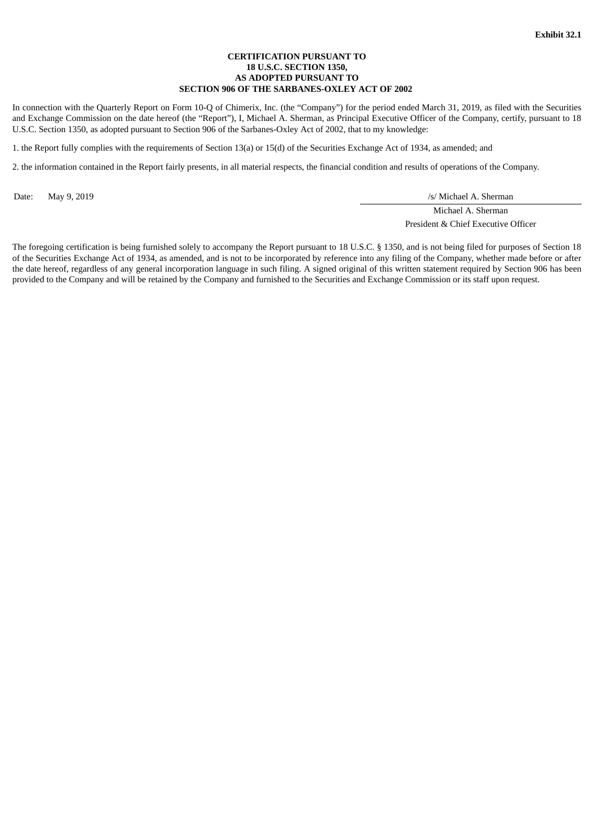# **CERTIFICATION PURSUANT TO 18 U.S.C. SECTION 1350, AS ADOPTED PURSUANT TO SECTION 906 OF THE SARBANES-OXLEY ACT OF 2002**

<span id="page-58-0"></span>In connection with the Quarterly Report on Form 10-Q of Chimerix, Inc. (the "Company") for the period ended March 31, 2019, as filed with the Securities and Exchange Commission on the date hereof (the "Report"), I, Michael A. Sherman, as Principal Executive Officer of the Company, certify, pursuant to 18 U.S.C. Section 1350, as adopted pursuant to Section 906 of the Sarbanes-Oxley Act of 2002, that to my knowledge:

1. the Report fully complies with the requirements of Section 13(a) or 15(d) of the Securities Exchange Act of 1934, as amended; and

2. the information contained in the Report fairly presents, in all material respects, the financial condition and results of operations of the Company.

Date: May 9, 2019 *International Company International Company International May 9, 2019 International A. Sherman* 

Michael A. Sherman President & Chief Executive Officer

The foregoing certification is being furnished solely to accompany the Report pursuant to 18 U.S.C. § 1350, and is not being filed for purposes of Section 18 of the Securities Exchange Act of 1934, as amended, and is not to be incorporated by reference into any filing of the Company, whether made before or after the date hereof, regardless of any general incorporation language in such filing. A signed original of this written statement required by Section 906 has been provided to the Company and will be retained by the Company and furnished to the Securities and Exchange Commission or its staff upon request.